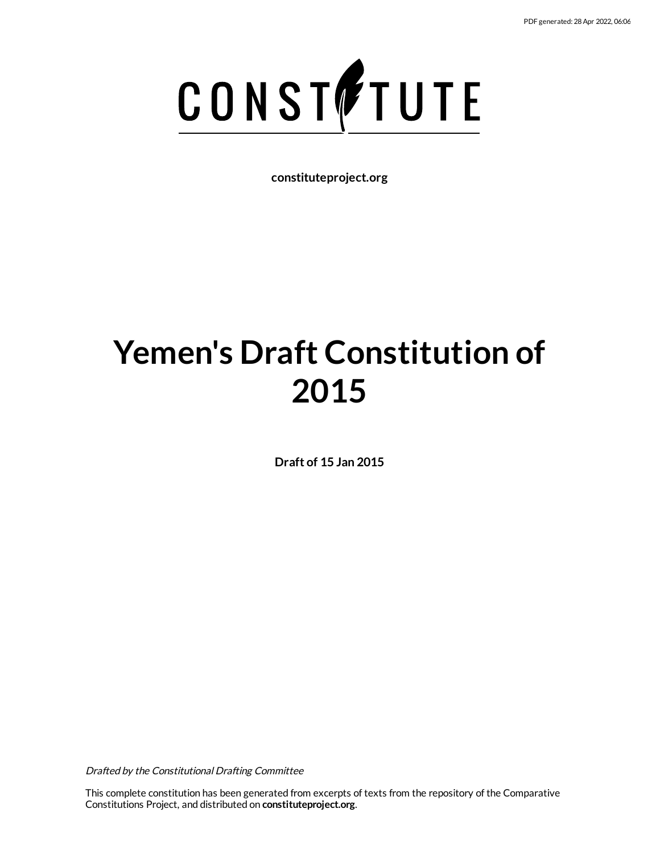

**constituteproject.org**

# **Yemen's Draft Constitution of 2015**

**Draft of 15 Jan 2015**

Drafted by the Constitutional Drafting Committee

This complete constitution has been generated from excerpts of texts from the repository of the Comparative Constitutions Project, and distributed on **constituteproject.org**.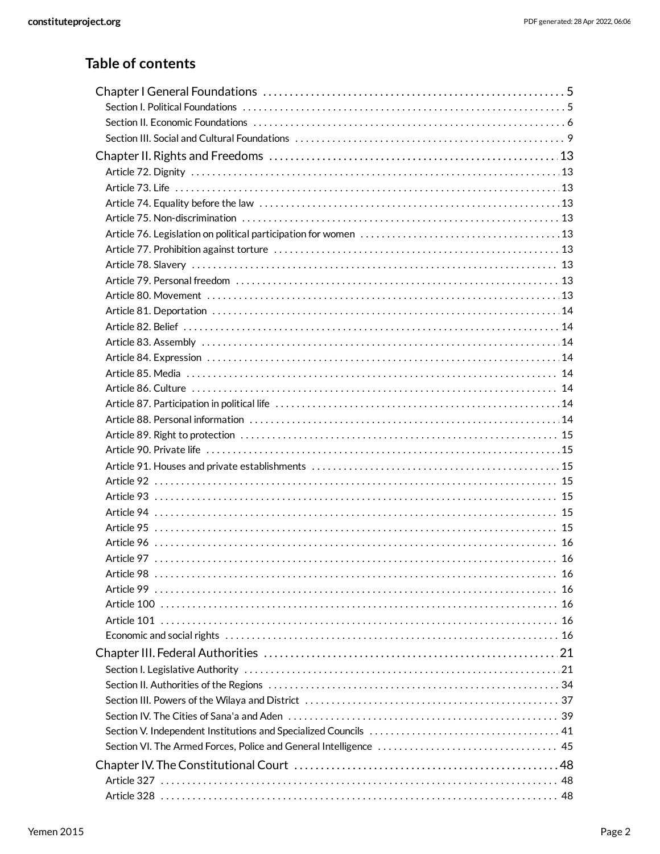# **Table of contents**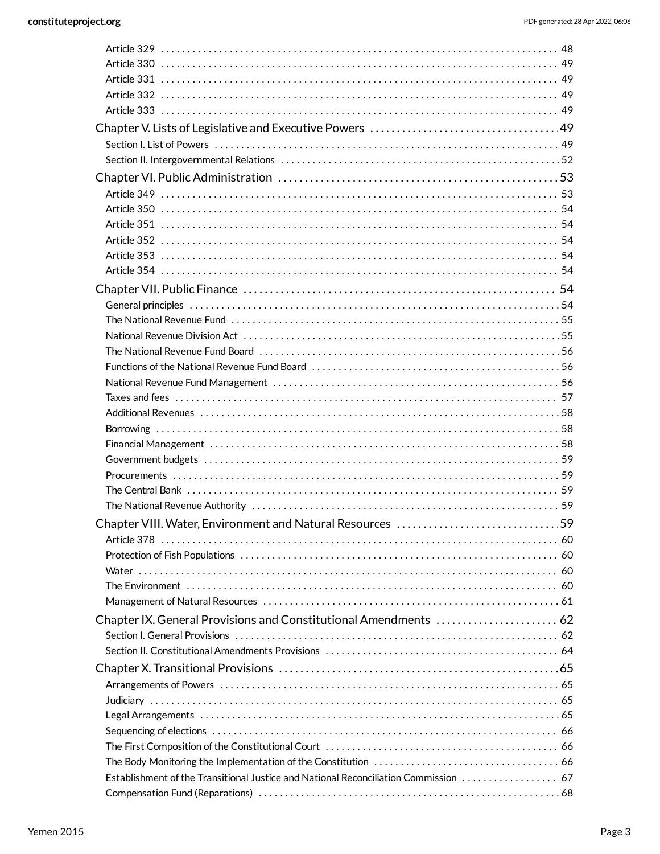| National Revenue Division Act (also continuous continuous continuous continuous continuous continuous continuo |  |
|----------------------------------------------------------------------------------------------------------------|--|
|                                                                                                                |  |
|                                                                                                                |  |
|                                                                                                                |  |
|                                                                                                                |  |
|                                                                                                                |  |
|                                                                                                                |  |
|                                                                                                                |  |
|                                                                                                                |  |
|                                                                                                                |  |
|                                                                                                                |  |
|                                                                                                                |  |
| Chapter VIII. Water, Environment and Natural Resources 59                                                      |  |
|                                                                                                                |  |
|                                                                                                                |  |
|                                                                                                                |  |
|                                                                                                                |  |
|                                                                                                                |  |
|                                                                                                                |  |
|                                                                                                                |  |
|                                                                                                                |  |
|                                                                                                                |  |
|                                                                                                                |  |
|                                                                                                                |  |
|                                                                                                                |  |
|                                                                                                                |  |
|                                                                                                                |  |
|                                                                                                                |  |
|                                                                                                                |  |
|                                                                                                                |  |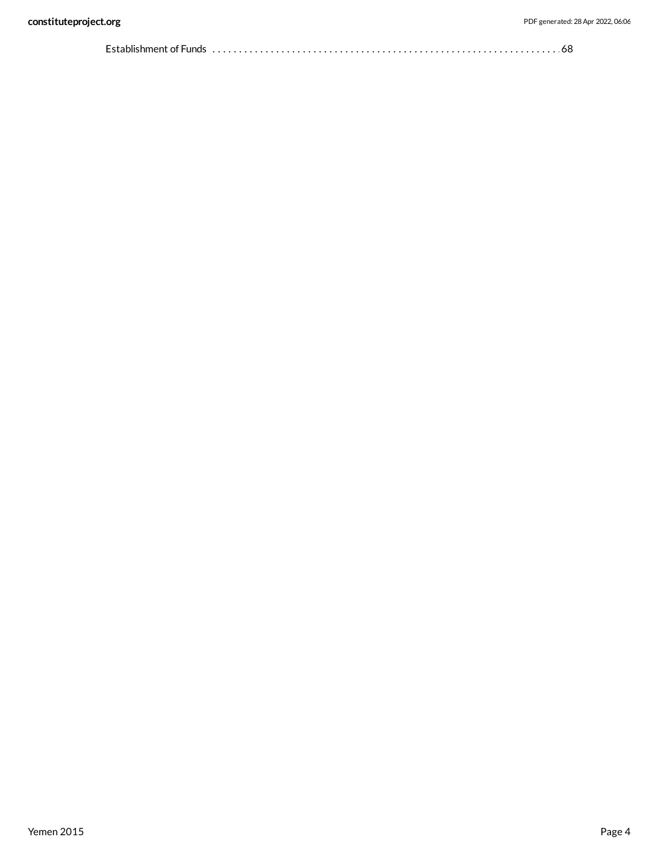|  | Establishment of Funds $\dots\dots\dots\dots\dots\dots\dots\dots\dots\dots\dots\dots\dots\dots\dots\dots\dots\dots$ |  |
|--|---------------------------------------------------------------------------------------------------------------------|--|
|--|---------------------------------------------------------------------------------------------------------------------|--|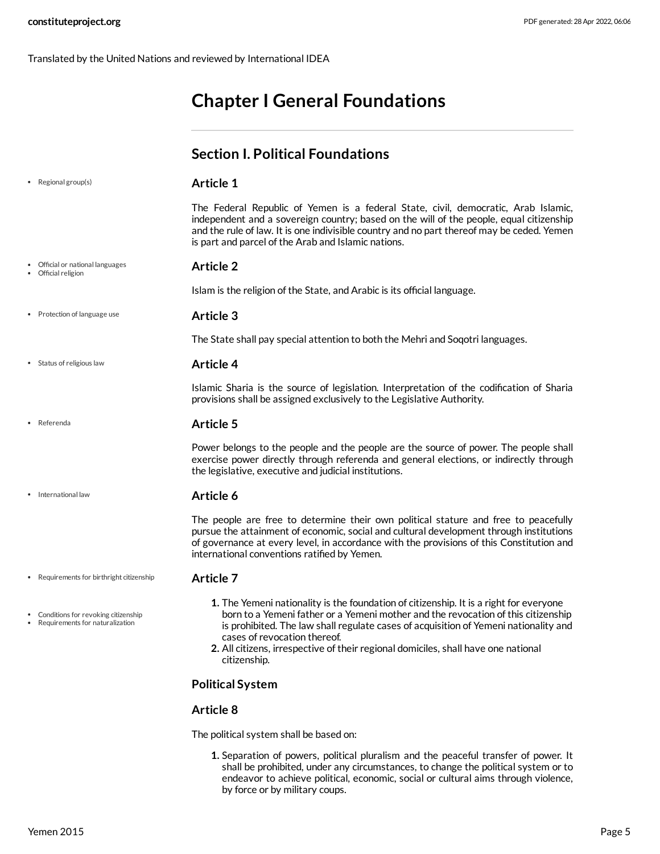Translated by the United Nations and reviewed by International IDEA

# <span id="page-4-1"></span><span id="page-4-0"></span>**Chapter I General Foundations**

|                                                                          | <b>Section I. Political Foundations</b>                                                                                                                                                                                                                                                                                                                                                                   |
|--------------------------------------------------------------------------|-----------------------------------------------------------------------------------------------------------------------------------------------------------------------------------------------------------------------------------------------------------------------------------------------------------------------------------------------------------------------------------------------------------|
| Regional group(s)<br>۰                                                   | <b>Article 1</b>                                                                                                                                                                                                                                                                                                                                                                                          |
|                                                                          | The Federal Republic of Yemen is a federal State, civil, democratic, Arab Islamic,<br>independent and a sovereign country; based on the will of the people, equal citizenship<br>and the rule of law. It is one indivisible country and no part thereof may be ceded. Yemen<br>is part and parcel of the Arab and Islamic nations.                                                                        |
| • Official or national languages<br>• Official religion                  | <b>Article 2</b>                                                                                                                                                                                                                                                                                                                                                                                          |
|                                                                          | Islam is the religion of the State, and Arabic is its official language.                                                                                                                                                                                                                                                                                                                                  |
| • Protection of language use                                             | <b>Article 3</b>                                                                                                                                                                                                                                                                                                                                                                                          |
|                                                                          | The State shall pay special attention to both the Mehri and Soqotri languages.                                                                                                                                                                                                                                                                                                                            |
| • Status of religious law                                                | <b>Article 4</b>                                                                                                                                                                                                                                                                                                                                                                                          |
|                                                                          | Islamic Sharia is the source of legislation. Interpretation of the codification of Sharia<br>provisions shall be assigned exclusively to the Legislative Authority.                                                                                                                                                                                                                                       |
| • Referenda                                                              | <b>Article 5</b>                                                                                                                                                                                                                                                                                                                                                                                          |
|                                                                          | Power belongs to the people and the people are the source of power. The people shall<br>exercise power directly through referenda and general elections, or indirectly through<br>the legislative, executive and judicial institutions.                                                                                                                                                                   |
| International law                                                        | Article 6                                                                                                                                                                                                                                                                                                                                                                                                 |
|                                                                          | The people are free to determine their own political stature and free to peacefully<br>pursue the attainment of economic, social and cultural development through institutions<br>of governance at every level, in accordance with the provisions of this Constitution and<br>international conventions ratified by Yemen.                                                                                |
| • Requirements for birthright citizenship                                | <b>Article 7</b>                                                                                                                                                                                                                                                                                                                                                                                          |
| • Conditions for revoking citizenship<br>Requirements for naturalization | 1. The Yemeni nationality is the foundation of citizenship. It is a right for everyone<br>born to a Yemeni father or a Yemeni mother and the revocation of this citizenship<br>is prohibited. The law shall regulate cases of acquisition of Yemeni nationality and<br>cases of revocation thereof.<br>2. All citizens, irrespective of their regional domiciles, shall have one national<br>citizenship. |
|                                                                          | <b>Political System</b>                                                                                                                                                                                                                                                                                                                                                                                   |
|                                                                          | Article 8                                                                                                                                                                                                                                                                                                                                                                                                 |
|                                                                          |                                                                                                                                                                                                                                                                                                                                                                                                           |

The political system shall be based on:

**1.** Separation of powers, political pluralism and the peaceful transfer of power. It shall be prohibited, under any circumstances, to change the political system or to endeavor to achieve political, economic, social or cultural aims through violence, by force or by military coups.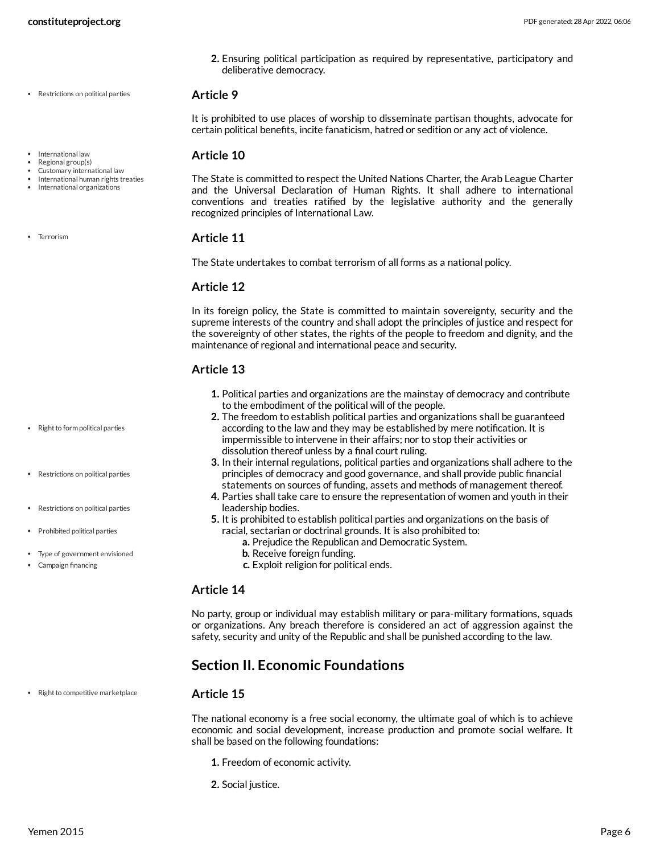**2.** Ensuring political participation as required by representative, participatory and deliberative democracy.

#### **Article 9**

It is prohibited to use places of worship to disseminate partisan thoughts, advocate for certain political benefits, incite fanaticism, hatred or sedition or any act of violence.

#### **Article 10**

The State is committed to respect the United Nations Charter, the Arab League Charter and the Universal Declaration of Human Rights. It shall adhere to international conventions and treaties ratified by the legislative authority and the generally recognized principles of International Law.

#### **Article 11**

The State undertakes to combat terrorism of all forms as a national policy.

### **Article 12**

In its foreign policy, the State is committed to maintain sovereignty, security and the supreme interests of the country and shall adopt the principles of justice and respect for the sovereignty of other states, the rights of the people to freedom and dignity, and the maintenance of regional and international peace and security.

### **Article 13**

- **1.** Political parties and organizations are the mainstay of democracy and contribute to the embodiment of the political will of the people.
- **2.** The freedom to establish political parties and organizations shall be guaranteed according to the law and they may be established by mere notification. It is impermissible to intervene in their affairs; nor to stop their activities or dissolution thereof unless by a final court ruling.
- **3.** In their internal regulations, political parties and organizations shall adhere to the principles of democracy and good governance, and shall provide public financial statements on sources of funding, assets and methods of management thereof.
- **4.** Parties shall take care to ensure the representation of women and youth in their leadership bodies.
- **5.** It is prohibited to establish political parties and organizations on the basis of racial, sectarian or doctrinal grounds. It is also prohibited to:
	- **a.** Prejudice the Republican and Democratic System.
	- **b.** Receive foreign funding.
	- **c.** Exploit religion for political ends.

#### **Article 14**

No party, group or individual may establish military or para-military formations, squads or organizations. Any breach therefore is considered an act of aggression against the safety, security and unity of the Republic and shall be punished according to the law.

### <span id="page-5-0"></span>**Section II. Economic Foundations**

#### **Article 15**

The national economy is a free social economy, the ultimate goal of which is to achieve economic and social development, increase production and promote social welfare. It shall be based on the following foundations:

- **1.** Freedom of economic activity.
- **2.** Social justice.
- International law
- Regional group(s)
- Customary international law International human rights treaties
- International organizations

• Terrorism

• Right to form political parties

Restrictions on political parties

- Restrictions on political parties
- Prohibited political parties
- Type of government envisioned

• Right to competitive marketplace

Campaign financing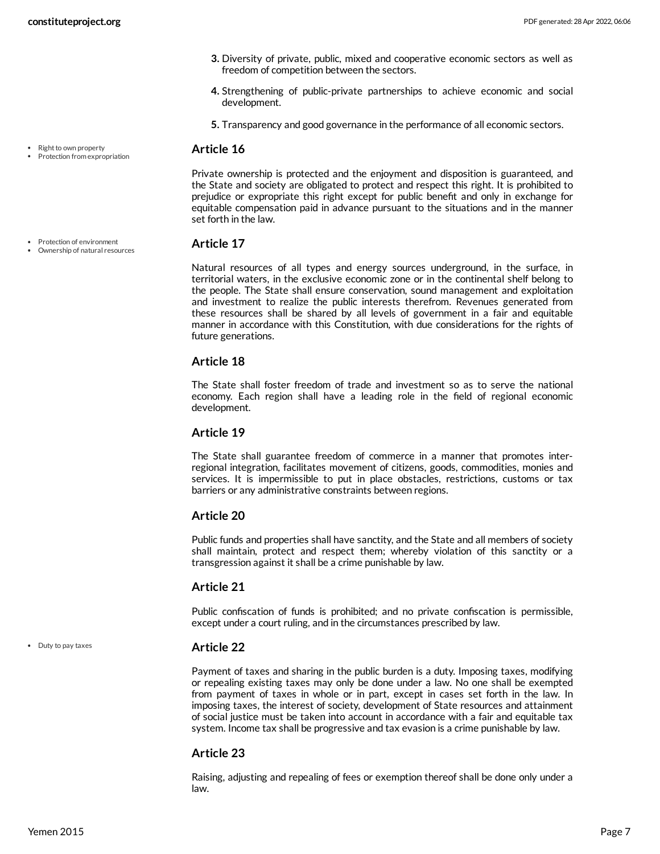- **3.** Diversity of private, public, mixed and cooperative economic sectors as well as freedom of competition between the sectors.
- **4.** Strengthening of public-private partnerships to achieve economic and social development.
- **5.** Transparency and good governance in the performance of all economic sectors.

Private ownership is protected and the enjoyment and disposition is guaranteed, and the State and society are obligated to protect and respect this right. It is prohibited to prejudice or expropriate this right except for public benefit and only in exchange for equitable compensation paid in advance pursuant to the situations and in the manner set forth in the law.

#### **Article 17**

Natural resources of all types and energy sources underground, in the surface, in territorial waters, in the exclusive economic zone or in the continental shelf belong to the people. The State shall ensure conservation, sound management and exploitation and investment to realize the public interests therefrom. Revenues generated from these resources shall be shared by all levels of government in a fair and equitable manner in accordance with this Constitution, with due considerations for the rights of future generations.

#### **Article 18**

The State shall foster freedom of trade and investment so as to serve the national economy. Each region shall have a leading role in the field of regional economic development.

#### **Article 19**

The State shall guarantee freedom of commerce in a manner that promotes interregional integration, facilitates movement of citizens, goods, commodities, monies and services. It is impermissible to put in place obstacles, restrictions, customs or tax barriers or any administrative constraints between regions.

#### **Article 20**

Public funds and properties shall have sanctity, and the State and all members of society shall maintain, protect and respect them; whereby violation of this sanctity or a transgression against it shall be a crime punishable by law.

#### **Article 21**

Public confiscation of funds is prohibited; and no private confiscation is permissible, except under a court ruling, and in the circumstances prescribed by law.

#### **Article 22**

Payment of taxes and sharing in the public burden is a duty. Imposing taxes, modifying or repealing existing taxes may only be done under a law. No one shall be exempted from payment of taxes in whole or in part, except in cases set forth in the law. In imposing taxes, the interest of society, development of State resources and attainment of social justice must be taken into account in accordance with a fair and equitable tax system. Income tax shall be progressive and tax evasion is a crime punishable by law.

#### **Article 23**

Raising, adjusting and repealing of fees or exemption thereof shall be done only under a law.

Protection of environment

Right to own property Protection from expropriation

Ownership of natural resources

Duty to pay taxes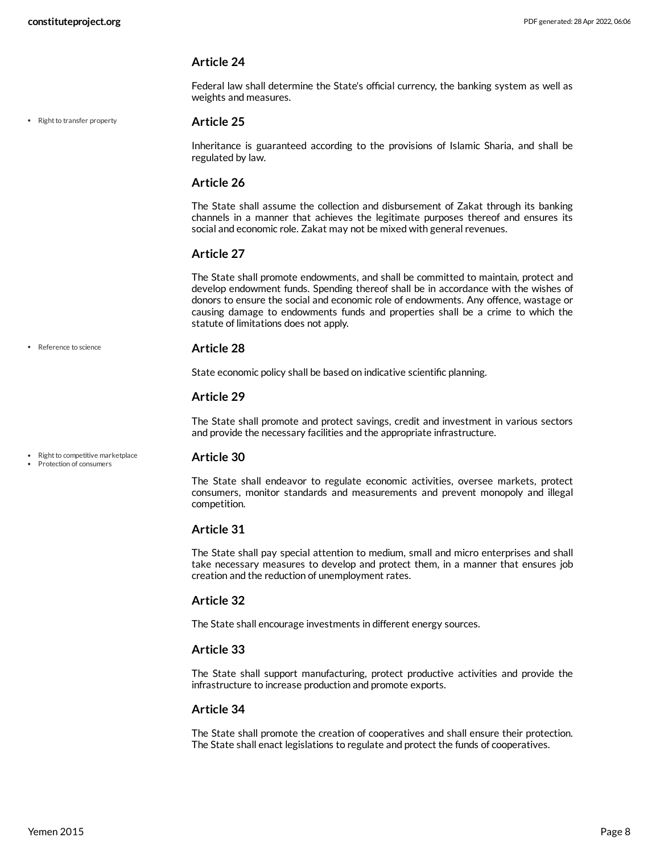Federal law shall determine the State's official currency, the banking system as well as weights and measures.

• Right to transfer property

#### **Article 25**

Inheritance is guaranteed according to the provisions of Islamic Sharia, and shall be regulated by law.

#### **Article 26**

The State shall assume the collection and disbursement of Zakat through its banking channels in a manner that achieves the legitimate purposes thereof and ensures its social and economic role. Zakat may not be mixed with general revenues.

#### **Article 27**

The State shall promote endowments, and shall be committed to maintain, protect and develop endowment funds. Spending thereof shall be in accordance with the wishes of donors to ensure the social and economic role of endowments. Any offence, wastage or causing damage to endowments funds and properties shall be a crime to which the statute of limitations does not apply.

#### • Reference to science

#### **Article 28**

State economic policy shall be based on indicative scientific planning.

#### **Article 29**

The State shall promote and protect savings, credit and investment in various sectors and provide the necessary facilities and the appropriate infrastructure.

- Right to competitive marketplace Protection of consumers
- **Article 30**

The State shall endeavor to regulate economic activities, oversee markets, protect consumers, monitor standards and measurements and prevent monopoly and illegal competition.

#### **Article 31**

The State shall pay special attention to medium, small and micro enterprises and shall take necessary measures to develop and protect them, in a manner that ensures job creation and the reduction of unemployment rates.

#### **Article 32**

The State shall encourage investments in different energy sources.

#### **Article 33**

The State shall support manufacturing, protect productive activities and provide the infrastructure to increase production and promote exports.

#### **Article 34**

The State shall promote the creation of cooperatives and shall ensure their protection. The State shall enact legislations to regulate and protect the funds of cooperatives.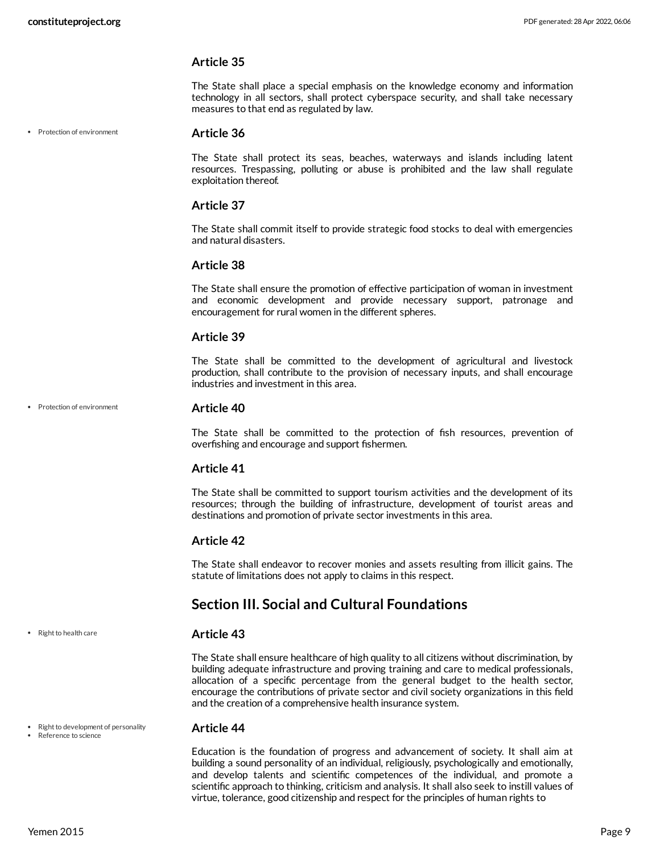The State shall place a special emphasis on the knowledge economy and information technology in all sectors, shall protect cyberspace security, and shall take necessary measures to that end as regulated by law.

• Protection of environment

#### **Article 36**

The State shall protect its seas, beaches, waterways and islands including latent resources. Trespassing, polluting or abuse is prohibited and the law shall regulate exploitation thereof.

#### **Article 37**

The State shall commit itself to provide strategic food stocks to deal with emergencies and natural disasters.

#### **Article 38**

The State shall ensure the promotion of effective participation of woman in investment and economic development and provide necessary support, patronage and encouragement for rural women in the different spheres.

#### **Article 39**

The State shall be committed to the development of agricultural and livestock production, shall contribute to the provision of necessary inputs, and shall encourage industries and investment in this area.

• Protection of environment

#### **Article 40**

The State shall be committed to the protection of fish resources, prevention of overfishing and encourage and support fishermen.

#### **Article 41**

The State shall be committed to support tourism activities and the development of its resources; through the building of infrastructure, development of tourist areas and destinations and promotion of private sector investments in this area.

#### **Article 42**

The State shall endeavor to recover monies and assets resulting from illicit gains. The statute of limitations does not apply to claims in this respect.

### <span id="page-8-0"></span>**Section III. Social and Cultural Foundations**

#### **Article 43**

The State shall ensure healthcare of high quality to all citizens without discrimination, by building adequate infrastructure and proving training and care to medical professionals, allocation of a specific percentage from the general budget to the health sector, encourage the contributions of private sector and civil society organizations in this field and the creation of a comprehensive health insurance system.

#### **Article 44**

Education is the foundation of progress and advancement of society. It shall aim at building a sound personality of an individual, religiously, psychologically and emotionally, and develop talents and scientific competences of the individual, and promote a scientific approach to thinking, criticism and analysis. It shall also seek to instill values of virtue, tolerance, good citizenship and respect for the principles of human rights to

• Right to health care

• Right to development of personality

• Reference to science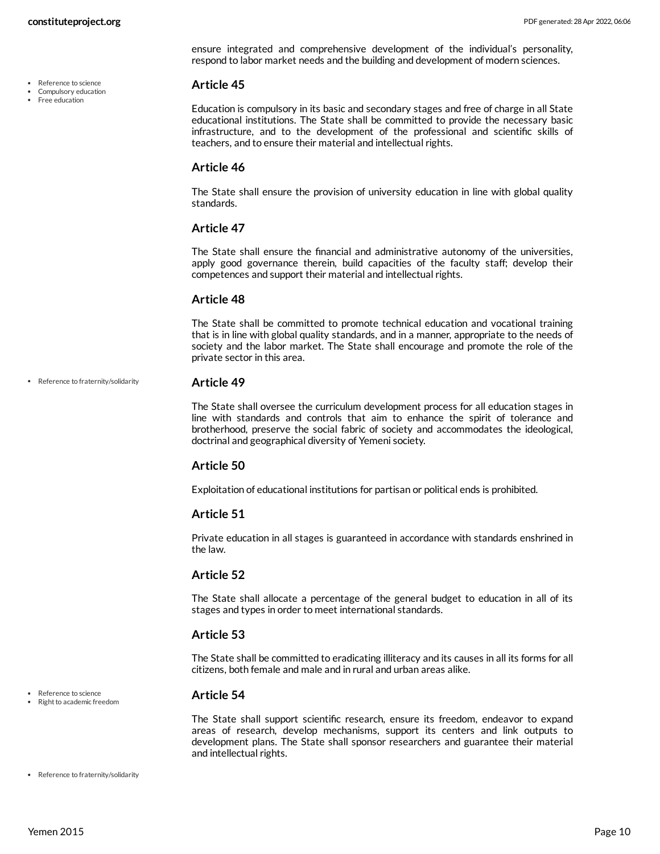- Reference to science
- Compulsory education
- Free education

ensure integrated and comprehensive development of the individual's personality, respond to labor market needs and the building and development of modern sciences.

#### **Article 45**

Education is compulsory in its basic and secondary stages and free of charge in all State educational institutions. The State shall be committed to provide the necessary basic infrastructure, and to the development of the professional and scientific skills of teachers, and to ensure their material and intellectual rights.

#### **Article 46**

The State shall ensure the provision of university education in line with global quality standards.

#### **Article 47**

The State shall ensure the financial and administrative autonomy of the universities, apply good governance therein, build capacities of the faculty staff; develop their competences and support their material and intellectual rights.

#### **Article 48**

The State shall be committed to promote technical education and vocational training that is in line with global quality standards, and in a manner, appropriate to the needs of society and the labor market. The State shall encourage and promote the role of the private sector in this area.

• Reference to fraternity/solidarity

#### **Article 49**

The State shall oversee the curriculum development process for all education stages in line with standards and controls that aim to enhance the spirit of tolerance and brotherhood, preserve the social fabric of society and accommodates the ideological, doctrinal and geographical diversity of Yemeni society.

#### **Article 50**

Exploitation of educational institutions for partisan or political ends is prohibited.

#### **Article 51**

Private education in all stages is guaranteed in accordance with standards enshrined in the law.

#### **Article 52**

The State shall allocate a percentage of the general budget to education in all of its stages and types in order to meet international standards.

#### **Article 53**

The State shall be committed to eradicating illiteracy and its causes in all its forms for all citizens, both female and male and in rural and urban areas alike.

#### **Article 54**

The State shall support scientific research, ensure its freedom, endeavor to expand areas of research, develop mechanisms, support its centers and link outputs to development plans. The State shall sponsor researchers and guarantee their material and intellectual rights.

• Reference to fraternity/solidarity

Reference to science Right to academic freedom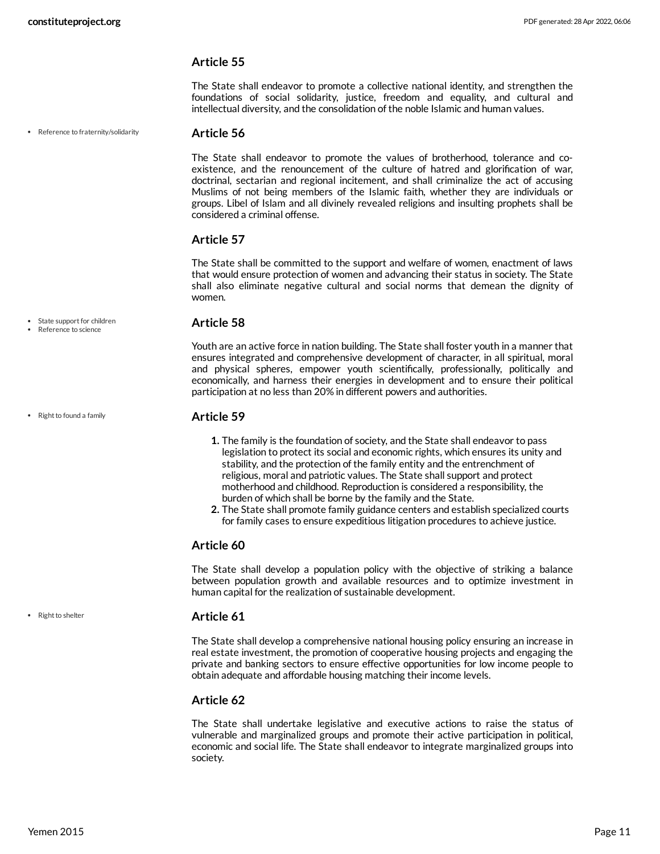The State shall endeavor to promote a collective national identity, and strengthen the foundations of social solidarity, justice, freedom and equality, and cultural and intellectual diversity, and the consolidation of the noble Islamic and human values.

• Reference to fraternity/solidarity

#### **Article 56**

The State shall endeavor to promote the values of brotherhood, tolerance and coexistence, and the renouncement of the culture of hatred and glorification of war, doctrinal, sectarian and regional incitement, and shall criminalize the act of accusing Muslims of not being members of the Islamic faith, whether they are individuals or groups. Libel of Islam and all divinely revealed religions and insulting prophets shall be considered a criminal offense.

#### **Article 57**

The State shall be committed to the support and welfare of women, enactment of laws that would ensure protection of women and advancing their status in society. The State shall also eliminate negative cultural and social norms that demean the dignity of women.

#### **Article 58**

Youth are an active force in nation building. The State shall foster youth in a manner that ensures integrated and comprehensive development of character, in all spiritual, moral and physical spheres, empower youth scientifically, professionally, politically and economically, and harness their energies in development and to ensure their political participation at no less than 20% in different powers and authorities.

#### **Article 59**

- **1.** The family is the foundation of society, and the State shall endeavor to pass legislation to protect its social and economic rights, which ensures its unity and stability, and the protection of the family entity and the entrenchment of religious, moral and patriotic values. The State shall support and protect motherhood and childhood. Reproduction is considered a responsibility, the burden of which shall be borne by the family and the State.
- **2.** The State shall promote family guidance centers and establish specialized courts for family cases to ensure expeditious litigation procedures to achieve justice.

#### **Article 60**

The State shall develop a population policy with the objective of striking a balance between population growth and available resources and to optimize investment in human capital for the realization of sustainable development.

#### **Article 61**

The State shall develop a comprehensive national housing policy ensuring an increase in real estate investment, the promotion of cooperative housing projects and engaging the private and banking sectors to ensure effective opportunities for low income people to obtain adequate and affordable housing matching their income levels.

#### **Article 62**

The State shall undertake legislative and executive actions to raise the status of vulnerable and marginalized groups and promote their active participation in political, economic and social life. The State shall endeavor to integrate marginalized groups into society.

• State support for children

Reference to science

• Right to found a family

• Right to shelter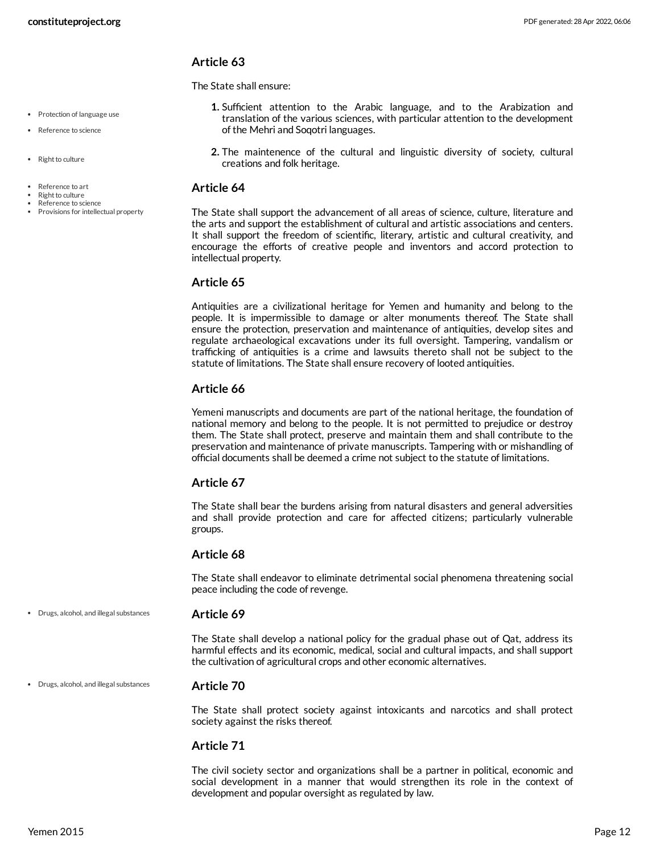• Protection of language use • Reference to science

Provisions for intellectual property

• Right to culture

Reference to art Right to culture Reference to science

#### **Article 63**

The State shall ensure:

- **1.** Sufficient attention to the Arabic language, and to the Arabization and translation of the various sciences, with particular attention to the development of the Mehri and Soqotri languages.
- **2.** The maintenence of the cultural and linguistic diversity of society, cultural creations and folk heritage.

#### **Article 64**

The State shall support the advancement of all areas of science, culture, literature and the arts and support the establishment of cultural and artistic associations and centers. It shall support the freedom of scientific, literary, artistic and cultural creativity, and encourage the efforts of creative people and inventors and accord protection to intellectual property.

#### **Article 65**

Antiquities are a civilizational heritage for Yemen and humanity and belong to the people. It is impermissible to damage or alter monuments thereof. The State shall ensure the protection, preservation and maintenance of antiquities, develop sites and regulate archaeological excavations under its full oversight. Tampering, vandalism or trafficking of antiquities is a crime and lawsuits thereto shall not be subject to the statute of limitations. The State shall ensure recovery of looted antiquities.

#### **Article 66**

Yemeni manuscripts and documents are part of the national heritage, the foundation of national memory and belong to the people. It is not permitted to prejudice or destroy them. The State shall protect, preserve and maintain them and shall contribute to the preservation and maintenance of private manuscripts. Tampering with or mishandling of official documents shall be deemed a crime not subject to the statute of limitations.

#### **Article 67**

The State shall bear the burdens arising from natural disasters and general adversities and shall provide protection and care for affected citizens; particularly vulnerable groups.

#### **Article 68**

The State shall endeavor to eliminate detrimental social phenomena threatening social peace including the code of revenge.

- Drugs, alcohol, and illegal substances
	- **Article 69**

The State shall develop a national policy for the gradual phase out of Qat, address its harmful effects and its economic, medical, social and cultural impacts, and shall support the cultivation of agricultural crops and other economic alternatives.

Drugs, alcohol, and illegal substances

The State shall protect society against intoxicants and narcotics and shall protect society against the risks thereof.

#### **Article 71**

**Article 70**

The civil society sector and organizations shall be a partner in political, economic and social development in a manner that would strengthen its role in the context of development and popular oversight as regulated by law.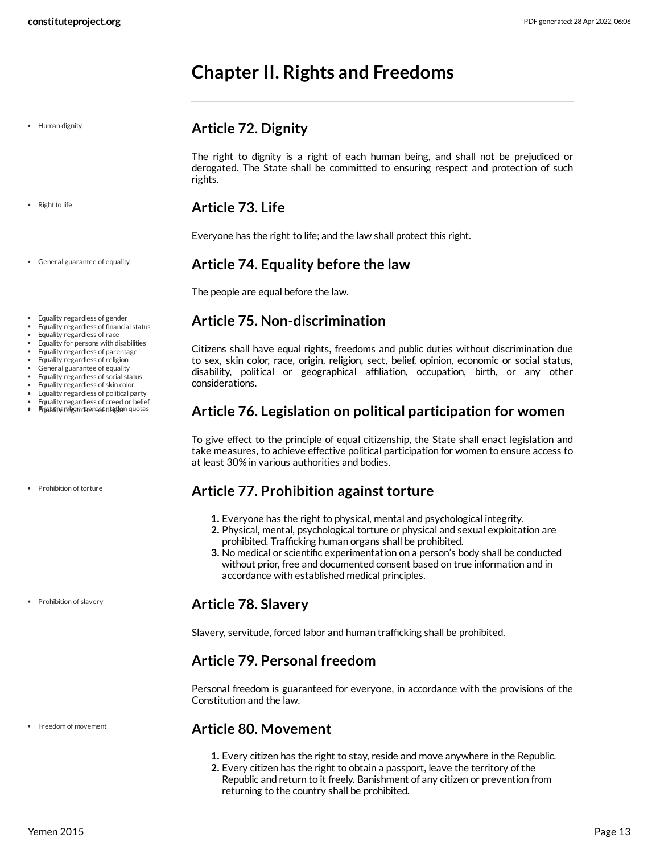# <span id="page-12-0"></span>**Chapter II. Rights and Freedoms**

• Human dignity

#### • Right to life

General guarantee of equality

- Equality regardless of gender
- Equality regardless of financial status
- Equality regardless of race
- Equality for persons with disabilities
- Equality regardless of parentage
- Equality regardless of religion
- General guarantee of equality
- Equality regardless of social status
- Equality regardless of skin color
- Equality regardless of political party
- Equality regardless of creed or belief  $\bullet$ Eigshrita relger drevsese of at in quotas

Prohibition of torture

• Prohibition of slavery

• Freedom of movement

### <span id="page-12-1"></span>**Article 72. Dignity**

The right to dignity is a right of each human being, and shall not be prejudiced or derogated. The State shall be committed to ensuring respect and protection of such rights.

### <span id="page-12-2"></span>**Article 73. Life**

Everyone has the right to life; and the law shall protect this right.

### <span id="page-12-3"></span>**Article 74. Equality before the law**

The people are equal before the law.

### <span id="page-12-4"></span>**Article 75. Non-discrimination**

Citizens shall have equal rights, freedoms and public duties without discrimination due to sex, skin color, race, origin, religion, sect, belief, opinion, economic or social status, disability, political or geographical affiliation, occupation, birth, or any other considerations.

### <span id="page-12-5"></span>**Article 76. Legislation on political participation for women**

To give effect to the principle of equal citizenship, the State shall enact legislation and take measures, to achieve effective political participation for women to ensure access to at least 30% in various authorities and bodies.

### <span id="page-12-6"></span>**Article 77. Prohibition against torture**

- **1.** Everyone has the right to physical, mental and psychological integrity.
- **2.** Physical, mental, psychological torture or physical and sexual exploitation are prohibited. Trafficking human organs shall be prohibited.
- **3.** No medical or scientific experimentation on a person's body shall be conducted without prior, free and documented consent based on true information and in accordance with established medical principles.

### <span id="page-12-7"></span>**Article 78. Slavery**

Slavery, servitude, forced labor and human trafficking shall be prohibited.

### <span id="page-12-8"></span>**Article 79. Personal freedom**

Personal freedom is guaranteed for everyone, in accordance with the provisions of the Constitution and the law.

### <span id="page-12-9"></span>**Article 80. Movement**

- **1.** Every citizen has the right to stay, reside and move anywhere in the Republic.
- **2.** Every citizen has the right to obtain a passport, leave the territory of the Republic and return to it freely. Banishment of any citizen or prevention from returning to the country shall be prohibited.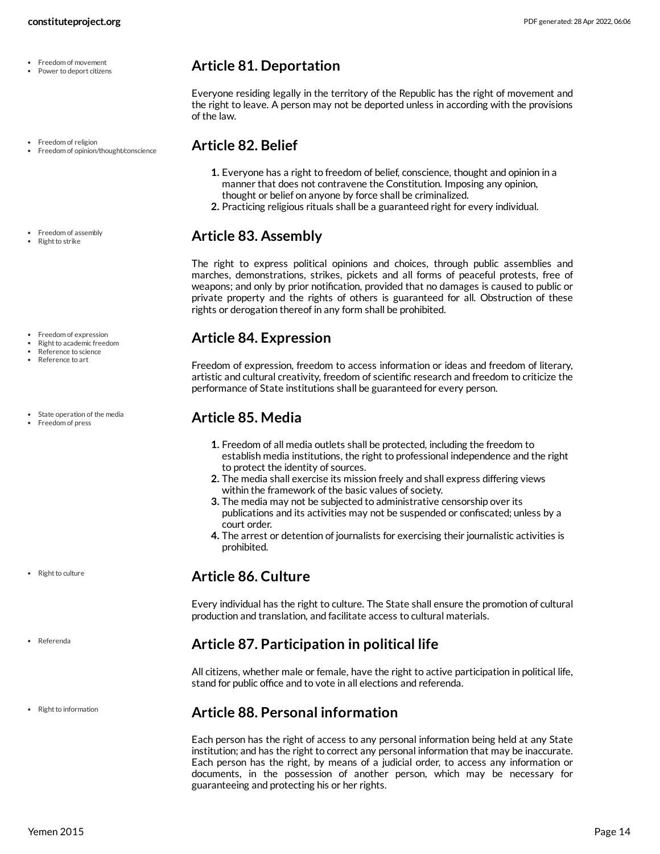- Freedom of movement Power to deport citizens
- Freedom of religion Freedom of opinion/thought/conscience
- Freedom of assembly
- Right to strike
- Freedom of expression
- Right to academic freedom Reference to science
- Reference to art
- State operation of the media
- Freedom of press

- Right to culture
- Referenda
- Right to information

### <span id="page-13-0"></span>**Article 81. Deportation**

Everyone residing legally in the territory of the Republic has the right of movement and the right to leave. A person may not be deported unless in according with the provisions of the law.

### <span id="page-13-1"></span>**Article 82. Belief**

- **1.** Everyone has a right to freedom of belief, conscience, thought and opinion in a manner that does not contravene the Constitution. Imposing any opinion, thought or belief on anyone by force shall be criminalized.
- **2.** Practicing religious rituals shall be a guaranteed right for every individual.

### <span id="page-13-2"></span>**Article 83. Assembly**

The right to express political opinions and choices, through public assemblies and marches, demonstrations, strikes, pickets and all forms of peaceful protests, free of weapons; and only by prior notification, provided that no damages is caused to public or private property and the rights of others is guaranteed for all. Obstruction of these rights or derogation thereof in any form shall be prohibited.

### <span id="page-13-3"></span>**Article 84. Expression**

Freedom of expression, freedom to access information or ideas and freedom of literary, artistic and cultural creativity, freedom of scientific research and freedom to criticize the performance of State institutions shall be guaranteed for every person.

## <span id="page-13-4"></span>**Article 85. Media**

- **1.** Freedom of all media outlets shall be protected, including the freedom to establish media institutions, the right to professional independence and the right to protect the identity of sources.
- **2.** The media shall exercise its mission freely and shall express differing views within the framework of the basic values of society.
- **3.** The media may not be subjected to administrative censorship over its publications and its activities may not be suspended or confiscated; unless by a court order.
- **4.** The arrest or detention of journalists for exercising their journalistic activities is prohibited.

### <span id="page-13-5"></span>**Article 86. Culture**

Every individual has the right to culture. The State shall ensure the promotion of cultural production and translation, and facilitate access to cultural materials.

### <span id="page-13-6"></span>**Article 87. Participation in political life**

All citizens, whether male or female, have the right to active participation in political life, stand for public office and to vote in all elections and referenda.

### <span id="page-13-7"></span>**Article 88. Personal information**

Each person has the right of access to any personal information being held at any State institution; and has the right to correct any personal information that may be inaccurate. Each person has the right, by means of a judicial order, to access any information or documents, in the possession of another person, which may be necessary for guaranteeing and protecting his or her rights.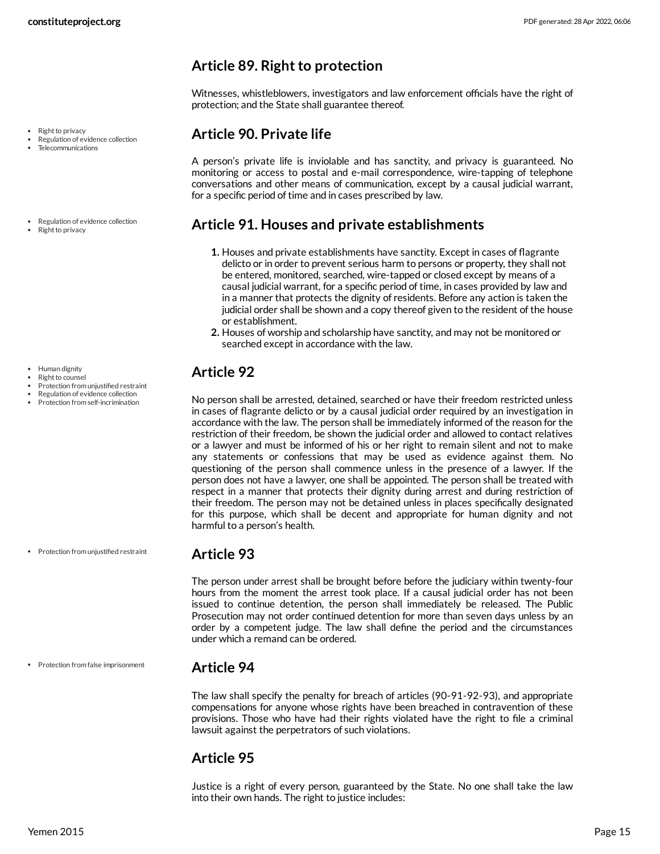- Right to privacy
- Regulation of evidence collection Telecommunications
- Regulation of evidence collection
- Right to privacy

- Human dignity
- Right to counsel Protection from unjustified restraint
- Regulation of evidence collection
- Protection from self-incrimination

• Protection from unjustified restraint

• Protection from false imprisonment

### <span id="page-14-0"></span>**Article 89. Right to protection**

Witnesses, whistleblowers, investigators and law enforcement officials have the right of protection; and the State shall guarantee thereof.

### <span id="page-14-1"></span>**Article 90. Private life**

A person's private life is inviolable and has sanctity, and privacy is guaranteed. No monitoring or access to postal and e-mail correspondence, wire-tapping of telephone conversations and other means of communication, except by a causal judicial warrant, for a specific period of time and in cases prescribed by law.

### <span id="page-14-2"></span>**Article 91. Houses and private establishments**

- **1.** Houses and private establishments have sanctity. Except in cases of flagrante delicto or in order to prevent serious harm to persons or property, they shall not be entered, monitored, searched, wire-tapped or closed except by means of a causal judicial warrant, for a specific period of time, in cases provided by law and in a manner that protects the dignity of residents. Before any action is taken the judicial order shall be shown and a copy thereof given to the resident of the house or establishment.
- **2.** Houses of worship and scholarship have sanctity, and may not be monitored or searched except in accordance with the law.

## <span id="page-14-3"></span>**Article 92**

No person shall be arrested, detained, searched or have their freedom restricted unless in cases of flagrante delicto or by a causal judicial order required by an investigation in accordance with the law. The person shall be immediately informed of the reason for the restriction of their freedom, be shown the judicial order and allowed to contact relatives or a lawyer and must be informed of his or her right to remain silent and not to make any statements or confessions that may be used as evidence against them. No questioning of the person shall commence unless in the presence of a lawyer. If the person does not have a lawyer, one shall be appointed. The person shall be treated with respect in a manner that protects their dignity during arrest and during restriction of their freedom. The person may not be detained unless in places specifically designated for this purpose, which shall be decent and appropriate for human dignity and not harmful to a person's health.

### <span id="page-14-4"></span>**Article 93**

The person under arrest shall be brought before before the judiciary within twenty-four hours from the moment the arrest took place. If a causal judicial order has not been issued to continue detention, the person shall immediately be released. The Public Prosecution may not order continued detention for more than seven days unless by an order by a competent judge. The law shall define the period and the circumstances under which a remand can be ordered.

### <span id="page-14-5"></span>**Article 94**

The law shall specify the penalty for breach of articles (90-91-92-93), and appropriate compensations for anyone whose rights have been breached in contravention of these provisions. Those who have had their rights violated have the right to file a criminal lawsuit against the perpetrators of such violations.

### <span id="page-14-6"></span>**Article 95**

Justice is a right of every person, guaranteed by the State. No one shall take the law into their own hands. The right to justice includes: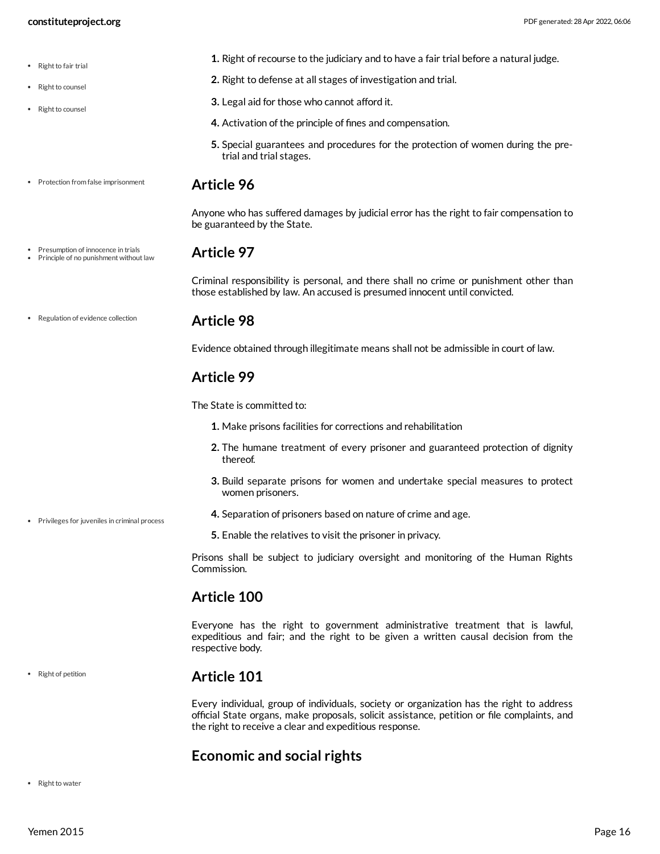<span id="page-15-3"></span><span id="page-15-2"></span><span id="page-15-1"></span><span id="page-15-0"></span>**1.** Right of recourse to the judiciary and to have a fair trial before a natural judge. **2.** Right to defense at all stages of investigation and trial. **3.** Legal aid for those who cannot afford it. **4.** Activation of the principle of fines and compensation. **5.** Special guarantees and procedures for the protection of women during the pretrial and trial stages. **Article 96** Anyone who has suffered damages by judicial error has the right to fair compensation to be guaranteed by the State. **Article 97** Criminal responsibility is personal, and there shall no crime or punishment other than those established by law. An accused is presumed innocent until convicted. **Article 98** Evidence obtained through illegitimate means shall not be admissible in court of law. **Article 99** The State is committed to: **1.** Make prisons facilities for corrections and rehabilitation **2.** The humane treatment of every prisoner and guaranteed protection of dignity thereof. **3.** Build separate prisons for women and undertake special measures to protect women prisoners. **4.** Separation of prisoners based on nature of crime and age. **5.** Enable the relatives to visit the prisoner in privacy. Prisons shall be subject to judiciary oversight and monitoring of the Human Rights Commission. **Article 100** Everyone has the right to government administrative treatment that is lawful, expeditious and fair; and the right to be given a written causal decision from the respective body. **Article 101** Every individual, group of individuals, society or organization has the right to address official State organs, make proposals, solicit assistance, petition or file complaints, and the right to receive a clear and expeditious response. • Right to fair trial • Right to counsel • Right to counsel • Protection from false imprisonment Presumption of innocence in trials • Principle of no punishment without law Regulation of evidence collection Privileges for juveniles in criminal process • Right of petition

# <span id="page-15-6"></span><span id="page-15-5"></span><span id="page-15-4"></span>**Economic and social rights**

• Right to water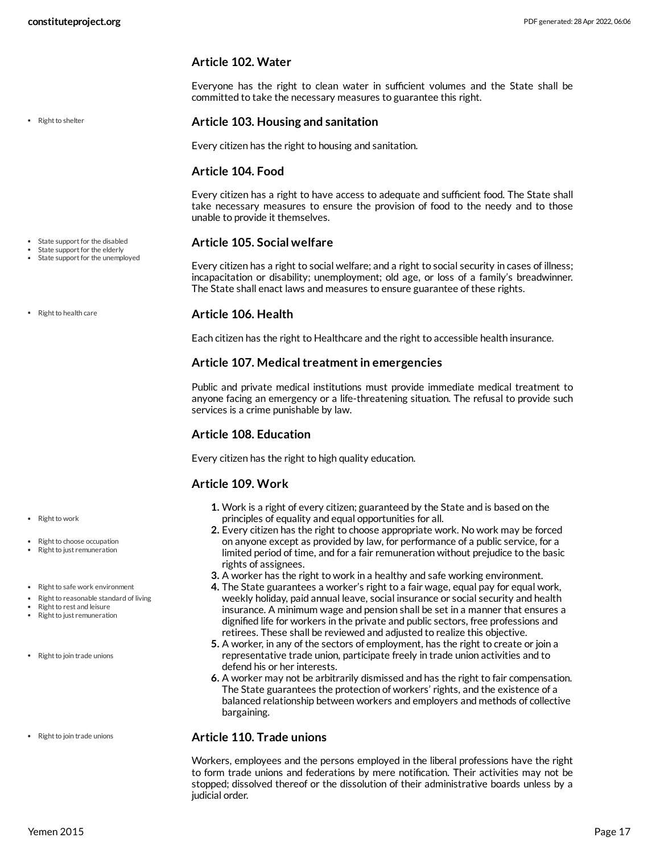#### **Article 102. Water**

Everyone has the right to clean water in sufficient volumes and the State shall be committed to take the necessary measures to guarantee this right.

• Right to shelter

• State support for the disabled

State support for the elderly • State support for the unemployed

• Right to health care

• Right to work

- Right to choose occupation Right to just remuneration
- Right to safe work environment
- Right to reasonable standard of living
- Right to rest and leisure
- Right to just remuneration
- Right to join trade unions
- Right to join trade unions

#### **Article 103. Housing and sanitation**

Every citizen has the right to housing and sanitation.

#### **Article 104. Food**

Every citizen has a right to have access to adequate and sufficient food. The State shall take necessary measures to ensure the provision of food to the needy and to those unable to provide it themselves.

#### **Article 105. Social welfare**

Every citizen has a right to social welfare; and a right to social security in cases of illness; incapacitation or disability; unemployment; old age, or loss of a family's breadwinner. The State shall enact laws and measures to ensure guarantee of these rights.

#### **Article 106. Health**

Each citizen has the right to Healthcare and the right to accessible health insurance.

#### **Article 107. Medicaltreatmentin emergencies**

Public and private medical institutions must provide immediate medical treatment to anyone facing an emergency or a life-threatening situation. The refusal to provide such services is a crime punishable by law.

#### **Article 108. Education**

Every citizen has the right to high quality education.

#### **Article 109. Work**

- **1.** Work is a right of every citizen; guaranteed by the State and is based on the principles of equality and equal opportunities for all.
- **2.** Every citizen has the right to choose appropriate work. No work may be forced on anyone except as provided by law, for performance of a public service, for a limited period of time, and for a fair remuneration without prejudice to the basic rights of assignees.
- **3.** A worker has the right to work in a healthy and safe working environment.
- **4.** The State guarantees a worker's right to a fair wage, equal pay for equal work, weekly holiday, paid annual leave, social insurance or social security and health insurance. A minimum wage and pension shall be set in a manner that ensures a dignified life for workers in the private and public sectors, free professions and retirees. These shall be reviewed and adjusted to realize this objective.
- **5.** A worker, in any of the sectors of employment, has the right to create or join a representative trade union, participate freely in trade union activities and to defend his or her interests.
- **6.** A worker may not be arbitrarily dismissed and has the right to fair compensation. The State guarantees the protection of workers' rights, and the existence of a balanced relationship between workers and employers and methods of collective bargaining.

#### **Article 110. Trade unions**

Workers, employees and the persons employed in the liberal professions have the right to form trade unions and federations by mere notification. Their activities may not be stopped; dissolved thereof or the dissolution of their administrative boards unless by a judicial order.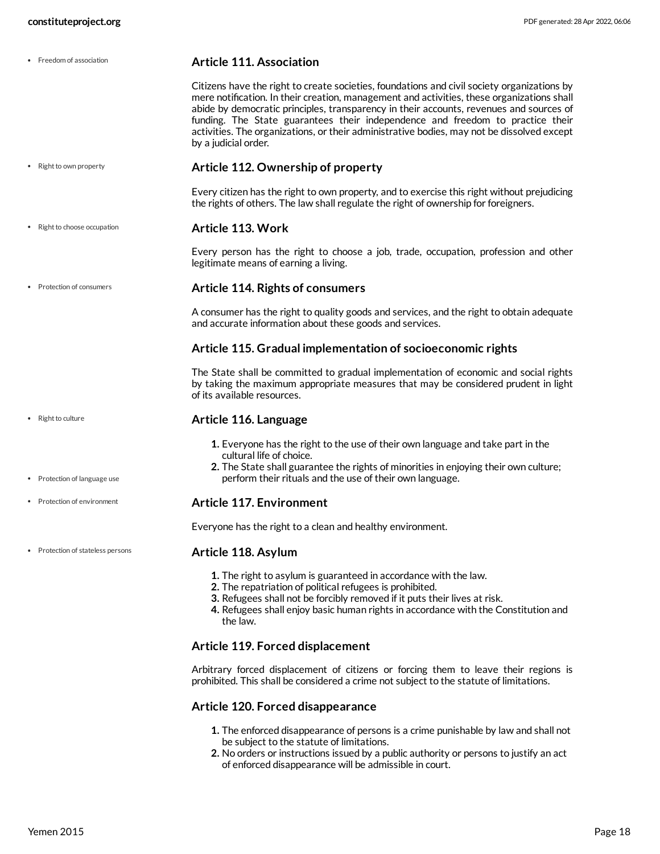| • Freedom of association        | <b>Article 111. Association</b>                                                                                                                                                                                                                                                                                                                                                                                                                                                              |
|---------------------------------|----------------------------------------------------------------------------------------------------------------------------------------------------------------------------------------------------------------------------------------------------------------------------------------------------------------------------------------------------------------------------------------------------------------------------------------------------------------------------------------------|
|                                 | Citizens have the right to create societies, foundations and civil society organizations by<br>mere notification. In their creation, management and activities, these organizations shall<br>abide by democratic principles, transparency in their accounts, revenues and sources of<br>funding. The State guarantees their independence and freedom to practice their<br>activities. The organizations, or their administrative bodies, may not be dissolved except<br>by a judicial order. |
| • Right to own property         | Article 112. Ownership of property                                                                                                                                                                                                                                                                                                                                                                                                                                                           |
|                                 | Every citizen has the right to own property, and to exercise this right without prejudicing<br>the rights of others. The law shall regulate the right of ownership for foreigners.                                                                                                                                                                                                                                                                                                           |
| Right to choose occupation      | Article 113. Work                                                                                                                                                                                                                                                                                                                                                                                                                                                                            |
|                                 | Every person has the right to choose a job, trade, occupation, profession and other<br>legitimate means of earning a living.                                                                                                                                                                                                                                                                                                                                                                 |
| Protection of consumers         | <b>Article 114. Rights of consumers</b>                                                                                                                                                                                                                                                                                                                                                                                                                                                      |
|                                 | A consumer has the right to quality goods and services, and the right to obtain adequate<br>and accurate information about these goods and services.                                                                                                                                                                                                                                                                                                                                         |
|                                 | Article 115. Gradual implementation of socioeconomic rights                                                                                                                                                                                                                                                                                                                                                                                                                                  |
|                                 | The State shall be committed to gradual implementation of economic and social rights<br>by taking the maximum appropriate measures that may be considered prudent in light<br>of its available resources.                                                                                                                                                                                                                                                                                    |
| • Right to culture              | Article 116. Language                                                                                                                                                                                                                                                                                                                                                                                                                                                                        |
| • Protection of language use    | 1. Everyone has the right to the use of their own language and take part in the<br>cultural life of choice.<br>2. The State shall guarantee the rights of minorities in enjoying their own culture;<br>perform their rituals and the use of their own language.                                                                                                                                                                                                                              |
| Protection of environment       | <b>Article 117. Environment</b>                                                                                                                                                                                                                                                                                                                                                                                                                                                              |
|                                 | Everyone has the right to a clean and healthy environment.                                                                                                                                                                                                                                                                                                                                                                                                                                   |
| Protection of stateless persons | Article 118. Asylum                                                                                                                                                                                                                                                                                                                                                                                                                                                                          |
|                                 | 1. The right to asylum is guaranteed in accordance with the law.<br>2. The repatriation of political refugees is prohibited.<br>3. Refugees shall not be forcibly removed if it puts their lives at risk.<br>4. Refugees shall enjoy basic human rights in accordance with the Constitution and<br>the law.                                                                                                                                                                                  |
|                                 | Article 119. Forced displacement                                                                                                                                                                                                                                                                                                                                                                                                                                                             |
|                                 | Arbitrary forced displacement of citizens or forcing them to leave their regions is<br>prohibited. This shall be considered a crime not subject to the statute of limitations.                                                                                                                                                                                                                                                                                                               |
|                                 | Article 120. Forced disappearance                                                                                                                                                                                                                                                                                                                                                                                                                                                            |

- **1.** The enforced disappearance of persons is a crime punishable by law and shall not be subject to the statute of limitations.
- **2.** No orders or instructions issued by a public authority or persons to justify an act of enforced disappearance will be admissible in court.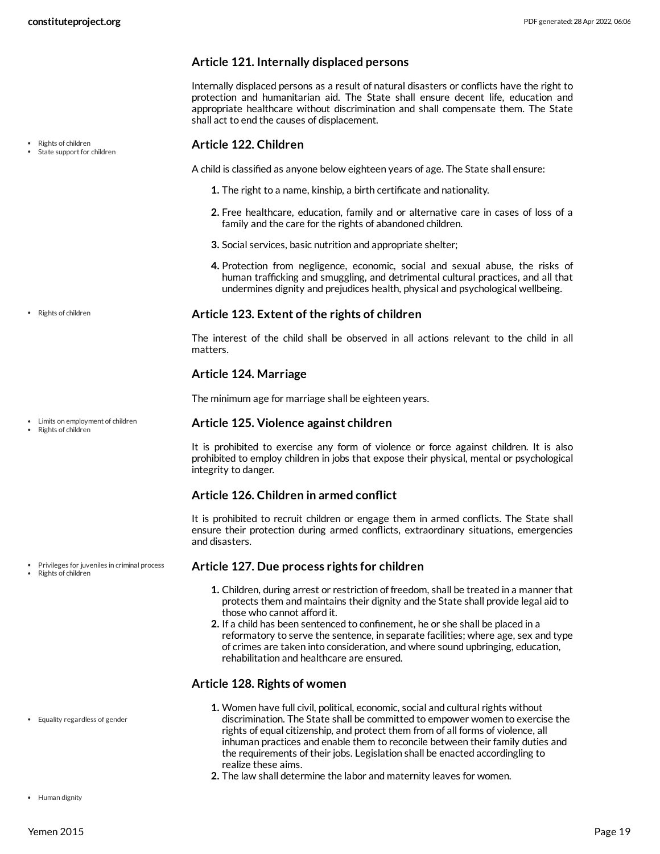### **Article 121. Internally displaced persons**

Internally displaced persons as a result of natural disasters or conflicts have the right to protection and humanitarian aid. The State shall ensure decent life, education and appropriate healthcare without discrimination and shall compensate them. The State shall act to end the causes of displacement.

#### **Article 122. Children**

A child is classified as anyone below eighteen years of age. The State shall ensure:

- **1.** The right to a name, kinship, a birth certificate and nationality.
- **2.** Free healthcare, education, family and or alternative care in cases of loss of a family and the care for the rights of abandoned children.
- **3.** Social services, basic nutrition and appropriate shelter;
- **4.** Protection from negligence, economic, social and sexual abuse, the risks of human trafficking and smuggling, and detrimental cultural practices, and all that undermines dignity and prejudices health, physical and psychological wellbeing.

#### **Article 123. Extent of the rights of children**

The interest of the child shall be observed in all actions relevant to the child in all matters.

#### **Article 124. Marriage**

The minimum age for marriage shall be eighteen years.

#### **Article 125. Violence against children**

It is prohibited to exercise any form of violence or force against children. It is also prohibited to employ children in jobs that expose their physical, mental or psychological integrity to danger.

#### **Article 126. Children in armed conflict**

It is prohibited to recruit children or engage them in armed conflicts. The State shall ensure their protection during armed conflicts, extraordinary situations, emergencies and disasters.

#### **Article 127. Due process rights for children**

- **1.** Children, during arrest or restriction of freedom, shall be treated in a manner that protects them and maintains their dignity and the State shall provide legal aid to those who cannot afford it.
- **2.** If a child has been sentenced to confinement, he or she shall be placed in a reformatory to serve the sentence, in separate facilities; where age, sex and type of crimes are taken into consideration, and where sound upbringing, education, rehabilitation and healthcare are ensured.

#### **Article 128. Rights of women**

- **1.** Women have full civil, political, economic, social and cultural rights without discrimination. The State shall be committed to empower women to exercise the rights of equal citizenship, and protect them from of all forms of violence, all inhuman practices and enable them to reconcile between their family duties and the requirements of their jobs. Legislation shall be enacted accordingling to realize these aims.
- **2.** The law shall determine the labor and maternity leaves for women.

Rights of children

State support for children

• Rights of children

Limits on employment of children

Rights of children

Privileges for juveniles in criminal process Rights of children

Equality regardless of gender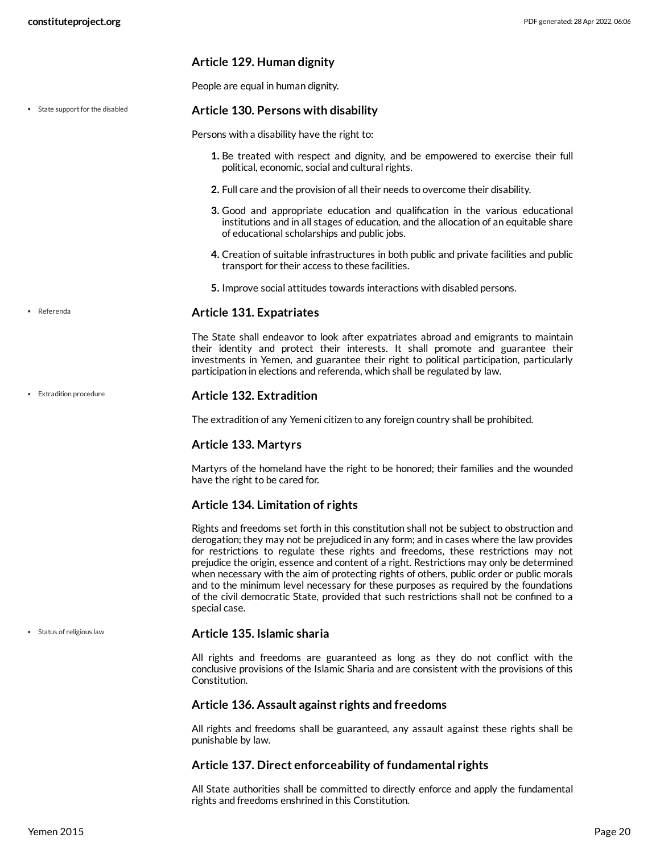#### **Article 129. Human dignity**

People are equal in human dignity.

#### **Article 130. Persons with disability** • State support for the disabled

Persons with a disability have the right to:

- **1.** Be treated with respect and dignity, and be empowered to exercise their full political, economic, social and cultural rights.
- **2.** Full care and the provision of all their needs to overcome their disability.
- **3.** Good and appropriate education and qualification in the various educational institutions and in all stages of education, and the allocation of an equitable share of educational scholarships and public jobs.
- **4.** Creation of suitable infrastructures in both public and private facilities and public transport for their access to these facilities.
- **5.** Improve social attitudes towards interactions with disabled persons.

#### **Article 131. Expatriates**

The State shall endeavor to look after expatriates abroad and emigrants to maintain their identity and protect their interests. It shall promote and guarantee their investments in Yemen, and guarantee their right to political participation, particularly participation in elections and referenda, which shall be regulated by law.

#### **Article 132. Extradition**

The extradition of any Yemeni citizen to any foreign country shall be prohibited.

#### **Article 133. Martyrs**

Martyrs of the homeland have the right to be honored; their families and the wounded have the right to be cared for.

#### **Article 134. Limitation of rights**

Rights and freedoms set forth in this constitution shall not be subject to obstruction and derogation; they may not be prejudiced in any form; and in cases where the law provides for restrictions to regulate these rights and freedoms, these restrictions may not prejudice the origin, essence and content of a right. Restrictions may only be determined when necessary with the aim of protecting rights of others, public order or public morals and to the minimum level necessary for these purposes as required by the foundations of the civil democratic State, provided that such restrictions shall not be confined to a special case.

#### • Status of religious law

Referenda

Extradition procedure

#### **Article 135. Islamic sharia**

All rights and freedoms are guaranteed as long as they do not conflict with the conclusive provisions of the Islamic Sharia and are consistent with the provisions of this Constitution.

#### **Article 136. Assault against rights and freedoms**

All rights and freedoms shall be guaranteed, any assault against these rights shall be punishable by law.

#### **Article 137. Direct enforceability of fundamental rights**

All State authorities shall be committed to directly enforce and apply the fundamental rights and freedoms enshrined in this Constitution.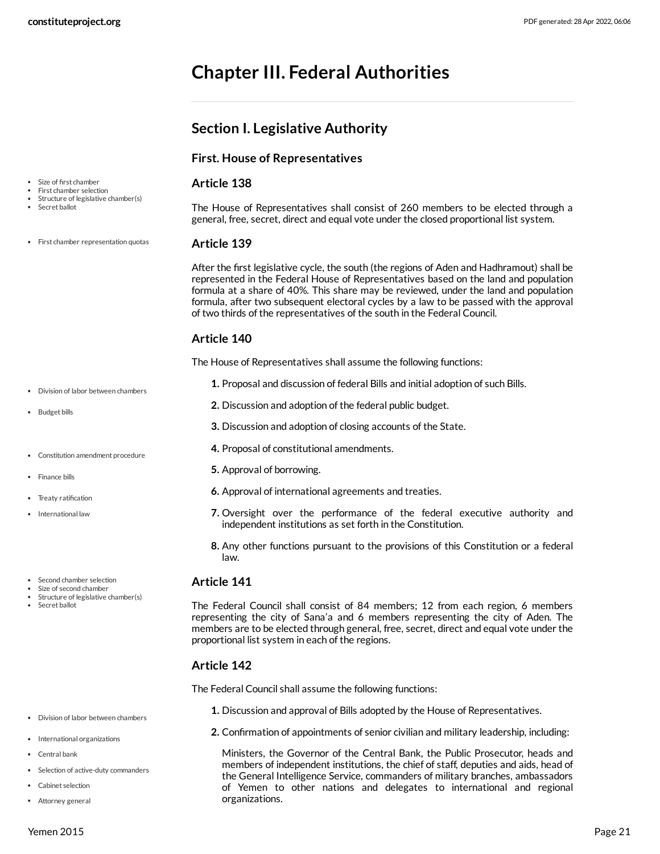# <span id="page-20-0"></span>**Chapter III. Federal Authorities**

<span id="page-20-1"></span>**Section I. Legislative Authority**

|                                                      | <b>First. House of Representatives</b>                                                                                                                                                                                                                                                                                                                                                                                                            |
|------------------------------------------------------|---------------------------------------------------------------------------------------------------------------------------------------------------------------------------------------------------------------------------------------------------------------------------------------------------------------------------------------------------------------------------------------------------------------------------------------------------|
| Size of first chamber<br>First chamber selection     | Article 138                                                                                                                                                                                                                                                                                                                                                                                                                                       |
| Structure of legislative chamber(s)<br>Secret ballot | The House of Representatives shall consist of 260 members to be elected through a<br>general, free, secret, direct and equal vote under the closed proportional list system.                                                                                                                                                                                                                                                                      |
| First chamber representation quotas                  | Article 139                                                                                                                                                                                                                                                                                                                                                                                                                                       |
|                                                      | After the first legislative cycle, the south (the regions of Aden and Hadhramout) shall be<br>represented in the Federal House of Representatives based on the land and population<br>formula at a share of 40%. This share may be reviewed, under the land and population<br>formula, after two subsequent electoral cycles by a law to be passed with the approval<br>of two thirds of the representatives of the south in the Federal Council. |
|                                                      | Article 140                                                                                                                                                                                                                                                                                                                                                                                                                                       |
|                                                      | The House of Representatives shall assume the following functions:                                                                                                                                                                                                                                                                                                                                                                                |
| Division of labor between chambers                   | 1. Proposal and discussion of federal Bills and initial adoption of such Bills.                                                                                                                                                                                                                                                                                                                                                                   |
| <b>Budget bills</b>                                  | 2. Discussion and adoption of the federal public budget.                                                                                                                                                                                                                                                                                                                                                                                          |
|                                                      | 3. Discussion and adoption of closing accounts of the State.                                                                                                                                                                                                                                                                                                                                                                                      |
| Constitution amendment procedure                     | 4. Proposal of constitutional amendments.                                                                                                                                                                                                                                                                                                                                                                                                         |
| Finance bills                                        | 5. Approval of borrowing.                                                                                                                                                                                                                                                                                                                                                                                                                         |
| Treaty ratification                                  | 6. Approval of international agreements and treaties.                                                                                                                                                                                                                                                                                                                                                                                             |
| International law                                    | 7. Oversight over the performance of the federal executive authority and<br>independent institutions as set forth in the Constitution.                                                                                                                                                                                                                                                                                                            |
|                                                      | 8. Any other functions pursuant to the provisions of this Constitution or a federal<br>law.                                                                                                                                                                                                                                                                                                                                                       |
| Second chamber selection<br>Size of second chamber   | Article 141                                                                                                                                                                                                                                                                                                                                                                                                                                       |
| Structure of legislative chamber(s)<br>Secret ballot | The Federal Council shall consist of 84 members; 12 from each region, 6 members<br>representing the city of Sana'a and 6 members representing the city of Aden. The<br>members are to be elected through general, free, secret, direct and equal vote under the<br>proportional list system in each of the regions.                                                                                                                               |
|                                                      | Article 142                                                                                                                                                                                                                                                                                                                                                                                                                                       |
|                                                      | The Federal Council shall assume the following functions:                                                                                                                                                                                                                                                                                                                                                                                         |
|                                                      |                                                                                                                                                                                                                                                                                                                                                                                                                                                   |

organizations.

**1.** Discussion and approval of Bills adopted by the House of Representatives.

**2.** Confirmation of appointments of senior civilian and military leadership, including:

Ministers, the Governor of the Central Bank, the Public Prosecutor, heads and members of independent institutions, the chief of staff, deputies and aids, head of the General Intelligence Service, commanders of military branches, ambassadors of Yemen to other nations and delegates to international and regional

- Division of labor between chambers
- International organizations
- Central bank
- Selection of active-duty commanders
- Cabinet selection
- Attorney general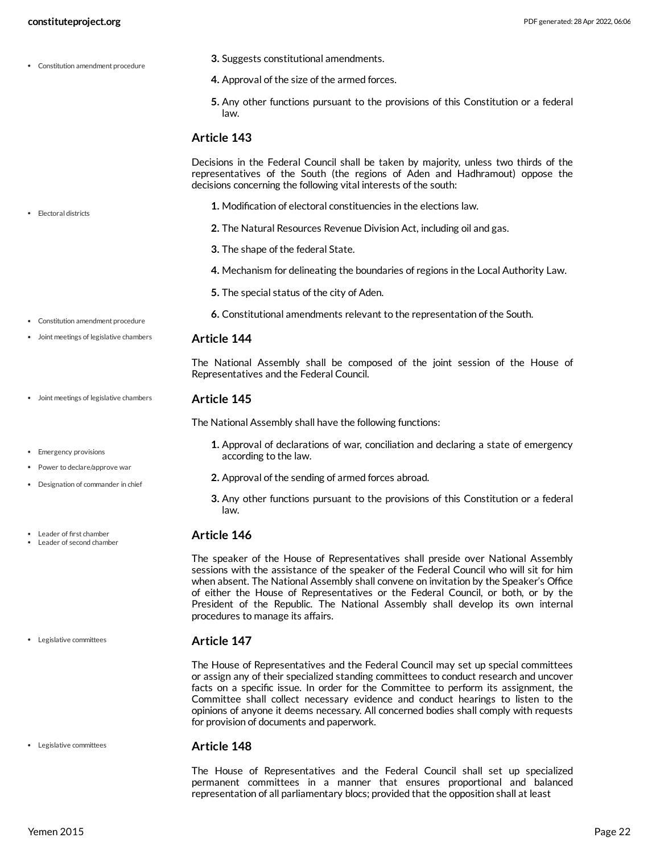• Flectoral districts

- **3.** Suggests constitutional amendments.
- **4.** Approval of the size of the armed forces.
- **5.** Any other functions pursuant to the provisions of this Constitution or a federal law.

#### **Article 143**

Decisions in the Federal Council shall be taken by majority, unless two thirds of the representatives of the South (the regions of Aden and Hadhramout) oppose the decisions concerning the following vital interests of the south:

- **1.** Modification of electoral constituencies in the elections law.
- **2.** The Natural Resources Revenue Division Act, including oil and gas.
- **3.** The shape of the federal State.
- **4.** Mechanism for delineating the boundaries of regions in the Local Authority Law.
- **5.** The special status of the city of Aden.
- **6.** Constitutional amendments relevant to the representation of the South.
- Joint meetings of legislative chambers

Constitution amendment procedure

• Emergency provisions • Power to declare/approve war Designation of commander in chief

Leader of first chamber Leader of second chamber

Legislative committees

Legislative committees

**Article 144**

The National Assembly shall be composed of the joint session of the House of Representatives and the Federal Council.

#### **Article 145** Joint meetings of legislative chambers

The National Assembly shall have the following functions:

- **1.** Approval of declarations of war, conciliation and declaring a state of emergency according to the law.
- **2.** Approval of the sending of armed forces abroad.
- **3.** Any other functions pursuant to the provisions of this Constitution or a federal law.

#### **Article 146**

The speaker of the House of Representatives shall preside over National Assembly sessions with the assistance of the speaker of the Federal Council who will sit for him when absent. The National Assembly shall convene on invitation by the Speaker's Office of either the House of Representatives or the Federal Council, or both, or by the President of the Republic. The National Assembly shall develop its own internal procedures to manage its affairs.

#### **Article 147**

The House of Representatives and the Federal Council may set up special committees or assign any of their specialized standing committees to conduct research and uncover facts on a specific issue. In order for the Committee to perform its assignment, the Committee shall collect necessary evidence and conduct hearings to listen to the opinions of anyone it deems necessary. All concerned bodies shall comply with requests for provision of documents and paperwork.

#### **Article 148**

The House of Representatives and the Federal Council shall set up specialized permanent committees in a manner that ensures proportional and balanced representation of all parliamentary blocs; provided that the opposition shall at least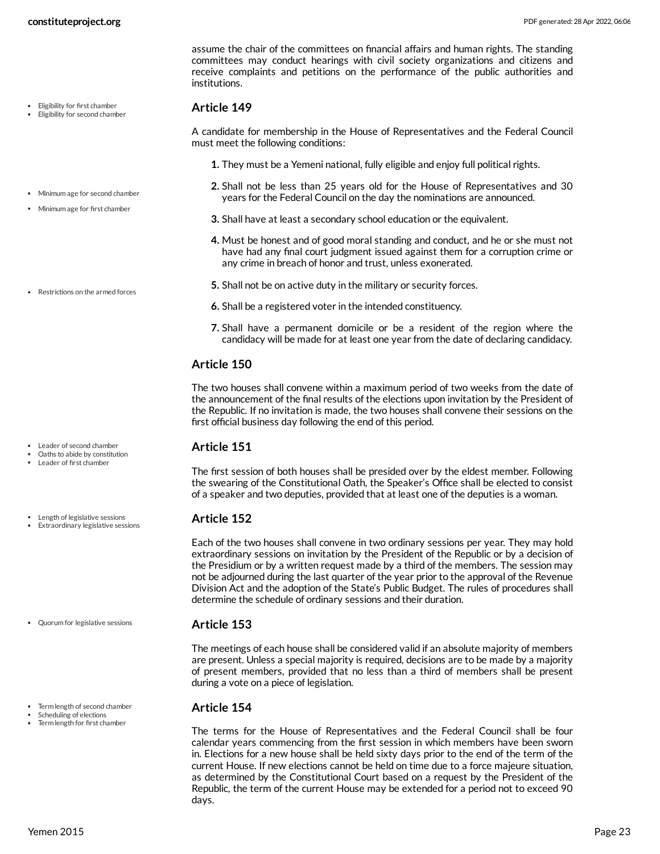- Eligibility for first chamber Eligibility for second chamber
- Minimum age for second chamber Minimum age for first chamber
- Restrictions on the armed forces

- Leader of second chamber
- Oaths to abide by constitution
- Leader of first chamber
- Length of legislative sessions
- Extraordinary legislative sessions

Quorum for legislative sessions

- Term length of second chamber
- Scheduling of elections
- Term length for first chamber

assume the chair of the committees on financial affairs and human rights. The standing committees may conduct hearings with civil society organizations and citizens and receive complaints and petitions on the performance of the public authorities and institutions.

#### **Article 149**

A candidate for membership in the House of Representatives and the Federal Council must meet the following conditions:

- **1.** They must be a Yemeni national, fully eligible and enjoy full political rights.
- **2.** Shall not be less than 25 years old for the House of Representatives and 30 years for the Federal Council on the day the nominations are announced.
- **3.** Shall have at least a secondary school education or the equivalent.
- **4.** Must be honest and of good moral standing and conduct, and he or she must not have had any final court judgment issued against them for a corruption crime or any crime in breach of honor and trust, unless exonerated.
- **5.** Shall not be on active duty in the military or security forces.
- **6.** Shall be a registered voter in the intended constituency.
- **7.** Shall have a permanent domicile or be a resident of the region where the candidacy will be made for at least one year from the date of declaring candidacy.

### **Article 150**

The two houses shall convene within a maximum period of two weeks from the date of the announcement of the final results of the elections upon invitation by the President of the Republic. If no invitation is made, the two houses shall convene their sessions on the first official business day following the end of this period.

#### **Article 151**

The first session of both houses shall be presided over by the eldest member. Following the swearing of the Constitutional Oath, the Speaker's Office shall be elected to consist of a speaker and two deputies, provided that at least one of the deputies is a woman.

#### **Article 152**

Each of the two houses shall convene in two ordinary sessions per year. They may hold extraordinary sessions on invitation by the President of the Republic or by a decision of the Presidium or by a written request made by a third of the members. The session may not be adjourned during the last quarter of the year prior to the approval of the Revenue Division Act and the adoption of the State's Public Budget. The rules of procedures shall determine the schedule of ordinary sessions and their duration.

#### **Article 153**

The meetings of each house shall be considered valid if an absolute majority of members are present. Unless a special majority is required, decisions are to be made by a majority of present members, provided that no less than a third of members shall be present during a vote on a piece of legislation.

#### **Article 154**

The terms for the House of Representatives and the Federal Council shall be four calendar years commencing from the first session in which members have been sworn in. Elections for a new house shall be held sixty days prior to the end of the term of the current House. If new elections cannot be held on time due to a force majeure situation, as determined by the Constitutional Court based on a request by the President of the Republic, the term of the current House may be extended for a period not to exceed 90 days.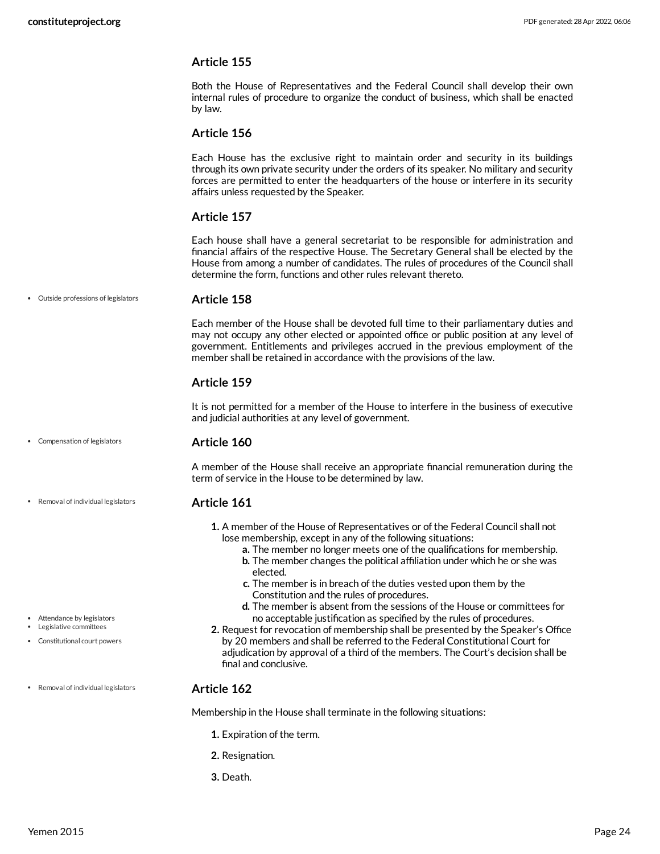Both the House of Representatives and the Federal Council shall develop their own internal rules of procedure to organize the conduct of business, which shall be enacted by law.

#### **Article 156**

Each House has the exclusive right to maintain order and security in its buildings through its own private security under the orders of its speaker. No military and security forces are permitted to enter the headquarters of the house or interfere in its security affairs unless requested by the Speaker.

### **Article 157**

Each house shall have a general secretariat to be responsible for administration and financial affairs of the respective House. The Secretary General shall be elected by the House from among a number of candidates. The rules of procedures of the Council shall determine the form, functions and other rules relevant thereto.

#### Outside professions of legislators

#### **Article 158**

Each member of the House shall be devoted full time to their parliamentary duties and may not occupy any other elected or appointed office or public position at any level of government. Entitlements and privileges accrued in the previous employment of the member shall be retained in accordance with the provisions of the law.

### **Article 159**

It is not permitted for a member of the House to interfere in the business of executive and judicial authorities at any level of government.

#### **Article 160** Compensation of legislators

A member of the House shall receive an appropriate financial remuneration during the term of service in the House to be determined by law.

#### **Article 161**

- **1.** A member of the House of Representatives or of the Federal Council shall not lose membership, except in any of the following situations:
	- **a.** The member no longer meets one of the qualifications for membership.
	- **b.** The member changes the political affiliation under which he or she was elected.
	- **c.** The member is in breach of the duties vested upon them by the Constitution and the rules of procedures.
	- **d.** The member is absent from the sessions of the House or committees for no acceptable justification as specified by the rules of procedures.
- **2.** Request for revocation of membership shall be presented by the Speaker's Office by 20 members and shall be referred to the Federal Constitutional Court for adjudication by approval of a third of the members. The Court's decision shall be final and conclusive.

#### **Article 162** • Removal of individual legislators

Membership in the House shall terminate in the following situations:

- **1.** Expiration of the term.
- **2.** Resignation.
- **3.** Death.

Attendance by legislators Legislative committees

Constitutional court powers

Removal of individual legislators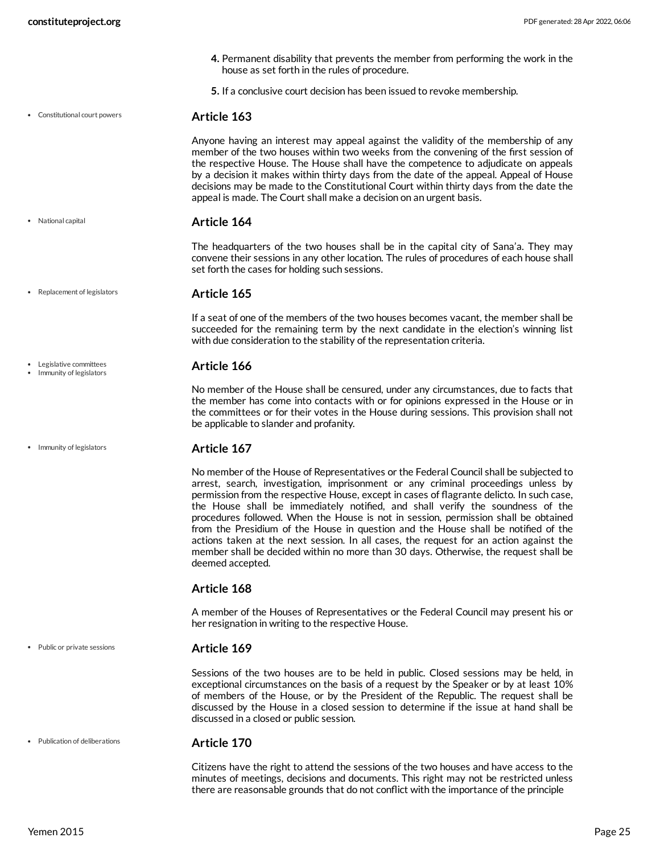- **4.** Permanent disability that prevents the member from performing the work in the house as set forth in the rules of procedure.
- **5.** If a conclusive court decision has been issued to revoke membership.
- Constitutional court powers

National capital

Legislative committees • Immunity of legislators

• Immunity of legislators

**Article 163**

Anyone having an interest may appeal against the validity of the membership of any member of the two houses within two weeks from the convening of the first session of the respective House. The House shall have the competence to adjudicate on appeals by a decision it makes within thirty days from the date of the appeal. Appeal of House decisions may be made to the Constitutional Court within thirty days from the date the appeal is made. The Court shall make a decision on an urgent basis.

#### **Article 164**

The headquarters of the two houses shall be in the capital city of Sana'a. They may convene their sessions in any other location. The rules of procedures of each house shall set forth the cases for holding such sessions.

**Article 165** • Replacement of legislators

> If a seat of one of the members of the two houses becomes vacant, the member shall be succeeded for the remaining term by the next candidate in the election's winning list with due consideration to the stability of the representation criteria.

#### **Article 166**

No member of the House shall be censured, under any circumstances, due to facts that the member has come into contacts with or for opinions expressed in the House or in the committees or for their votes in the House during sessions. This provision shall not be applicable to slander and profanity.

#### **Article 167**

No member of the House of Representatives or the Federal Council shall be subjected to arrest, search, investigation, imprisonment or any criminal proceedings unless by permission from the respective House, except in cases of flagrante delicto. In such case, the House shall be immediately notified, and shall verify the soundness of the procedures followed. When the House is not in session, permission shall be obtained from the Presidium of the House in question and the House shall be notified of the actions taken at the next session. In all cases, the request for an action against the member shall be decided within no more than 30 days. Otherwise, the request shall be deemed accepted.

#### **Article 168**

A member of the Houses of Representatives or the Federal Council may present his or her resignation in writing to the respective House.

#### • Public or private sessions

#### **Article 169**

Sessions of the two houses are to be held in public. Closed sessions may be held, in exceptional circumstances on the basis of a request by the Speaker or by at least 10% of members of the House, or by the President of the Republic. The request shall be discussed by the House in a closed session to determine if the issue at hand shall be discussed in a closed or public session.

Publication of deliberations

#### **Article 170**

Citizens have the right to attend the sessions of the two houses and have access to the minutes of meetings, decisions and documents. This right may not be restricted unless there are reasonsable grounds that do not conflict with the importance of the principle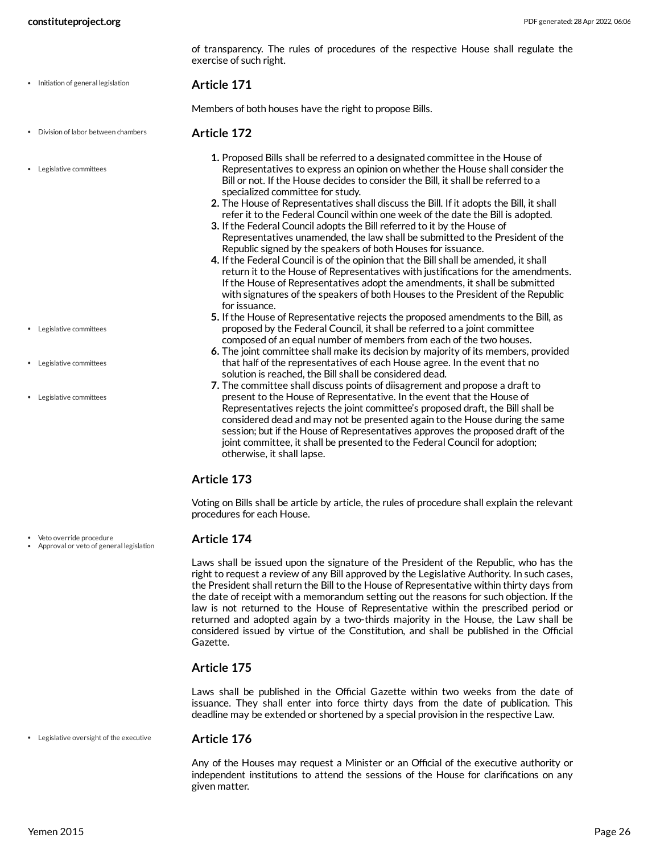of transparency. The rules of procedures of the respective House shall regulate the exercise of such right.

• Initiation of general legislation

#### **Article 171**

Members of both houses have the right to propose Bills.

- **Article 172** Division of labor between chambers
- Legislative committees

Representatives to express an opinion on whether the House shall consider the Bill or not. If the House decides to consider the Bill, it shall be referred to a specialized committee for study.

**1.** Proposed Bills shall be referred to a designated committee in the House of

- **2.** The House of Representatives shall discuss the Bill. If it adopts the Bill, it shall refer it to the Federal Council within one week of the date the Bill is adopted.
- **3.** If the Federal Council adopts the Bill referred to it by the House of Representatives unamended, the law shall be submitted to the President of the Republic signed by the speakers of both Houses for issuance.
- **4.** If the Federal Council is of the opinion that the Bill shall be amended, it shall return it to the House of Representatives with justifications for the amendments. If the House of Representatives adopt the amendments, it shall be submitted with signatures of the speakers of both Houses to the President of the Republic for issuance.
- **5.** If the House of Representative rejects the proposed amendments to the Bill, as proposed by the Federal Council, it shall be referred to a joint committee composed of an equal number of members from each of the two houses.
- **6.** The joint committee shall make its decision by majority of its members, provided that half of the representatives of each House agree. In the event that no solution is reached, the Bill shall be considered dead.
- **7.** The committee shall discuss points of diisagrement and propose a draft to present to the House of Representative. In the event that the House of Representatives rejects the joint committee's proposed draft, the Bill shall be considered dead and may not be presented again to the House during the same session; but if the House of Representatives approves the proposed draft of the joint committee, it shall be presented to the Federal Council for adoption; otherwise, it shall lapse.

### **Article 173**

Voting on Bills shall be article by article, the rules of procedure shall explain the relevant procedures for each House.

#### **Article 174**

Laws shall be issued upon the signature of the President of the Republic, who has the right to request a review of any Bill approved by the Legislative Authority. In such cases, the President shall return the Bill to the House of Representative within thirty days from the date of receipt with a memorandum setting out the reasons for such objection. If the law is not returned to the House of Representative within the prescribed period or returned and adopted again by a two-thirds majority in the House, the Law shall be considered issued by virtue of the Constitution, and shall be published in the Official Gazette.

### **Article 175**

Laws shall be published in the Official Gazette within two weeks from the date of issuance. They shall enter into force thirty days from the date of publication. This deadline may be extended or shortened by a special provision in the respective Law.

Legislative oversight of the executive

#### **Article 176**

Any of the Houses may request a Minister or an Official of the executive authority or independent institutions to attend the sessions of the House for clarifications on any given matter.

Legislative committees

Legislative committees

Legislative committees

Veto override procedure

Approval or veto of general legislation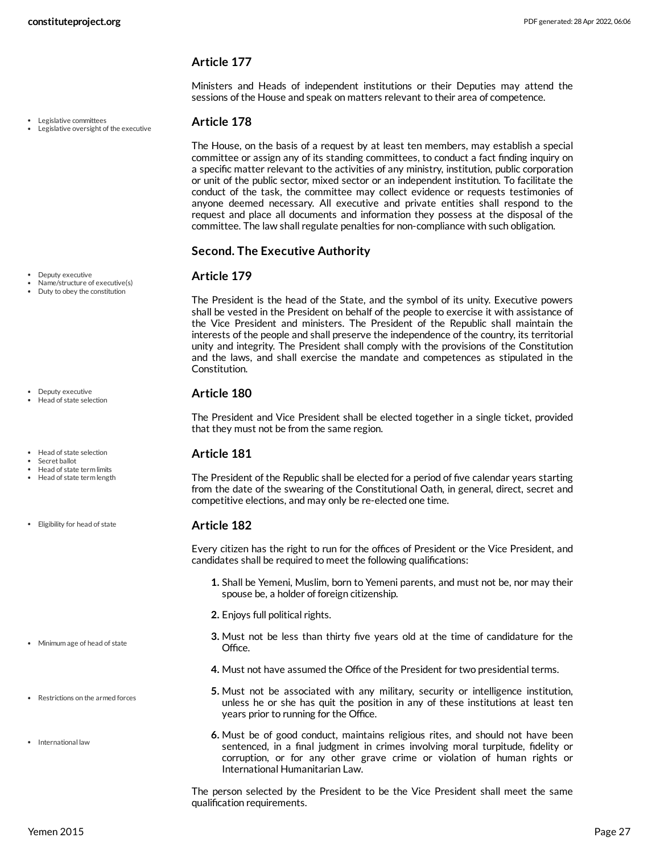Ministers and Heads of independent institutions or their Deputies may attend the sessions of the House and speak on matters relevant to their area of competence.

#### Legislative committees

Legislative oversight of the executive

**Article 178**

The House, on the basis of a request by at least ten members, may establish a special committee or assign any of its standing committees, to conduct a fact finding inquiry on a specific matter relevant to the activities of any ministry, institution, public corporation or unit of the public sector, mixed sector or an independent institution. To facilitate the conduct of the task, the committee may collect evidence or requests testimonies of anyone deemed necessary. All executive and private entities shall respond to the request and place all documents and information they possess at the disposal of the committee. The law shall regulate penalties for non-compliance with such obligation.

#### **Second. The Executive Authority**

#### **Article 179**

The President is the head of the State, and the symbol of its unity. Executive powers shall be vested in the President on behalf of the people to exercise it with assistance of the Vice President and ministers. The President of the Republic shall maintain the interests of the people and shall preserve the independence of the country, its territorial unity and integrity. The President shall comply with the provisions of the Constitution and the laws, and shall exercise the mandate and competences as stipulated in the Constitution.

#### **Article 180**

The President and Vice President shall be elected together in a single ticket, provided that they must not be from the same region.

#### **Article 181**

The President of the Republic shall be elected for a period of five calendar years starting from the date of the swearing of the Constitutional Oath, in general, direct, secret and competitive elections, and may only be re-elected one time.

#### **Article 182**

Every citizen has the right to run for the offices of President or the Vice President, and candidates shall be required to meet the following qualifications:

- **1.** Shall be Yemeni, Muslim, born to Yemeni parents, and must not be, nor may their spouse be, a holder of foreign citizenship.
- **2.** Enjoys full political rights.
- **3.** Must not be less than thirty five years old at the time of candidature for the Office.
- **4.** Must not have assumed the Office of the President for two presidential terms.
- **5.** Must not be associated with any military, security or intelligence institution, unless he or she has quit the position in any of these institutions at least ten years prior to running for the Office.
- **6.** Must be of good conduct, maintains religious rites, and should not have been sentenced, in a final judgment in crimes involving moral turpitude, fidelity or corruption, or for any other grave crime or violation of human rights or International Humanitarian Law.

The person selected by the President to be the Vice President shall meet the same qualification requirements.

- · Deputy executive
- Name/structure of executive(s) • Duty to obey the constitution

- Deputy executive Head of state selection
- Head of state selection
- Secret ballot Head of state term limits
- Head of state term length
- Eligibility for head of state

- Minimum age of head of state
- Restrictions on the armed forces
- International law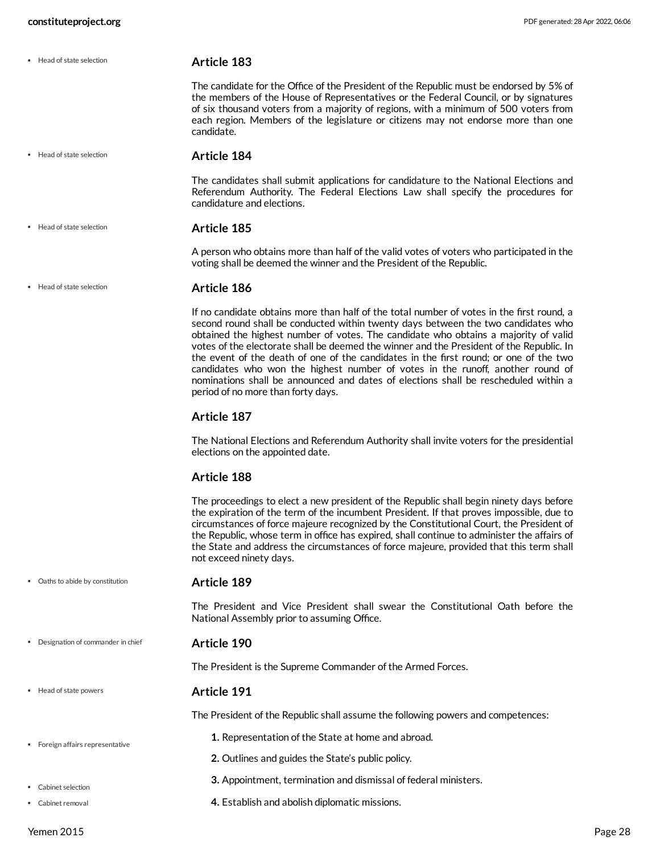Head of state selection

• Head of state selection

Head of state selection

**Article 183**

The candidate for the Office of the President of the Republic must be endorsed by 5% of the members of the House of Representatives or the Federal Council, or by signatures of six thousand voters from a majority of regions, with a minimum of 500 voters from each region. Members of the legislature or citizens may not endorse more than one candidate.

• Head of state selection

**Article 184**

The candidates shall submit applications for candidature to the National Elections and Referendum Authority. The Federal Elections Law shall specify the procedures for candidature and elections.

#### **Article 185**

A person who obtains more than half of the valid votes of voters who participated in the voting shall be deemed the winner and the President of the Republic.

#### **Article 186**

If no candidate obtains more than half of the total number of votes in the first round, a second round shall be conducted within twenty days between the two candidates who obtained the highest number of votes. The candidate who obtains a majority of valid votes of the electorate shall be deemed the winner and the President of the Republic. In the event of the death of one of the candidates in the first round; or one of the two candidates who won the highest number of votes in the runoff, another round of nominations shall be announced and dates of elections shall be rescheduled within a period of no more than forty days.

#### **Article 187**

The National Elections and Referendum Authority shall invite voters for the presidential elections on the appointed date.

#### **Article 188**

The proceedings to elect a new president of the Republic shall begin ninety days before the expiration of the term of the incumbent President. If that proves impossible, due to circumstances of force majeure recognized by the Constitutional Court, the President of the Republic, whose term in office has expired, shall continue to administer the affairs of the State and address the circumstances of force majeure, provided that this term shall not exceed ninety days.

Oaths to abide by constitution

#### **Article 189**

The President and Vice President shall swear the Constitutional Oath before the National Assembly prior to assuming Office.

Designation of commander in chief

#### **Article 190**

The President is the Supreme Commander of the Armed Forces.

#### **Article 191**

The President of the Republic shall assume the following powers and competences:

- **1.** Representation of the State at home and abroad.
- **2.** Outlines and guides the State's public policy.
- **3.** Appointment, termination and dismissal of federal ministers.
- **4.** Establish and abolish diplomatic missions.

Head of state powers

- Cabinet selection
- Cabinet removal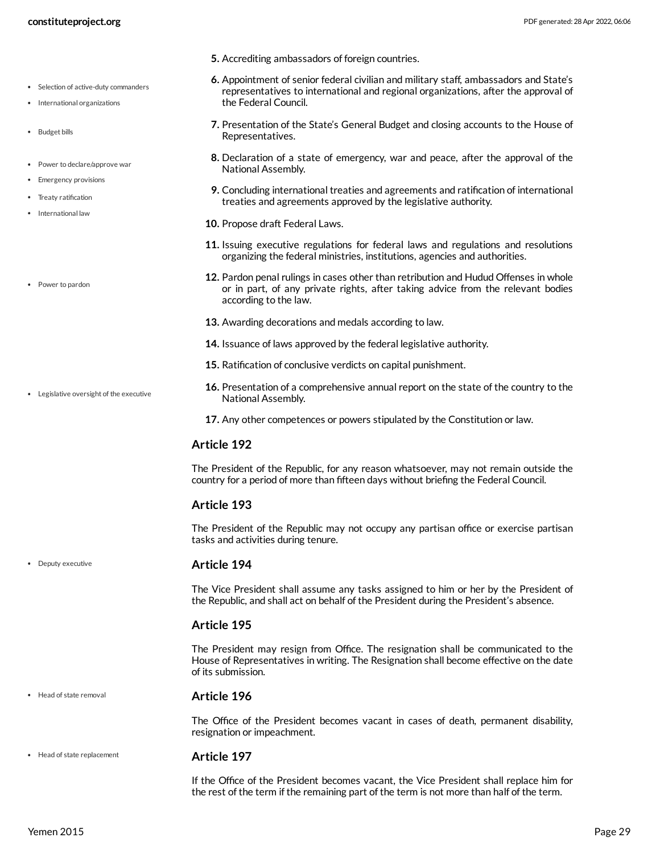- Selection of active-duty commanders
- International organizations
- Budget bills
- Power to declare/approve war
- Emergency provisions
- Treaty ratification
- International law
- Power to pardon

Legislative oversight of the executive

- **5.** Accrediting ambassadors of foreign countries.
- **6.** Appointment of senior federal civilian and military staff, ambassadors and State's representatives to international and regional organizations, after the approval of the Federal Council.
- **7.** Presentation of the State's General Budget and closing accounts to the House of Representatives.
- **8.** Declaration of a state of emergency, war and peace, after the approval of the National Assembly.
- **9.** Concluding international treaties and agreements and ratification of international treaties and agreements approved by the legislative authority.
- **10.** Propose draft Federal Laws.
- **11.** Issuing executive regulations for federal laws and regulations and resolutions organizing the federal ministries, institutions, agencies and authorities.
- **12.** Pardon penal rulings in cases other than retribution and Hudud Offenses in whole or in part, of any private rights, after taking advice from the relevant bodies according to the law.
- **13.** Awarding decorations and medals according to law.
- **14.** Issuance of laws approved by the federal legislative authority.
- **15.** Ratification of conclusive verdicts on capital punishment.
- **16.** Presentation of a comprehensive annual report on the state of the country to the National Assembly.
- **17.** Any other competences or powers stipulated by the Constitution or law.

#### **Article 192**

The President of the Republic, for any reason whatsoever, may not remain outside the country for a period of more than fifteen days without briefing the Federal Council.

#### **Article 193**

The President of the Republic may not occupy any partisan office or exercise partisan tasks and activities during tenure.

#### **Article 194**

The Vice President shall assume any tasks assigned to him or her by the President of the Republic, and shall act on behalf of the President during the President's absence.

#### **Article 195**

The President may resign from Office. The resignation shall be communicated to the House of Representatives in writing. The Resignation shall become effective on the date of its submission.

• Head of state removal

Deputy executive

#### **Article 196**

**Article 197**

The Office of the President becomes vacant in cases of death, permanent disability, resignation or impeachment.

• Head of state replacement

If the Office of the President becomes vacant, the Vice President shall replace him for the rest of the term if the remaining part of the term is not more than half of the term.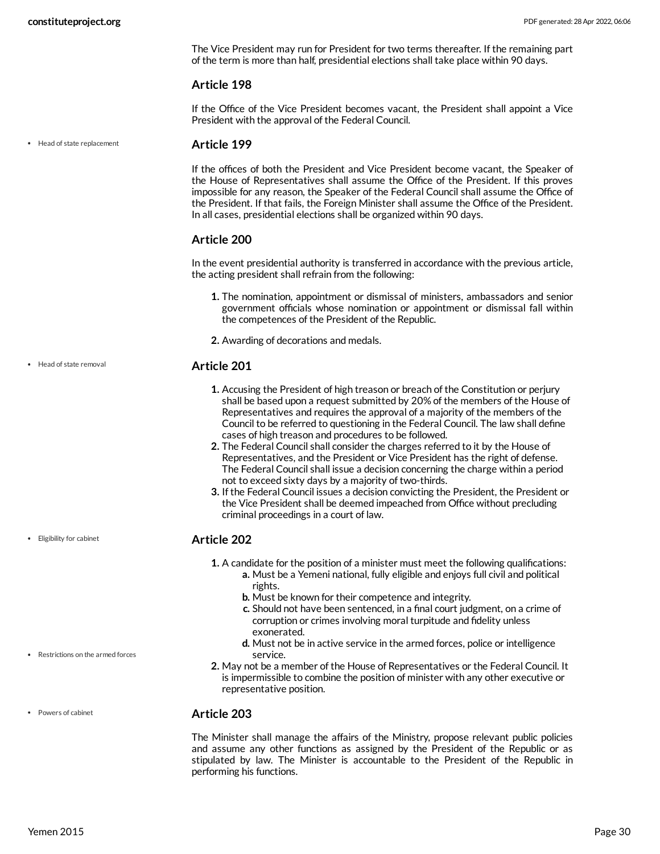The Vice President may run for President for two terms thereafter. If the remaining part of the term is more than half, presidential elections shall take place within 90 days.

#### **Article 198**

If the Office of the Vice President becomes vacant, the President shall appoint a Vice President with the approval of the Federal Council.

• Head of state replacement

#### **Article 199**

If the offices of both the President and Vice President become vacant, the Speaker of the House of Representatives shall assume the Office of the President. If this proves impossible for any reason, the Speaker of the Federal Council shall assume the Office of the President. If that fails, the Foreign Minister shall assume the Office of the President. In all cases, presidential elections shall be organized within 90 days.

#### **Article 200**

In the event presidential authority is transferred in accordance with the previous article, the acting president shall refrain from the following:

- **1.** The nomination, appointment or dismissal of ministers, ambassadors and senior government officials whose nomination or appointment or dismissal fall within the competences of the President of the Republic.
- **2.** Awarding of decorations and medals.

#### **Article 201**

- **1.** Accusing the President of high treason or breach of the Constitution or perjury shall be based upon a request submitted by 20% of the members of the House of Representatives and requires the approval of a majority of the members of the Council to be referred to questioning in the Federal Council. The law shall define cases of high treason and procedures to be followed.
- **2.** The Federal Council shall consider the charges referred to it by the House of Representatives, and the President or Vice President has the right of defense. The Federal Council shall issue a decision concerning the charge within a period not to exceed sixty days by a majority of two-thirds.
- **3.** If the Federal Council issues a decision convicting the President, the President or the Vice President shall be deemed impeached from Office without precluding criminal proceedings in a court of law.

#### **Article 202**

- **1.** A candidate for the position of a minister must meet the following qualifications:
	- **a.** Must be a Yemeni national, fully eligible and enjoys full civil and political rights.
	- **b.** Must be known for their competence and integrity.
	- **c.** Should not have been sentenced, in a final court judgment, on a crime of corruption or crimes involving moral turpitude and fidelity unless exonerated.
	- **d.** Must not be in active service in the armed forces, police or intelligence service.
- **2.** May not be a member of the House of Representatives or the Federal Council. It is impermissible to combine the position of minister with any other executive or representative position.

#### Powers of cabinet

Restrictions on the armed forces

#### **Article 203**

The Minister shall manage the affairs of the Ministry, propose relevant public policies and assume any other functions as assigned by the President of the Republic or as stipulated by law. The Minister is accountable to the President of the Republic in performing his functions.

• Head of state removal

Eligibility for cabinet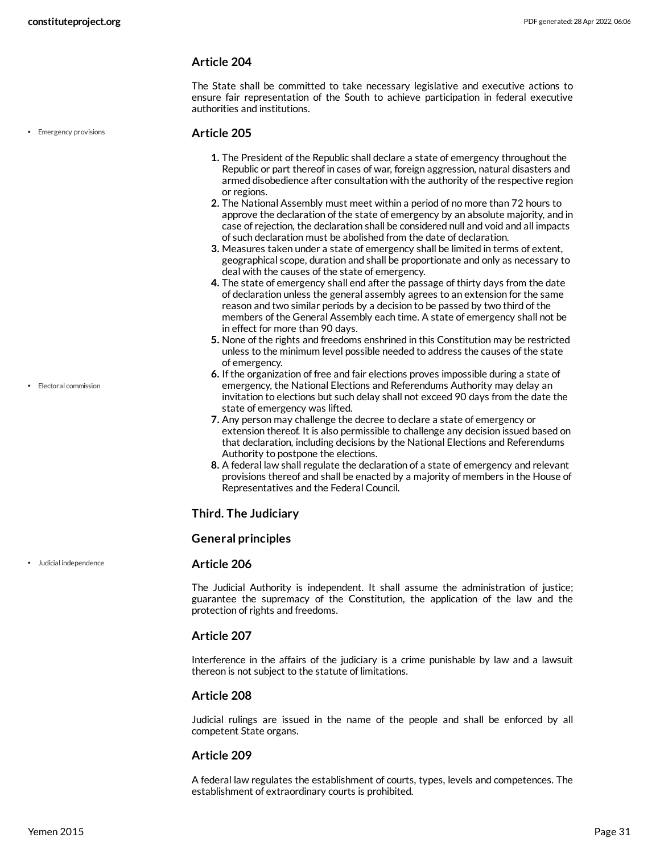The State shall be committed to take necessary legislative and executive actions to ensure fair representation of the South to achieve participation in federal executive authorities and institutions.

• Emergency provisions

#### **Article 205**

- **1.** The President of the Republic shall declare a state of emergency throughout the Republic or part thereof in cases of war, foreign aggression, natural disasters and armed disobedience after consultation with the authority of the respective region or regions.
- **2.** The National Assembly must meet within a period of no more than 72 hours to approve the declaration of the state of emergency by an absolute majority, and in case of rejection, the declaration shall be considered null and void and all impacts of such declaration must be abolished from the date of declaration.
- **3.** Measures taken under a state of emergency shall be limited in terms of extent, geographical scope, duration and shall be proportionate and only as necessary to deal with the causes of the state of emergency.
- **4.** The state of emergency shall end after the passage of thirty days from the date of declaration unless the general assembly agrees to an extension for the same reason and two similar periods by a decision to be passed by two third of the members of the General Assembly each time. A state of emergency shall not be in effect for more than 90 days.
- **5.** None of the rights and freedoms enshrined in this Constitution may be restricted unless to the minimum level possible needed to address the causes of the state of emergency.
- **6.** If the organization of free and fair elections proves impossible during a state of emergency, the National Elections and Referendums Authority may delay an invitation to elections but such delay shall not exceed 90 days from the date the state of emergency was lifted.
- **7.** Any person may challenge the decree to declare a state of emergency or extension thereof. It is also permissible to challenge any decision issued based on that declaration, including decisions by the National Elections and Referendums Authority to postpone the elections.
- **8.** A federal law shall regulate the declaration of a state of emergency and relevant provisions thereof and shall be enacted by a majority of members in the House of Representatives and the Federal Council.

#### **Third. The Judiciary**

#### **General principles**

#### **Article 206**

The Judicial Authority is independent. It shall assume the administration of justice; guarantee the supremacy of the Constitution, the application of the law and the protection of rights and freedoms.

#### **Article 207**

Interference in the affairs of the judiciary is a crime punishable by law and a lawsuit thereon is not subject to the statute of limitations.

#### **Article 208**

Judicial rulings are issued in the name of the people and shall be enforced by all competent State organs.

#### **Article 209**

A federal law regulates the establishment of courts, types, levels and competences. The establishment of extraordinary courts is prohibited.

Electoral commission

Judicial independence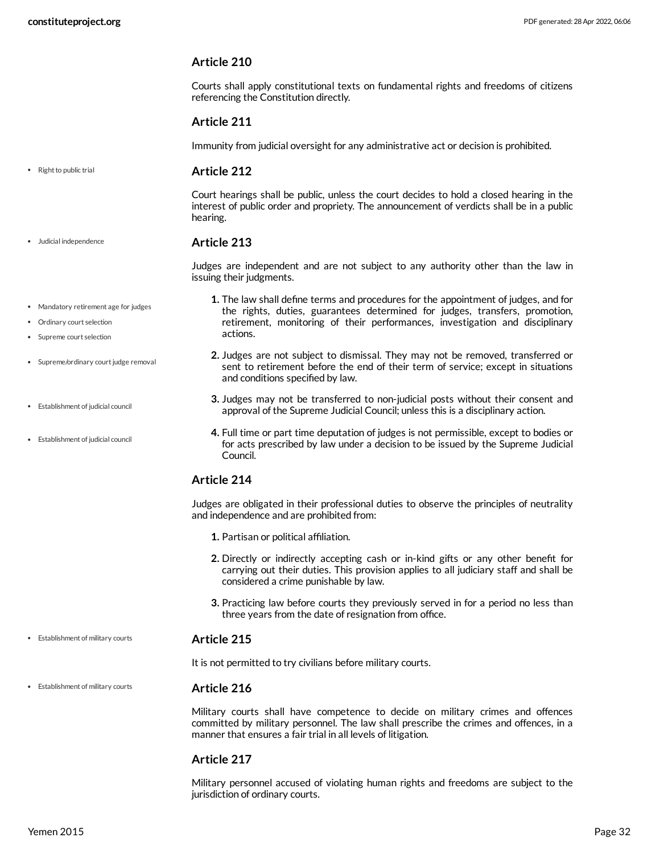Courts shall apply constitutional texts on fundamental rights and freedoms of citizens referencing the Constitution directly.

#### **Article 211**

Immunity from judicial oversight for any administrative act or decision is prohibited.

**Article 212** • Right to public trial

> Court hearings shall be public, unless the court decides to hold a closed hearing in the interest of public order and propriety. The announcement of verdicts shall be in a public hearing.

#### **Article 213**

Judges are independent and are not subject to any authority other than the law in issuing their judgments.

- Mandatory retirement age for judges
- Ordinary court selection

Judicial independence

- Supreme court selection
- Supreme/ordinary court judge removal
- Establishment of judicial council
- Establishment of judicial council
- **1.** The law shall define terms and procedures for the appointment of judges, and for the rights, duties, guarantees determined for judges, transfers, promotion, retirement, monitoring of their performances, investigation and disciplinary actions.
- **2.** Judges are not subject to dismissal. They may not be removed, transferred or sent to retirement before the end of their term of service; except in situations and conditions specified by law.
- **3.** Judges may not be transferred to non-judicial posts without their consent and approval of the Supreme Judicial Council; unless this is a disciplinary action.
- **4.** Full time or part time deputation of judges is not permissible, except to bodies or for acts prescribed by law under a decision to be issued by the Supreme Judicial Council.

#### **Article 214**

Judges are obligated in their professional duties to observe the principles of neutrality and independence and are prohibited from:

- **1.** Partisan or political affiliation.
- **2.** Directly or indirectly accepting cash or in-kind gifts or any other benefit for carrying out their duties. This provision applies to all judiciary staff and shall be considered a crime punishable by law.
- **3.** Practicing law before courts they previously served in for a period no less than three years from the date of resignation from office.

#### **Article 215** Establishment of military courts

It is not permitted to try civilians before military courts.

#### Establishment of military courts

Military courts shall have competence to decide on military crimes and offences committed by military personnel. The law shall prescribe the crimes and offences, in a manner that ensures a fair trial in all levels of litigation.

#### **Article 217**

**Article 216**

Military personnel accused of violating human rights and freedoms are subject to the jurisdiction of ordinary courts.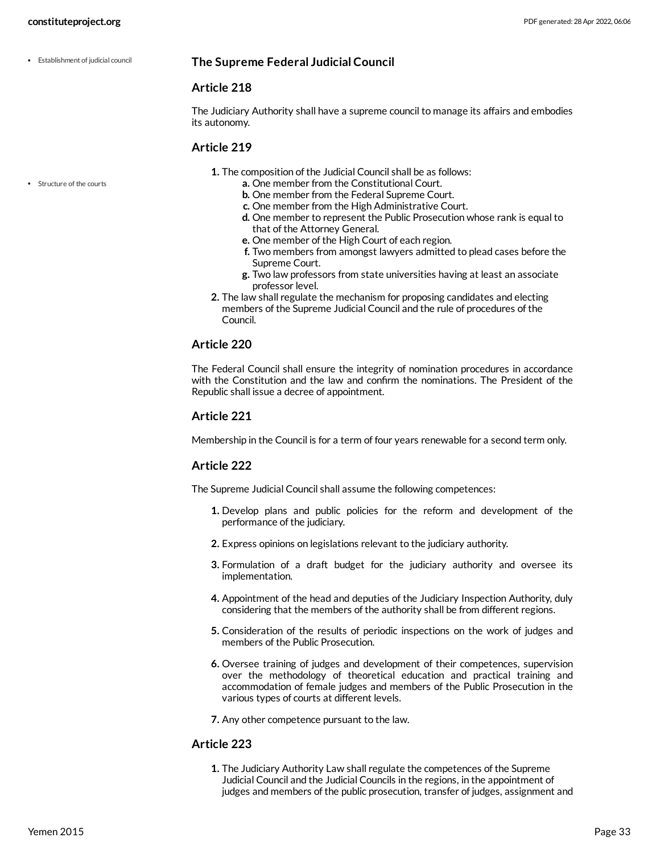Establishment of judicial council

#### **The Supreme Federal Judicial Council**

#### **Article 218**

The Judiciary Authority shall have a supreme council to manage its affairs and embodies its autonomy.

#### **Article 219**

- **1.** The composition of the Judicial Council shall be as follows:
	- **a.** One member from the Constitutional Court.
	- **b.** One member from the Federal Supreme Court.
	- **c.** One member from the High Administrative Court.
	- **d.** One member to represent the Public Prosecution whose rank is equal to that of the Attorney General.
	- **e.** One member of the High Court of each region.
	- **f.** Two members from amongst lawyers admitted to plead cases before the Supreme Court.
	- **g.** Two law professors from state universities having at least an associate professor level.
- **2.** The law shall regulate the mechanism for proposing candidates and electing members of the Supreme Judicial Council and the rule of procedures of the Council.

#### **Article 220**

The Federal Council shall ensure the integrity of nomination procedures in accordance with the Constitution and the law and confirm the nominations. The President of the Republic shall issue a decree of appointment.

#### **Article 221**

Membership in the Council is for a term of four years renewable for a second term only.

#### **Article 222**

The Supreme Judicial Council shall assume the following competences:

- **1.** Develop plans and public policies for the reform and development of the performance of the judiciary.
- **2.** Express opinions on legislations relevant to the judiciary authority.
- **3.** Formulation of a draft budget for the judiciary authority and oversee its implementation.
- **4.** Appointment of the head and deputies of the Judiciary Inspection Authority, duly considering that the members of the authority shall be from different regions.
- **5.** Consideration of the results of periodic inspections on the work of judges and members of the Public Prosecution.
- **6.** Oversee training of judges and development of their competences, supervision over the methodology of theoretical education and practical training and accommodation of female judges and members of the Public Prosecution in the various types of courts at different levels.
- **7.** Any other competence pursuant to the law.

#### **Article 223**

**1.** The Judiciary Authority Law shall regulate the competences of the Supreme Judicial Council and the Judicial Councils in the regions, in the appointment of judges and members of the public prosecution, transfer of judges, assignment and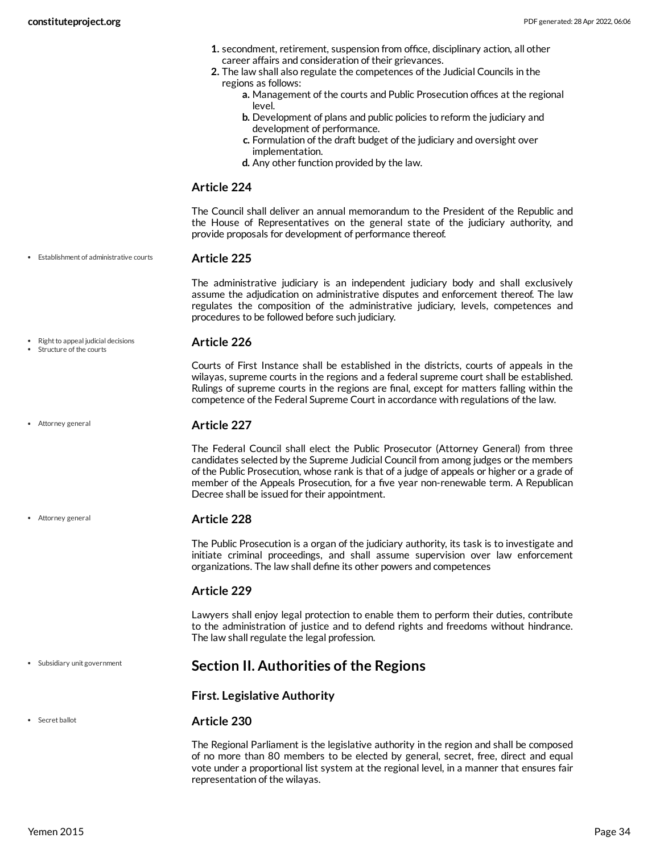- **1.** secondment, retirement, suspension from office, disciplinary action, all other career affairs and consideration of their grievances.
- **2.** The law shall also regulate the competences of the Judicial Councils in the regions as follows:
	- **a.** Management of the courts and Public Prosecution offices at the regional level.
	- **b.** Development of plans and public policies to reform the judiciary and development of performance.
	- **c.** Formulation of the draft budget of the judiciary and oversight over implementation.
	- **d.** Any other function provided by the law.

The Council shall deliver an annual memorandum to the President of the Republic and the House of Representatives on the general state of the judiciary authority, and provide proposals for development of performance thereof.

Establishment of administrative courts

#### **Article 225**

The administrative judiciary is an independent judiciary body and shall exclusively assume the adjudication on administrative disputes and enforcement thereof. The law regulates the composition of the administrative judiciary, levels, competences and procedures to be followed before such judiciary.

Right to appeal judicial decisions Structure of the courts

Attorney general

Attorney general

#### **Article 226**

Courts of First Instance shall be established in the districts, courts of appeals in the wilayas, supreme courts in the regions and a federal supreme court shall be established. Rulings of supreme courts in the regions are final, except for matters falling within the competence of the Federal Supreme Court in accordance with regulations of the law.

#### **Article 227**

The Federal Council shall elect the Public Prosecutor (Attorney General) from three candidates selected by the Supreme Judicial Council from among judges or the members of the Public Prosecution, whose rank is that of a judge of appeals or higher or a grade of member of the Appeals Prosecution, for a five year non-renewable term. A Republican Decree shall be issued for their appointment.

#### **Article 228**

The Public Prosecution is a organ of the judiciary authority, its task is to investigate and initiate criminal proceedings, and shall assume supervision over law enforcement organizations. The law shall define its other powers and competences

#### **Article 229**

Lawyers shall enjoy legal protection to enable them to perform their duties, contribute to the administration of justice and to defend rights and freedoms without hindrance. The law shall regulate the legal profession.

#### Subsidiary unit government

<span id="page-33-0"></span>**Section II. Authorities of the Regions**

#### **First. Legislative Authority**

#### **Article 230**

The Regional Parliament is the legislative authority in the region and shall be composed of no more than 80 members to be elected by general, secret, free, direct and equal vote under a proportional list system at the regional level, in a manner that ensures fair representation of the wilayas.

• Secret ballot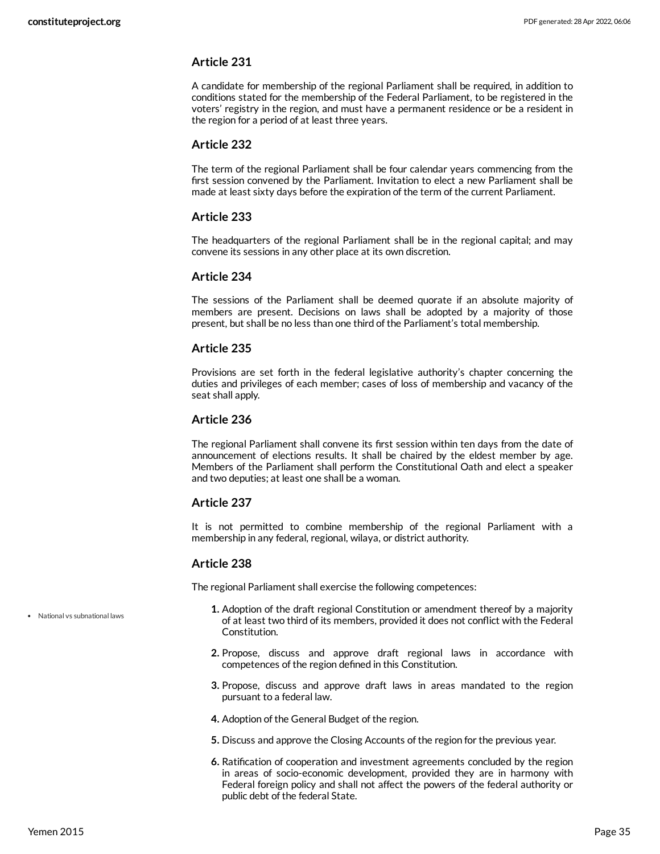A candidate for membership of the regional Parliament shall be required, in addition to conditions stated for the membership of the Federal Parliament, to be registered in the voters' registry in the region, and must have a permanent residence or be a resident in the region for a period of at least three years.

#### **Article 232**

The term of the regional Parliament shall be four calendar years commencing from the first session convened by the Parliament. Invitation to elect a new Parliament shall be made at least sixty days before the expiration of the term of the current Parliament.

#### **Article 233**

The headquarters of the regional Parliament shall be in the regional capital; and may convene its sessions in any other place at its own discretion.

#### **Article 234**

The sessions of the Parliament shall be deemed quorate if an absolute majority of members are present. Decisions on laws shall be adopted by a majority of those present, but shall be no less than one third of the Parliament's total membership.

#### **Article 235**

Provisions are set forth in the federal legislative authority's chapter concerning the duties and privileges of each member; cases of loss of membership and vacancy of the seat shall apply.

#### **Article 236**

The regional Parliament shall convene its first session within ten days from the date of announcement of elections results. It shall be chaired by the eldest member by age. Members of the Parliament shall perform the Constitutional Oath and elect a speaker and two deputies; at least one shall be a woman.

#### **Article 237**

It is not permitted to combine membership of the regional Parliament with a membership in any federal, regional, wilaya, or district authority.

#### **Article 238**

The regional Parliament shall exercise the following competences:

- **1.** Adoption of the draft regional Constitution or amendment thereof by a majority of at least two third of its members, provided it does not conflict with the Federal Constitution.
- **2.** Propose, discuss and approve draft regional laws in accordance with competences of the region defined in this Constitution.
- **3.** Propose, discuss and approve draft laws in areas mandated to the region pursuant to a federal law.
- **4.** Adoption of the General Budget of the region.
- **5.** Discuss and approve the Closing Accounts of the region for the previous year.
- **6.** Ratification of cooperation and investment agreements concluded by the region in areas of socio-economic development, provided they are in harmony with Federal foreign policy and shall not affect the powers of the federal authority or public debt of the federal State.

National vs subnational laws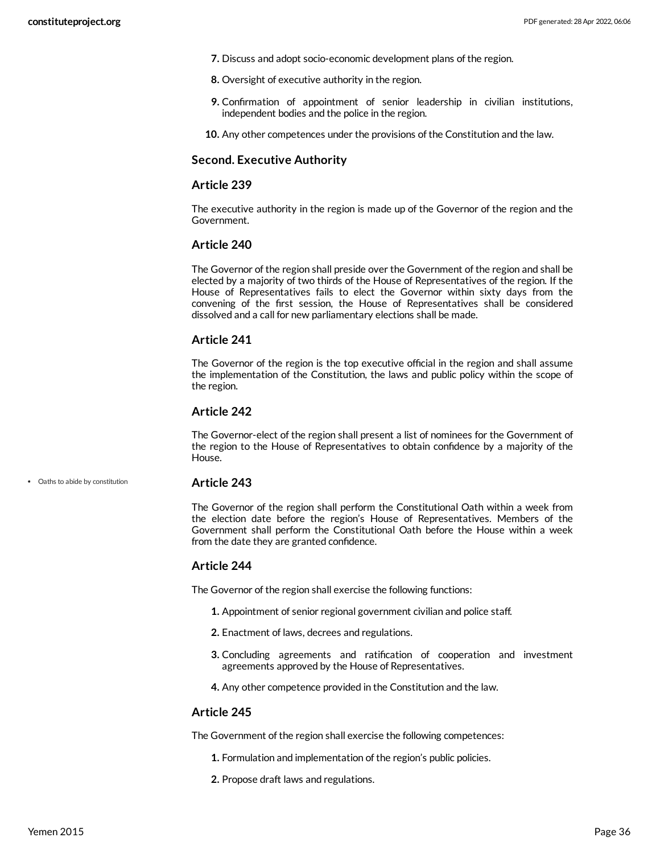- **7.** Discuss and adopt socio-economic development plans of the region.
- **8.** Oversight of executive authority in the region.
- **9.** Confirmation of appointment of senior leadership in civilian institutions, independent bodies and the police in the region.
- **10.** Any other competences under the provisions of the Constitution and the law.

#### **Second. Executive Authority**

#### **Article 239**

The executive authority in the region is made up of the Governor of the region and the Government.

#### **Article 240**

The Governor of the region shall preside over the Government of the region and shall be elected by a majority of two thirds of the House of Representatives of the region. If the House of Representatives fails to elect the Governor within sixty days from the convening of the first session, the House of Representatives shall be considered dissolved and a call for new parliamentary elections shall be made.

#### **Article 241**

The Governor of the region is the top executive official in the region and shall assume the implementation of the Constitution, the laws and public policy within the scope of the region.

#### **Article 242**

The Governor-elect of the region shall present a list of nominees for the Government of the region to the House of Representatives to obtain confidence by a majority of the House.

Oaths to abide by constitution

#### **Article 243**

The Governor of the region shall perform the Constitutional Oath within a week from the election date before the region's House of Representatives. Members of the Government shall perform the Constitutional Oath before the House within a week from the date they are granted confidence.

#### **Article 244**

The Governor of the region shall exercise the following functions:

- **1.** Appointment of senior regional government civilian and police staff.
- **2.** Enactment of laws, decrees and regulations.
- **3.** Concluding agreements and ratification of cooperation and investment agreements approved by the House of Representatives.
- **4.** Any other competence provided in the Constitution and the law.

#### **Article 245**

The Government of the region shall exercise the following competences:

- **1.** Formulation and implementation of the region's public policies.
- **2.** Propose draft laws and regulations.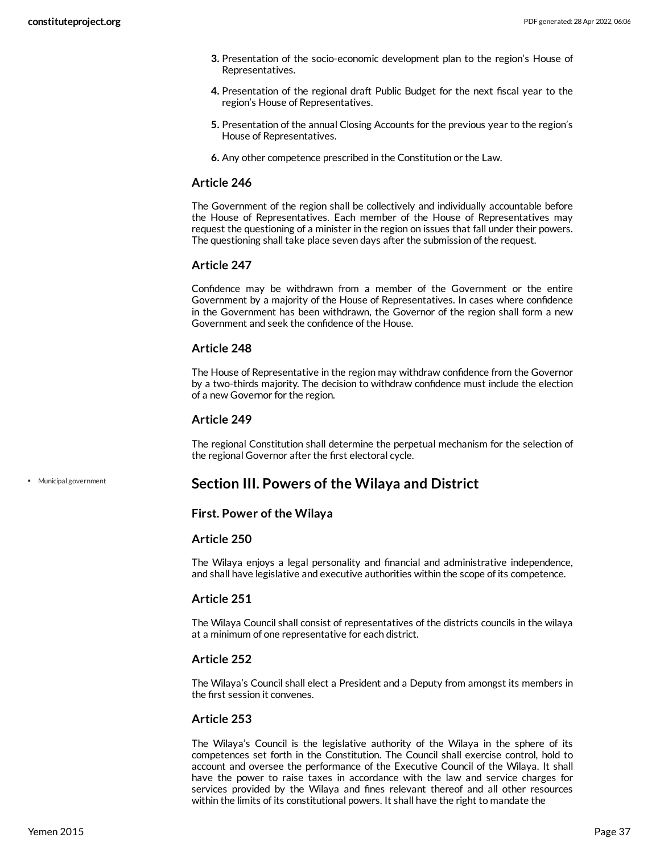- **3.** Presentation of the socio-economic development plan to the region's House of Representatives.
- **4.** Presentation of the regional draft Public Budget for the next fiscal year to the region's House of Representatives.
- **5.** Presentation of the annual Closing Accounts for the previous year to the region's House of Representatives.
- **6.** Any other competence prescribed in the Constitution or the Law.

The Government of the region shall be collectively and individually accountable before the House of Representatives. Each member of the House of Representatives may request the questioning of a minister in the region on issues that fall under their powers. The questioning shall take place seven days after the submission of the request.

# **Article 247**

Confidence may be withdrawn from a member of the Government or the entire Government by a majority of the House of Representatives. In cases where confidence in the Government has been withdrawn, the Governor of the region shall form a new Government and seek the confidence of the House.

### **Article 248**

The House of Representative in the region may withdraw confidence from the Governor by a two-thirds majority. The decision to withdraw confidence must include the election of a new Governor for the region.

### **Article 249**

The regional Constitution shall determine the perpetual mechanism for the selection of the regional Governor after the first electoral cycle.

Municipal government

# <span id="page-36-0"></span>**Section III. Powers of the Wilaya and District**

### **First. Power of the Wilaya**

### **Article 250**

The Wilaya enjoys a legal personality and financial and administrative independence, and shall have legislative and executive authorities within the scope of its competence.

# **Article 251**

The Wilaya Council shall consist of representatives of the districts councils in the wilaya at a minimum of one representative for each district.

# **Article 252**

The Wilaya's Council shall elect a President and a Deputy from amongst its members in the first session it convenes.

# **Article 253**

The Wilaya's Council is the legislative authority of the Wilaya in the sphere of its competences set forth in the Constitution. The Council shall exercise control, hold to account and oversee the performance of the Executive Council of the Wilaya. It shall have the power to raise taxes in accordance with the law and service charges for services provided by the Wilaya and fines relevant thereof and all other resources within the limits of its constitutional powers. It shall have the right to mandate the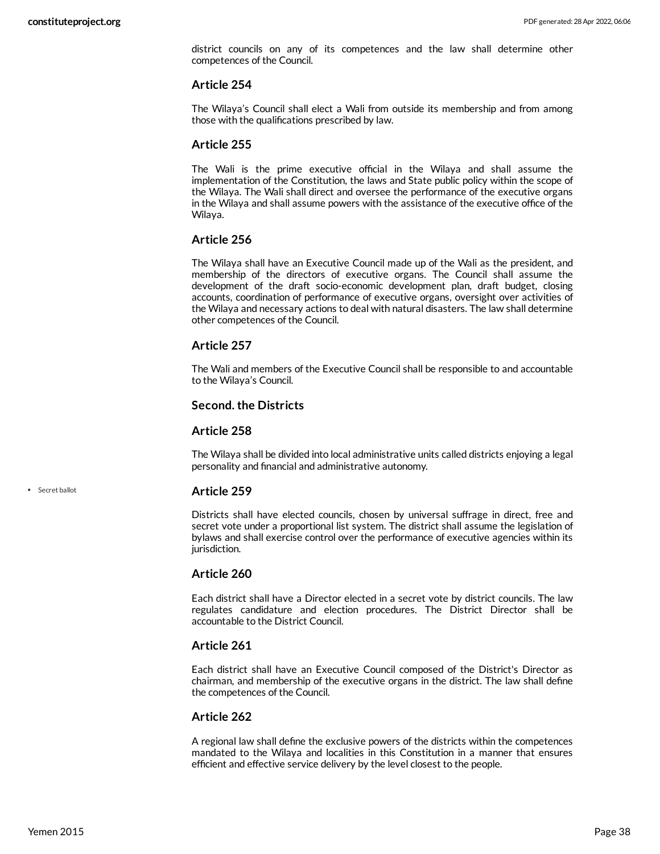district councils on any of its competences and the law shall determine other competences of the Council.

#### **Article 254**

The Wilaya's Council shall elect a Wali from outside its membership and from among those with the qualifications prescribed by law.

### **Article 255**

The Wali is the prime executive official in the Wilaya and shall assume the implementation of the Constitution, the laws and State public policy within the scope of the Wilaya. The Wali shall direct and oversee the performance of the executive organs in the Wilaya and shall assume powers with the assistance of the executive office of the Wilaya.

### **Article 256**

The Wilaya shall have an Executive Council made up of the Wali as the president, and membership of the directors of executive organs. The Council shall assume the development of the draft socio-economic development plan, draft budget, closing accounts, coordination of performance of executive organs, oversight over activities of the Wilaya and necessary actions to deal with natural disasters. The law shall determine other competences of the Council.

### **Article 257**

The Wali and members of the Executive Council shall be responsible to and accountable to the Wilaya's Council.

### **Second. the Districts**

#### **Article 258**

The Wilaya shall be divided into local administrative units called districts enjoying a legal personality and financial and administrative autonomy.

### **Article 259**

Districts shall have elected councils, chosen by universal suffrage in direct, free and secret vote under a proportional list system. The district shall assume the legislation of bylaws and shall exercise control over the performance of executive agencies within its jurisdiction.

### **Article 260**

Each district shall have a Director elected in a secret vote by district councils. The law regulates candidature and election procedures. The District Director shall be accountable to the District Council.

### **Article 261**

Each district shall have an Executive Council composed of the District's Director as chairman, and membership of the executive organs in the district. The law shall define the competences of the Council.

### **Article 262**

A regional law shall define the exclusive powers of the districts within the competences mandated to the Wilaya and localities in this Constitution in a manner that ensures efficient and effective service delivery by the level closest to the people.

Secret ballot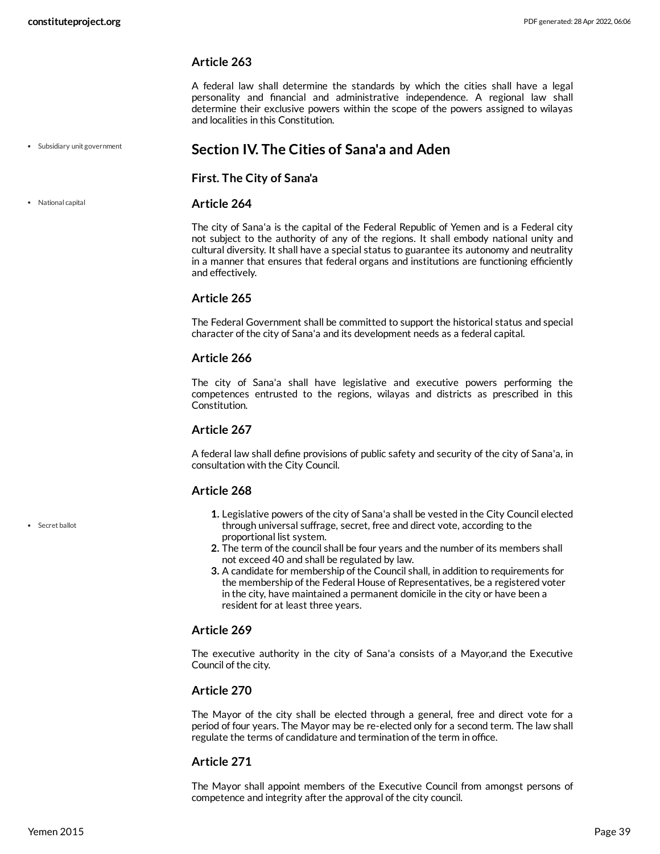A federal law shall determine the standards by which the cities shall have a legal personality and financial and administrative independence. A regional law shall determine their exclusive powers within the scope of the powers assigned to wilayas and localities in this Constitution.

Subsidiary unit government

National capital

# **Section IV. The Cities of Sana'a and Aden**

<span id="page-38-0"></span>**First. The City of Sana'a**

### **Article 264**

The city of Sana'a is the capital of the Federal Republic of Yemen and is a Federal city not subject to the authority of any of the regions. It shall embody national unity and cultural diversity. It shall have a special status to guarantee its autonomy and neutrality in a manner that ensures that federal organs and institutions are functioning efficiently and effectively.

### **Article 265**

The Federal Government shall be committed to support the historical status and special character of the city of Sana'a and its development needs as a federal capital.

### **Article 266**

The city of Sana'a shall have legislative and executive powers performing the competences entrusted to the regions, wilayas and districts as prescribed in this Constitution.

### **Article 267**

A federal law shall define provisions of public safety and security of the city of Sana'a, in consultation with the City Council.

# **Article 268**

- **1.** Legislative powers of the city of Sana'a shall be vested in the City Council elected through universal suffrage, secret, free and direct vote, according to the proportional list system.
- **2.** The term of the council shall be four years and the number of its members shall not exceed 40 and shall be regulated by law.
- **3.** A candidate for membership of the Council shall, in addition to requirements for the membership of the Federal House of Representatives, be a registered voter in the city, have maintained a permanent domicile in the city or have been a resident for at least three years.

# **Article 269**

The executive authority in the city of Sana'a consists of a Mayor,and the Executive Council of the city.

# **Article 270**

The Mayor of the city shall be elected through a general, free and direct vote for a period of four years. The Mayor may be re-elected only for a second term. The law shall regulate the terms of candidature and termination of the term in office.

### **Article 271**

The Mayor shall appoint members of the Executive Council from amongst persons of competence and integrity after the approval of the city council.

Secret ballot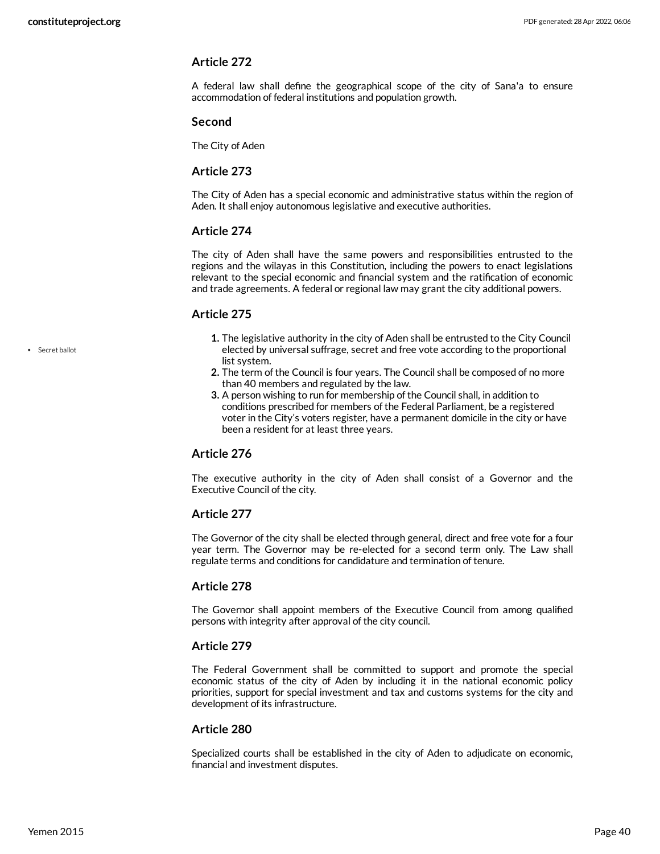A federal law shall define the geographical scope of the city of Sana'a to ensure accommodation of federal institutions and population growth.

#### **Second**

The City of Aden

### **Article 273**

The City of Aden has a special economic and administrative status within the region of Aden. It shall enjoy autonomous legislative and executive authorities.

### **Article 274**

The city of Aden shall have the same powers and responsibilities entrusted to the regions and the wilayas in this Constitution, including the powers to enact legislations relevant to the special economic and financial system and the ratification of economic and trade agreements. A federal or regional law may grant the city additional powers.

### **Article 275**

- **1.** The legislative authority in the city of Aden shall be entrusted to the City Council elected by universal suffrage, secret and free vote according to the proportional list system.
- **2.** The term of the Council is four years. The Council shall be composed of no more than 40 members and regulated by the law.
- **3.** A person wishing to run for membership of the Council shall, in addition to conditions prescribed for members of the Federal Parliament, be a registered voter in the City's voters register, have a permanent domicile in the city or have been a resident for at least three years.

# **Article 276**

The executive authority in the city of Aden shall consist of a Governor and the Executive Council of the city.

# **Article 277**

The Governor of the city shall be elected through general, direct and free vote for a four year term. The Governor may be re-elected for a second term only. The Law shall regulate terms and conditions for candidature and termination of tenure.

# **Article 278**

The Governor shall appoint members of the Executive Council from among qualified persons with integrity after approval of the city council.

### **Article 279**

The Federal Government shall be committed to support and promote the special economic status of the city of Aden by including it in the national economic policy priorities, support for special investment and tax and customs systems for the city and development of its infrastructure.

### **Article 280**

Specialized courts shall be established in the city of Aden to adjudicate on economic, financial and investment disputes.

• Secret ballot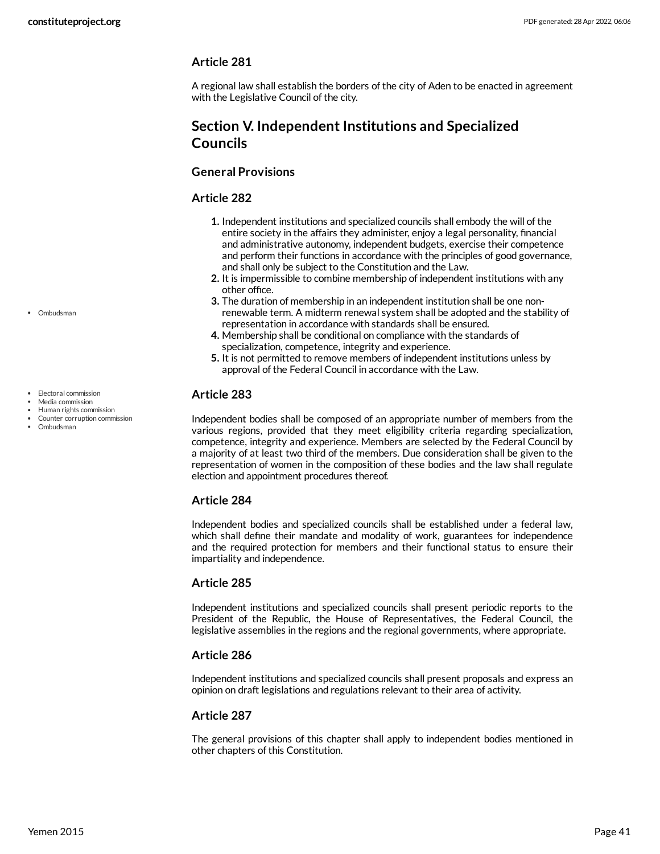A regional law shall establish the borders of the city of Aden to be enacted in agreement with the Legislative Council of the city.

# **Section V. Independent Institutions and Specialized Councils**

# **General Provisions**

# <span id="page-40-1"></span>**Article 282**

- **1.** Independent institutions and specialized councils shall embody the will of the entire society in the affairs they administer, enjoy a legal personality, financial and administrative autonomy, independent budgets, exercise their competence and perform their functions in accordance with the principles of good governance, and shall only be subject to the Constitution and the Law.
- **2.** It is impermissible to combine membership of independent institutions with any other office.
- **3.** The duration of membership in an independent institution shall be one nonrenewable term. A midterm renewal system shall be adopted and the stability of representation in accordance with standards shall be ensured.
- **4.** Membership shall be conditional on compliance with the standards of specialization, competence, integrity and experience.
- **5.** It is not permitted to remove members of independent institutions unless by approval of the Federal Council in accordance with the Law.

# <span id="page-40-0"></span>**Article 283**

Independent bodies shall be composed of an appropriate number of members from the various regions, provided that they meet eligibility criteria regarding specialization, competence, integrity and experience. Members are selected by the Federal Council by a majority of at least two third of the members. Due consideration shall be given to the representation of women in the composition of these bodies and the law shall regulate election and appointment procedures thereof.

# **Article 284**

Independent bodies and specialized councils shall be established under a federal law, which shall define their mandate and modality of work, guarantees for independence and the required protection for members and their functional status to ensure their impartiality and independence.

# **Article 285**

Independent institutions and specialized councils shall present periodic reports to the President of the Republic, the House of Representatives, the Federal Council, the legislative assemblies in the regions and the regional governments, where appropriate.

# **Article 286**

Independent institutions and specialized councils shall present proposals and express an opinion on draft legislations and regulations relevant to their area of activity.

# **Article 287**

The general provisions of this chapter shall apply to independent bodies mentioned in other chapters of this Constitution.

Ombudsman

- Electoral commission
- Media commission
- Human rights commission Counter corruption commission
- Ombudsman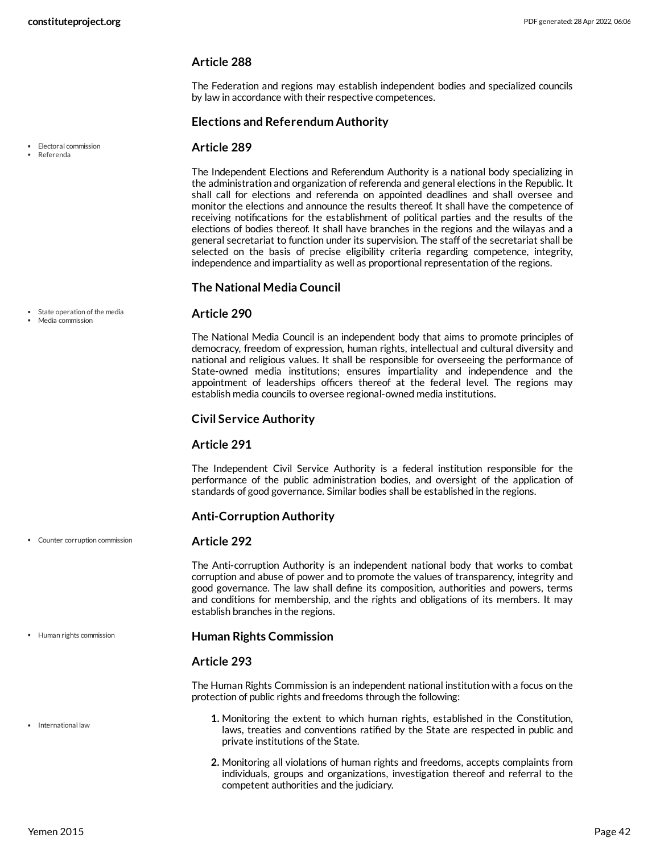The Federation and regions may establish independent bodies and specialized councils by law in accordance with their respective competences.

### **Elections and Referendum Authority**

### <span id="page-41-1"></span>**Article 289**

The Independent Elections and Referendum Authority is a national body specializing in the administration and organization of referenda and general elections in the Republic. It shall call for elections and referenda on appointed deadlines and shall oversee and monitor the elections and announce the results thereof. It shall have the competence of receiving notifications for the establishment of political parties and the results of the elections of bodies thereof. It shall have branches in the regions and the wilayas and a general secretariat to function under its supervision. The staff of the secretariat shall be selected on the basis of precise eligibility criteria regarding competence, integrity, independence and impartiality as well as proportional representation of the regions.

### **The National Media Council**

### <span id="page-41-4"></span>**Article 290**

The National Media Council is an independent body that aims to promote principles of democracy, freedom of expression, human rights, intellectual and cultural diversity and national and religious values. It shall be responsible for overseeing the performance of State-owned media institutions; ensures impartiality and independence and the appointment of leaderships officers thereof at the federal level. The regions may establish media councils to oversee regional-owned media institutions.

### **Civil Service Authority**

### **Article 291**

The Independent Civil Service Authority is a federal institution responsible for the performance of the public administration bodies, and oversight of the application of standards of good governance. Similar bodies shall be established in the regions.

### <span id="page-41-0"></span>**Anti-Corruption Authority**

#### **Article 292**

The Anti-corruption Authority is an independent national body that works to combat corruption and abuse of power and to promote the values of transparency, integrity and good governance. The law shall define its composition, authorities and powers, terms and conditions for membership, and the rights and obligations of its members. It may establish branches in the regions.

<span id="page-41-2"></span>**Human Rights Commission**

### **Article 293**

<span id="page-41-3"></span>The Human Rights Commission is an independent national institution with a focus on the protection of public rights and freedoms through the following:

- **1.** Monitoring the extent to which human rights, established in the Constitution, laws, treaties and conventions ratified by the State are respected in public and private institutions of the State.
- **2.** Monitoring all violations of human rights and freedoms, accepts complaints from individuals, groups and organizations, investigation thereof and referral to the competent authorities and the judiciary.

• Flectoral commission Referenda

- 
- State operation of the media
- Media commission

Counter corruption commission

Human rights commission

• International law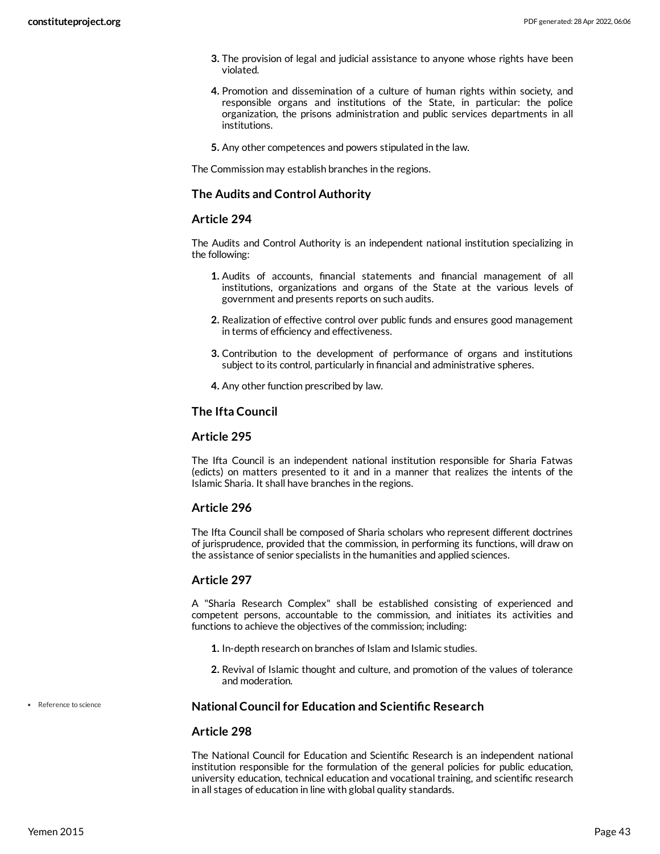- **3.** The provision of legal and judicial assistance to anyone whose rights have been violated.
- **4.** Promotion and dissemination of a culture of human rights within society, and responsible organs and institutions of the State, in particular: the police organization, the prisons administration and public services departments in all institutions.
- **5.** Any other competences and powers stipulated in the law.

The Commission may establish branches in the regions.

### **The Audits and Control Authority**

### **Article 294**

The Audits and Control Authority is an independent national institution specializing in the following:

- **1.** Audits of accounts, financial statements and financial management of all institutions, organizations and organs of the State at the various levels of government and presents reports on such audits.
- **2.** Realization of effective control over public funds and ensures good management in terms of efficiency and effectiveness.
- **3.** Contribution to the development of performance of organs and institutions subject to its control, particularly in financial and administrative spheres.
- **4.** Any other function prescribed by law.

### **The Ifta Council**

### **Article 295**

The Ifta Council is an independent national institution responsible for Sharia Fatwas (edicts) on matters presented to it and in a manner that realizes the intents of the Islamic Sharia. It shall have branches in the regions.

### **Article 296**

The Ifta Council shall be composed of Sharia scholars who represent different doctrines of jurisprudence, provided that the commission, in performing its functions, will draw on the assistance of senior specialists in the humanities and applied sciences.

### **Article 297**

A "Sharia Research Complex" shall be established consisting of experienced and competent persons, accountable to the commission, and initiates its activities and functions to achieve the objectives of the commission; including:

- **1.** In-depth research on branches of Islam and Islamic studies.
- **2.** Revival of Islamic thought and culture, and promotion of the values of tolerance and moderation.

### **National Council for Education and Scientific Research**

#### **Article 298**

The National Council for Education and Scientific Research is an independent national institution responsible for the formulation of the general policies for public education, university education, technical education and vocational training, and scientific research in all stages of education in line with global quality standards.

• Reference to science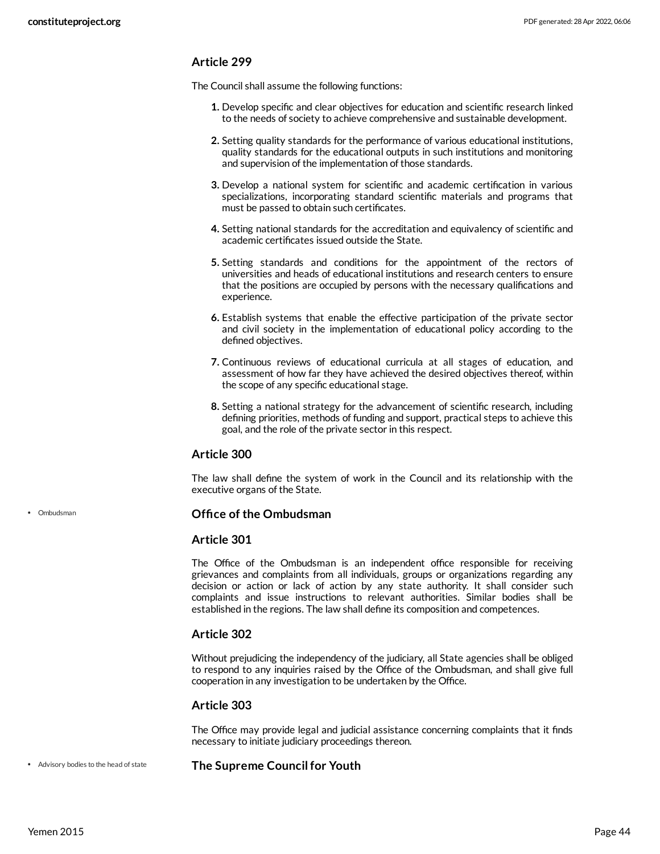The Council shall assume the following functions:

- **1.** Develop specific and clear objectives for education and scientific research linked to the needs of society to achieve comprehensive and sustainable development.
- **2.** Setting quality standards for the performance of various educational institutions, quality standards for the educational outputs in such institutions and monitoring and supervision of the implementation of those standards.
- **3.** Develop a national system for scientific and academic certification in various specializations, incorporating standard scientific materials and programs that must be passed to obtain such certificates.
- **4.** Setting national standards for the accreditation and equivalency of scientific and academic certificates issued outside the State.
- **5.** Setting standards and conditions for the appointment of the rectors of universities and heads of educational institutions and research centers to ensure that the positions are occupied by persons with the necessary qualifications and experience.
- **6.** Establish systems that enable the effective participation of the private sector and civil society in the implementation of educational policy according to the defined objectives.
- **7.** Continuous reviews of educational curricula at all stages of education, and assessment of how far they have achieved the desired objectives thereof, within the scope of any specific educational stage.
- **8.** Setting a national strategy for the advancement of scientific research, including defining priorities, methods of funding and support, practical steps to achieve this goal, and the role of the private sector in this respect.

### **Article 300**

The law shall define the system of work in the Council and its relationship with the executive organs of the State.

<span id="page-43-1"></span>**Office of the Ombudsman**

### **Article 301**

The Office of the Ombudsman is an independent office responsible for receiving grievances and complaints from all individuals, groups or organizations regarding any decision or action or lack of action by any state authority. It shall consider such complaints and issue instructions to relevant authorities. Similar bodies shall be established in the regions. The law shall define its composition and competences.

### **Article 302**

Without prejudicing the independency of the judiciary, all State agencies shall be obliged to respond to any inquiries raised by the Office of the Ombudsman, and shall give full cooperation in any investigation to be undertaken by the Office.

### **Article 303**

<span id="page-43-0"></span>The Office may provide legal and judicial assistance concerning complaints that it finds necessary to initiate judiciary proceedings thereon.

**The Supreme Council for Youth** Advisory bodies to the head of state

• Ombudsman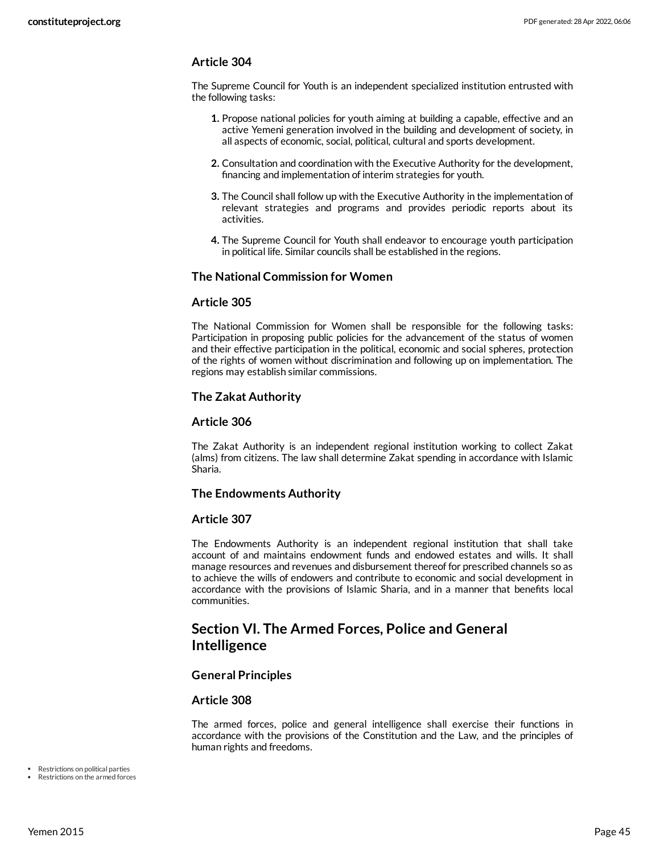The Supreme Council for Youth is an independent specialized institution entrusted with the following tasks:

- **1.** Propose national policies for youth aiming at building a capable, effective and an active Yemeni generation involved in the building and development of society, in all aspects of economic, social, political, cultural and sports development.
- **2.** Consultation and coordination with the Executive Authority for the development, financing and implementation of interim strategies for youth.
- **3.** The Council shall follow up with the Executive Authority in the implementation of relevant strategies and programs and provides periodic reports about its activities.
- **4.** The Supreme Council for Youth shall endeavor to encourage youth participation in political life. Similar councils shall be established in the regions.

### **The National Commission for Women**

### **Article 305**

The National Commission for Women shall be responsible for the following tasks: Participation in proposing public policies for the advancement of the status of women and their effective participation in the political, economic and social spheres, protection of the rights of women without discrimination and following up on implementation. The regions may establish similar commissions.

### **The Zakat Authority**

### **Article 306**

The Zakat Authority is an independent regional institution working to collect Zakat (alms) from citizens. The law shall determine Zakat spending in accordance with Islamic Sharia.

### **The Endowments Authority**

### **Article 307**

The Endowments Authority is an independent regional institution that shall take account of and maintains endowment funds and endowed estates and wills. It shall manage resources and revenues and disbursement thereof for prescribed channels so as to achieve the wills of endowers and contribute to economic and social development in accordance with the provisions of Islamic Sharia, and in a manner that benefits local communities.

# **Section VI. The Armed Forces, Police and General Intelligence**

### **General Principles**

#### **Article 308**

The armed forces, police and general intelligence shall exercise their functions in accordance with the provisions of the Constitution and the Law, and the principles of human rights and freedoms.

Restrictions on political parties

Restrictions on the armed forces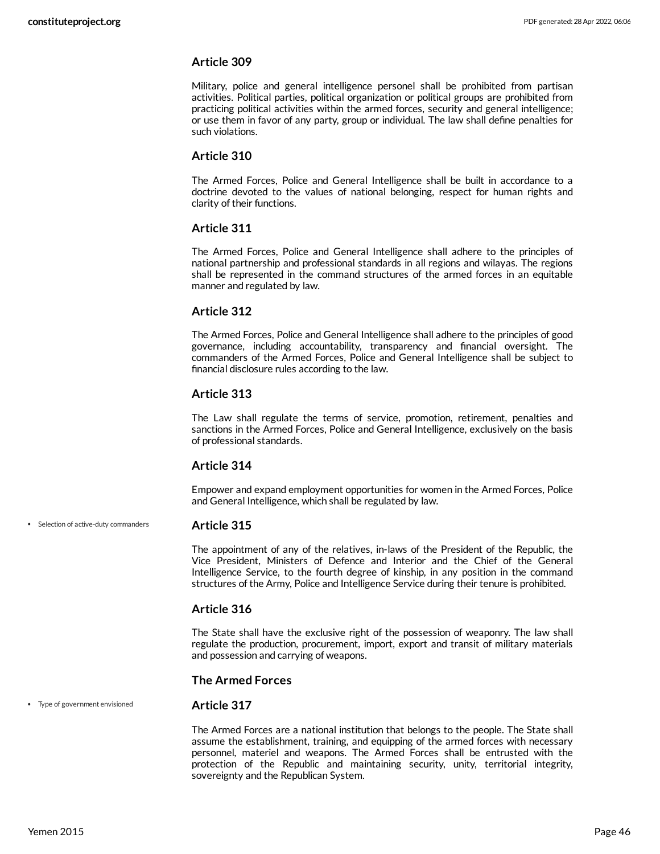Military, police and general intelligence personel shall be prohibited from partisan activities. Political parties, political organization or political groups are prohibited from practicing political activities within the armed forces, security and general intelligence; or use them in favor of any party, group or individual. The law shall define penalties for such violations.

### **Article 310**

The Armed Forces, Police and General Intelligence shall be built in accordance to a doctrine devoted to the values of national belonging, respect for human rights and clarity of their functions.

### **Article 311**

The Armed Forces, Police and General Intelligence shall adhere to the principles of national partnership and professional standards in all regions and wilayas. The regions shall be represented in the command structures of the armed forces in an equitable manner and regulated by law.

### **Article 312**

The Armed Forces, Police and General Intelligence shall adhere to the principles of good governance, including accountability, transparency and financial oversight. The commanders of the Armed Forces, Police and General Intelligence shall be subject to financial disclosure rules according to the law.

### **Article 313**

The Law shall regulate the terms of service, promotion, retirement, penalties and sanctions in the Armed Forces, Police and General Intelligence, exclusively on the basis of professional standards.

### **Article 314**

Empower and expand employment opportunities for women in the Armed Forces, Police and General Intelligence, which shall be regulated by law.

• Selection of active-duty commanders

#### **Article 315**

The appointment of any of the relatives, in-laws of the President of the Republic, the Vice President, Ministers of Defence and Interior and the Chief of the General Intelligence Service, to the fourth degree of kinship, in any position in the command structures of the Army, Police and Intelligence Service during their tenure is prohibited.

#### **Article 316**

**Article 317**

The State shall have the exclusive right of the possession of weaponry. The law shall regulate the production, procurement, import, export and transit of military materials and possession and carrying of weapons.

#### **The Armed Forces**

#### Type of government envisioned

The Armed Forces are a national institution that belongs to the people. The State shall assume the establishment, training, and equipping of the armed forces with necessary personnel, materiel and weapons. The Armed Forces shall be entrusted with the protection of the Republic and maintaining security, unity, territorial integrity, sovereignty and the Republican System.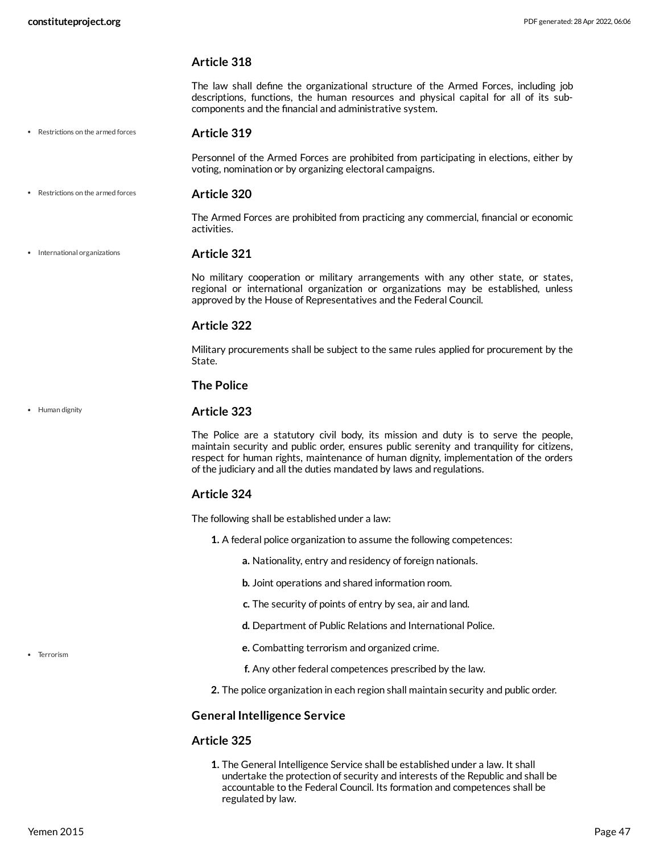The law shall define the organizational structure of the Armed Forces, including job descriptions, functions, the human resources and physical capital for all of its subcomponents and the financial and administrative system.

Restrictions on the armed forces

### **Article 319**

Personnel of the Armed Forces are prohibited from participating in elections, either by voting, nomination or by organizing electoral campaigns.

**Article 320** Restrictions on the armed forces

> The Armed Forces are prohibited from practicing any commercial, financial or economic activities.

**Article 321** • International organizations

> <span id="page-46-2"></span>No military cooperation or military arrangements with any other state, or states, regional or international organization or organizations may be established, unless approved by the House of Representatives and the Federal Council.

### **Article 322**

Military procurements shall be subject to the same rules applied for procurement by the State.

### **The Police**

#### • Human dignity

### <span id="page-46-1"></span>**Article 323**

The Police are a statutory civil body, its mission and duty is to serve the people, maintain security and public order, ensures public serenity and tranquility for citizens, respect for human rights, maintenance of human dignity, implementation of the orders of the judiciary and all the duties mandated by laws and regulations.

### **Article 324**

The following shall be established under a law:

- **1.** A federal police organization to assume the following competences:
	- **a.** Nationality, entry and residency of foreign nationals.
	- **b.** Joint operations and shared information room.
	- **c.** The security of points of entry by sea, air and land.
	- **d.** Department of Public Relations and International Police.
	- **e.** Combatting terrorism and organized crime.
	- **f.** Any other federal competences prescribed by the law.
- **2.** The police organization in each region shall maintain security and public order.

### **General Intelligence Service**

### <span id="page-46-0"></span>**Article 325**

**1.** The General Intelligence Service shall be established under a law. It shall undertake the protection of security and interests of the Republic and shall be accountable to the Federal Council. Its formation and competences shall be regulated by law.

• Terrorism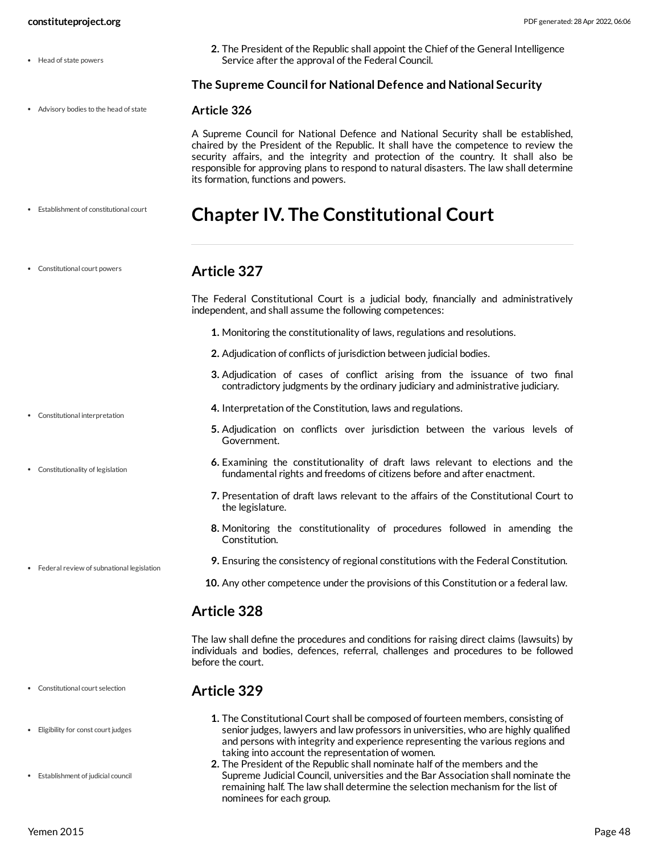- Head of state powers
- Advisory bodies to the head of state

Establishment of constitutional court

Constitutional court powers

**2.** The President of the Republic shall appoint the Chief of the General Intelligence Service after the approval of the Federal Council.

**The Supreme Council for National Defence and National Security**

#### <span id="page-47-0"></span>**Article 326**

A Supreme Council for National Defence and National Security shall be established, chaired by the President of the Republic. It shall have the competence to review the security affairs, and the integrity and protection of the country. It shall also be responsible for approving plans to respond to natural disasters. The law shall determine its formation, functions and powers.

# <span id="page-47-4"></span>**Chapter IV. The Constitutional Court**

# <span id="page-47-1"></span>**Article 327**

<span id="page-47-3"></span>The Federal Constitutional Court is a judicial body, financially and administratively independent, and shall assume the following competences:

- **1.** Monitoring the constitutionality of laws, regulations and resolutions.
- **2.** Adjudication of conflicts of jurisdiction between judicial bodies.
- **3.** Adjudication of cases of conflict arising from the issuance of two final contradictory judgments by the ordinary judiciary and administrative judiciary.
- **4.** Interpretation of the Constitution, laws and regulations.
- **5.** Adjudication on conflicts over jurisdiction between the various levels of Government.
- **6.** Examining the constitutionality of draft laws relevant to elections and the fundamental rights and freedoms of citizens before and after enactment.
- **7.** Presentation of draft laws relevant to the affairs of the Constitutional Court to the legislature.
- **8.** Monitoring the constitutionality of procedures followed in amending the Constitution.
- **9.** Ensuring the consistency of regional constitutions with the Federal Constitution.

#### **10.** Any other competence under the provisions of this Constitution or a federal law.

# **Article 328**

The law shall define the procedures and conditions for raising direct claims (lawsuits) by individuals and bodies, defences, referral, challenges and procedures to be followed before the court.

# <span id="page-47-2"></span>**Article 329**

- **1.** The Constitutional Court shall be composed of fourteen members, consisting of senior judges, lawyers and law professors in universities, who are highly qualified and persons with integrity and experience representing the various regions and taking into account the representation of women.
- **2.** The President of the Republic shall nominate half of the members and the Supreme Judicial Council, universities and the Bar Association shall nominate the remaining half. The law shall determine the selection mechanism for the list of nominees for each group.
- Constitutional interpretation
- Constitutionality of legislation

Federal review of subnational legislation

Constitutional court selection

- Eligibility for const court judges
- Establishment of judicial council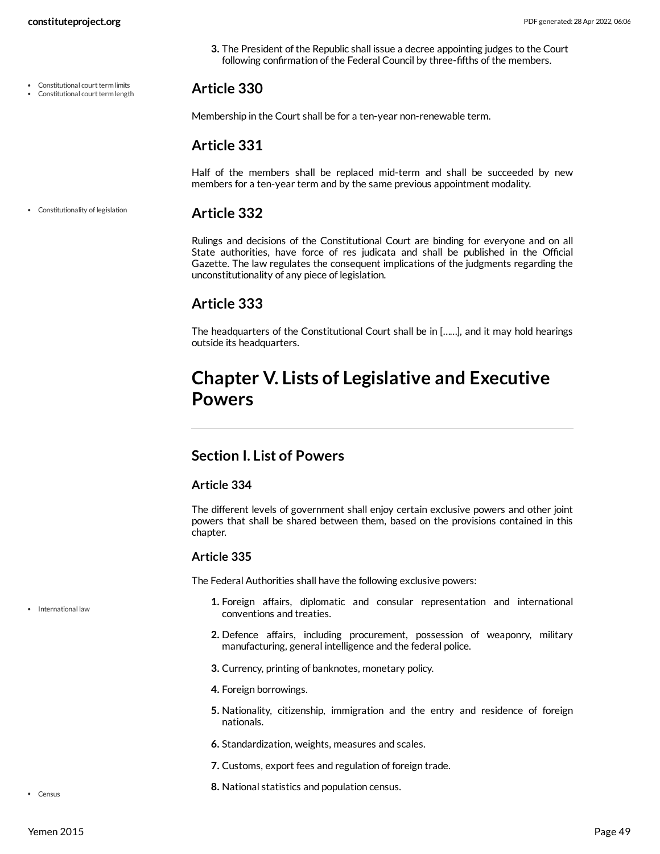**3.** The President of the Republic shall issue a decree appointing judges to the Court following confirmation of the Federal Council by three-fifths of the members.

#### Constitutional court term limits Constitutional court term length

<span id="page-48-1"></span>**Article 330**

Membership in the Court shall be for a ten-year non-renewable term.

# **Article 331**

Half of the members shall be replaced mid-term and shall be succeeded by new members for a ten-year term and by the same previous appointment modality.

#### **Article 332** Constitutionality of legislation

<span id="page-48-2"></span>Rulings and decisions of the Constitutional Court are binding for everyone and on all State authorities, have force of res judicata and shall be published in the Official Gazette. The law regulates the consequent implications of the judgments regarding the unconstitutionality of any piece of legislation.

# **Article 333**

The headquarters of the Constitutional Court shall be in [……], and it may hold hearings outside its headquarters.

# **Chapter V. Lists of Legislative and Executive Powers**

# **Section I. List of Powers**

### **Article 334**

The different levels of government shall enjoy certain exclusive powers and other joint powers that shall be shared between them, based on the provisions contained in this chapter.

### **Article 335**

<span id="page-48-0"></span>The Federal Authorities shall have the following exclusive powers:

- **1.** Foreign affairs, diplomatic and consular representation and international conventions and treaties.
- **2.** Defence affairs, including procurement, possession of weaponry, military manufacturing, general intelligence and the federal police.
- **3.** Currency, printing of banknotes, monetary policy.
- **4.** Foreign borrowings.
- **5.** Nationality, citizenship, immigration and the entry and residence of foreign nationals.
- **6.** Standardization, weights, measures and scales.
- **7.** Customs, export fees and regulation of foreign trade.
- **8.** National statistics and population census.

• Census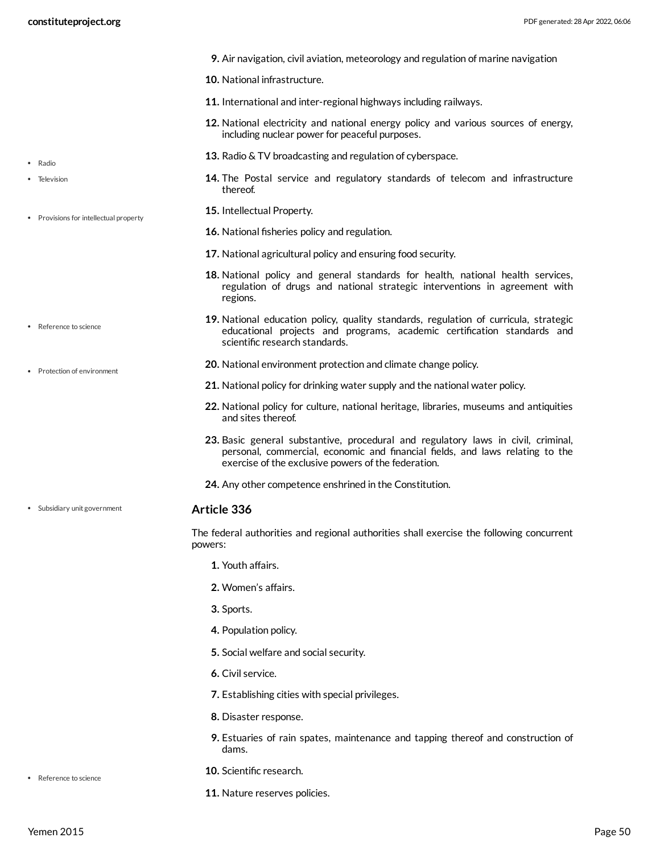- **9.** Air navigation, civil aviation, meteorology and regulation of marine navigation
- **10.** National infrastructure.
- **11.** International and inter-regional highways including railways.
- **12.** National electricity and national energy policy and various sources of energy, including nuclear power for peaceful purposes.
- **13.** Radio & TV broadcasting and regulation of cyberspace.
- **14.** The Postal service and regulatory standards of telecom and infrastructure thereof.
- **15.** Intellectual Property.
- **16.** National fisheries policy and regulation.
- **17.** National agricultural policy and ensuring food security.
- **18.** National policy and general standards for health, national health services, regulation of drugs and national strategic interventions in agreement with regions.
- **19.** National education policy, quality standards, regulation of curricula, strategic educational projects and programs, academic certification standards and scientific research standards.
- **20.** National environment protection and climate change policy.
- **21.** National policy for drinking water supply and the national water policy.
- **22.** National policy for culture, national heritage, libraries, museums and antiquities and sites thereof.
- **23.** Basic general substantive, procedural and regulatory laws in civil, criminal, personal, commercial, economic and financial fields, and laws relating to the exercise of the exclusive powers of the federation.
- **24.** Any other competence enshrined in the Constitution.

The federal authorities and regional authorities shall exercise the following concurrent powers:

- **1.** Youth affairs.
- **2.** Women's affairs.
- **3.** Sports.
- **4.** Population policy.
- **5.** Social welfare and social security.
- **6.** Civil service.
- **7.** Establishing cities with special privileges.
- **8.** Disaster response.
- **9.** Estuaries of rain spates, maintenance and tapping thereof and construction of dams.

• Reference to science

- **10.** Scientific research.
- **11.** Nature reserves policies.
- Radio
- Television
- Provisions for intellectual property
- Reference to science
- Protection of environment

Subsidiary unit government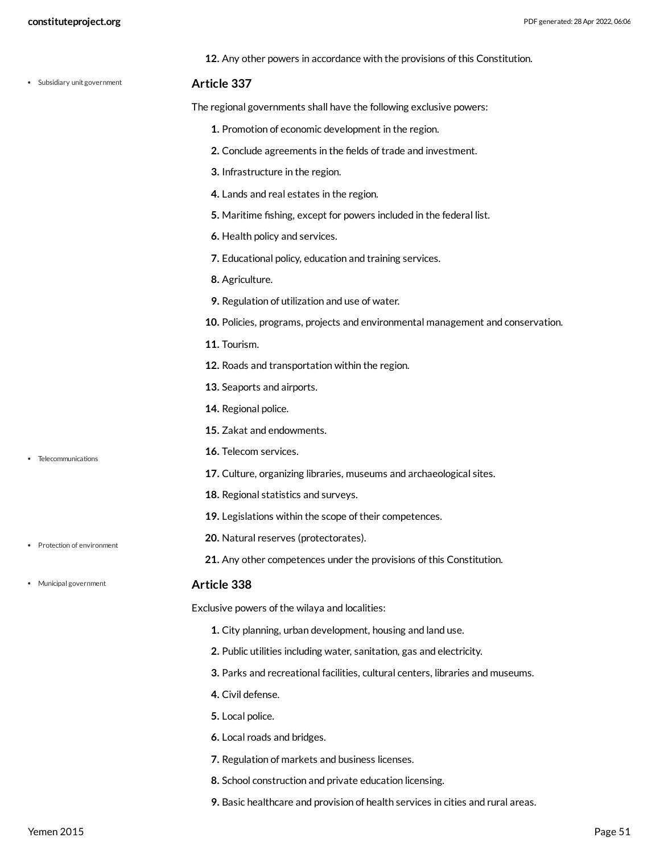| constituteproject.org        |                                                                                 | PDF generated: 28 Apr 2022, 06:06 |
|------------------------------|---------------------------------------------------------------------------------|-----------------------------------|
|                              | 12. Any other powers in accordance with the provisions of this Constitution.    |                                   |
| • Subsidiary unit government | Article 337                                                                     |                                   |
|                              | The regional governments shall have the following exclusive powers:             |                                   |
|                              | 1. Promotion of economic development in the region.                             |                                   |
|                              | 2. Conclude agreements in the fields of trade and investment.                   |                                   |
|                              | 3. Infrastructure in the region.                                                |                                   |
|                              | 4. Lands and real estates in the region.                                        |                                   |
|                              | 5. Maritime fishing, except for powers included in the federal list.            |                                   |
|                              | 6. Health policy and services.                                                  |                                   |
|                              | 7. Educational policy, education and training services.                         |                                   |
|                              | 8. Agriculture.                                                                 |                                   |
|                              | 9. Regulation of utilization and use of water.                                  |                                   |
|                              | 10. Policies, programs, projects and environmental management and conservation. |                                   |
|                              | 11. Tourism.                                                                    |                                   |
|                              | 12. Roads and transportation within the region.                                 |                                   |
|                              | 13. Seaports and airports.                                                      |                                   |
|                              | 14. Regional police.                                                            |                                   |
|                              | <b>15.</b> Zakat and endowments.                                                |                                   |
| Telecommunications           | 16. Telecom services.                                                           |                                   |
|                              | 17. Culture, organizing libraries, museums and archaeological sites.            |                                   |
|                              | 18. Regional statistics and surveys.                                            |                                   |
|                              | 19. Legislations within the scope of their competences.                         |                                   |
| Protection of environment    | 20. Natural reserves (protectorates).                                           |                                   |
|                              | 21. Any other competences under the provisions of this Constitution.            |                                   |
| • Municipal government       | Article 338                                                                     |                                   |
|                              | Exclusive powers of the wilaya and localities:                                  |                                   |
|                              | 1. City planning, urban development, housing and land use.                      |                                   |
|                              | 2. Public utilities including water, sanitation, gas and electricity.           |                                   |

- <span id="page-50-0"></span>**3.** Parks and recreational facilities, cultural centers, libraries and museums.
- **4.** Civil defense.
- **5.** Local police.
- **6.** Local roads and bridges.
- **7.** Regulation of markets and business licenses.
- **8.** School construction and private education licensing.
- **9.** Basic healthcare and provision of health services in cities and rural areas.
- Telecommunications
- Protection of environment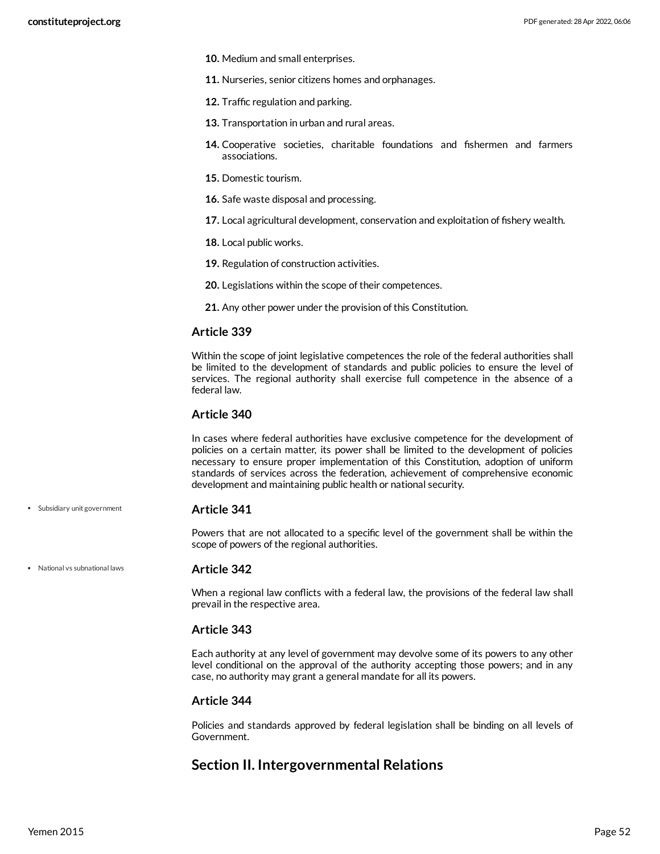- **10.** Medium and small enterprises.
- **11.** Nurseries, senior citizens homes and orphanages.
- **12.** Traffic regulation and parking.
- **13.** Transportation in urban and rural areas.
- **14.** Cooperative societies, charitable foundations and fishermen and farmers associations.
- **15.** Domestic tourism.
- **16.** Safe waste disposal and processing.
- **17.** Local agricultural development, conservation and exploitation of fishery wealth.
- **18.** Local public works.
- **19.** Regulation of construction activities.
- **20.** Legislations within the scope of their competences.
- **21.** Any other power under the provision of this Constitution.

Within the scope of joint legislative competences the role of the federal authorities shall be limited to the development of standards and public policies to ensure the level of services. The regional authority shall exercise full competence in the absence of a federal law.

### **Article 340**

In cases where federal authorities have exclusive competence for the development of policies on a certain matter, its power shall be limited to the development of policies necessary to ensure proper implementation of this Constitution, adoption of uniform standards of services across the federation, achievement of comprehensive economic development and maintaining public health or national security.

#### **Article 341**

Powers that are not allocated to a specific level of the government shall be within the scope of powers of the regional authorities.

National vs subnational laws

Subsidiary unit government

### <span id="page-51-0"></span>**Article 342**

When a regional law conflicts with a federal law, the provisions of the federal law shall prevail in the respective area.

### **Article 343**

Each authority at any level of government may devolve some of its powers to any other level conditional on the approval of the authority accepting those powers; and in any case, no authority may grant a general mandate for all its powers.

### **Article 344**

Policies and standards approved by federal legislation shall be binding on all levels of Government.

# **Section II. Intergovernmental Relations**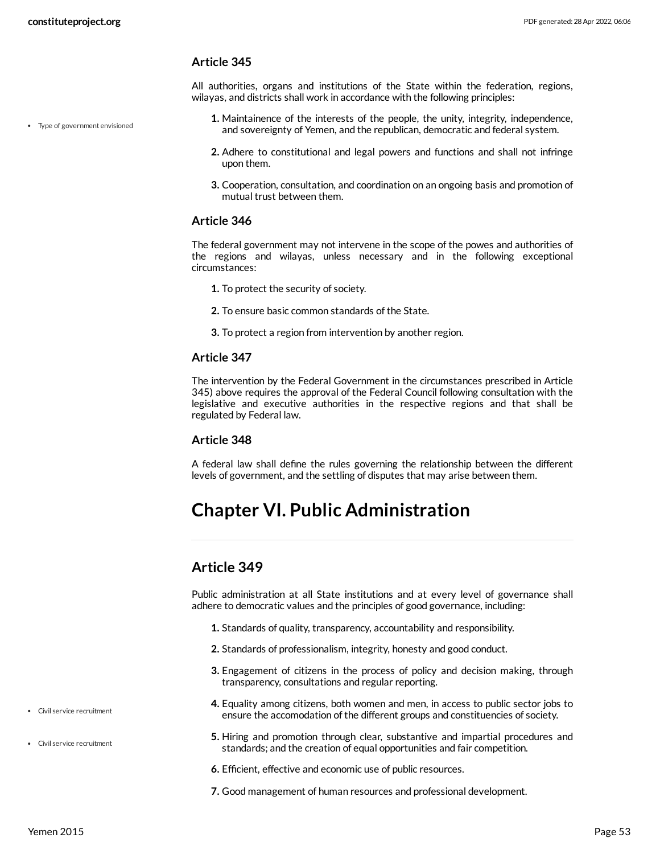All authorities, organs and institutions of the State within the federation, regions, wilayas, and districts shall work in accordance with the following principles:

- Type of government envisioned
- **1.** Maintainence of the interests of the people, the unity, integrity, independence, and sovereignty of Yemen, and the republican, democratic and federal system.
- **2.** Adhere to constitutional and legal powers and functions and shall not infringe upon them.
- **3.** Cooperation, consultation, and coordination on an ongoing basis and promotion of mutual trust between them.

### **Article 346**

The federal government may not intervene in the scope of the powes and authorities of the regions and wilayas, unless necessary and in the following exceptional circumstances:

- **1.** To protect the security of society.
- **2.** To ensure basic common standards of the State.
- **3.** To protect a region from intervention by another region.

### **Article 347**

The intervention by the Federal Government in the circumstances prescribed in Article 345) above requires the approval of the Federal Council following consultation with the legislative and executive authorities in the respective regions and that shall be regulated by Federal law.

### **Article 348**

A federal law shall define the rules governing the relationship between the different levels of government, and the settling of disputes that may arise between them.

# **Chapter VI. Public Administration**

# **Article 349**

<span id="page-52-0"></span>Public administration at all State institutions and at every level of governance shall adhere to democratic values and the principles of good governance, including:

- **1.** Standards of quality, transparency, accountability and responsibility.
- **2.** Standards of professionalism, integrity, honesty and good conduct.
- **3.** Engagement of citizens in the process of policy and decision making, through transparency, consultations and regular reporting.
- **4.** Equality among citizens, both women and men, in access to public sector jobs to ensure the accomodation of the different groups and constituencies of society.
- **5.** Hiring and promotion through clear, substantive and impartial procedures and standards; and the creation of equal opportunities and fair competition.
- **6.** Efficient, effective and economic use of public resources.
- **7.** Good management of human resources and professional development.
- Civil service recruitment
- Civil service recruitment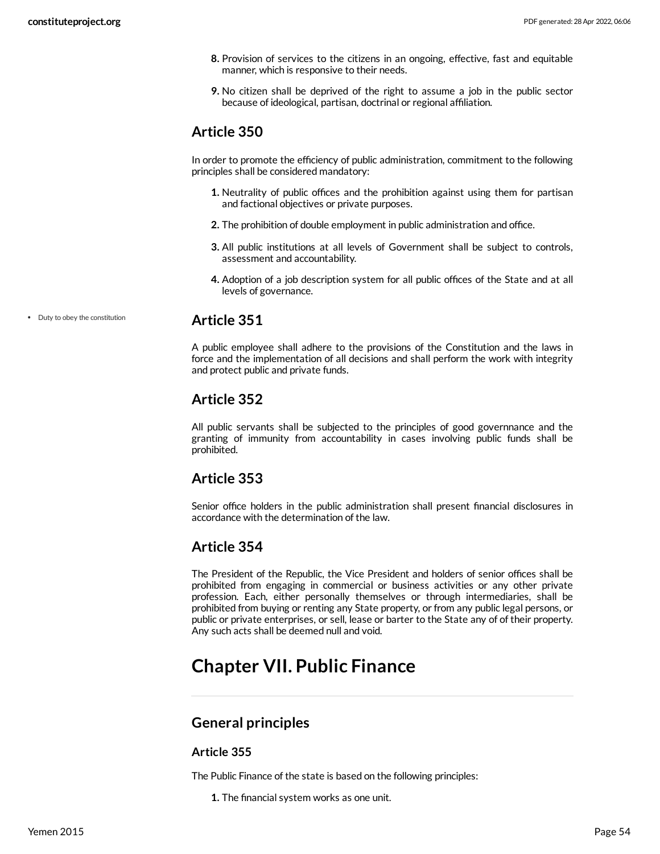- **8.** Provision of services to the citizens in an ongoing, effective, fast and equitable manner, which is responsive to their needs.
- **9.** No citizen shall be deprived of the right to assume a job in the public sector because of ideological, partisan, doctrinal or regional affiliation.

In order to promote the efficiency of public administration, commitment to the following principles shall be considered mandatory:

- **1.** Neutrality of public offices and the prohibition against using them for partisan and factional objectives or private purposes.
- **2.** The prohibition of double employment in public administration and office.
- **3.** All public institutions at all levels of Government shall be subject to controls, assessment and accountability.
- **4.** Adoption of a job description system for all public offices of the State and at all levels of governance.

Duty to obey the constitution

# <span id="page-53-0"></span>**Article 351**

A public employee shall adhere to the provisions of the Constitution and the laws in force and the implementation of all decisions and shall perform the work with integrity and protect public and private funds.

# **Article 352**

All public servants shall be subjected to the principles of good governnance and the granting of immunity from accountability in cases involving public funds shall be prohibited.

# **Article 353**

Senior office holders in the public administration shall present financial disclosures in accordance with the determination of the law.

# **Article 354**

The President of the Republic, the Vice President and holders of senior offices shall be prohibited from engaging in commercial or business activities or any other private profession. Each, either personally themselves or through intermediaries, shall be prohibited from buying or renting any State property, or from any public legal persons, or public or private enterprises, or sell, lease or barter to the State any of of their property. Any such acts shall be deemed null and void.

# **Chapter VII. Public Finance**

# **General principles**

# **Article 355**

The Public Finance of the state is based on the following principles:

**1.** The financial system works as one unit.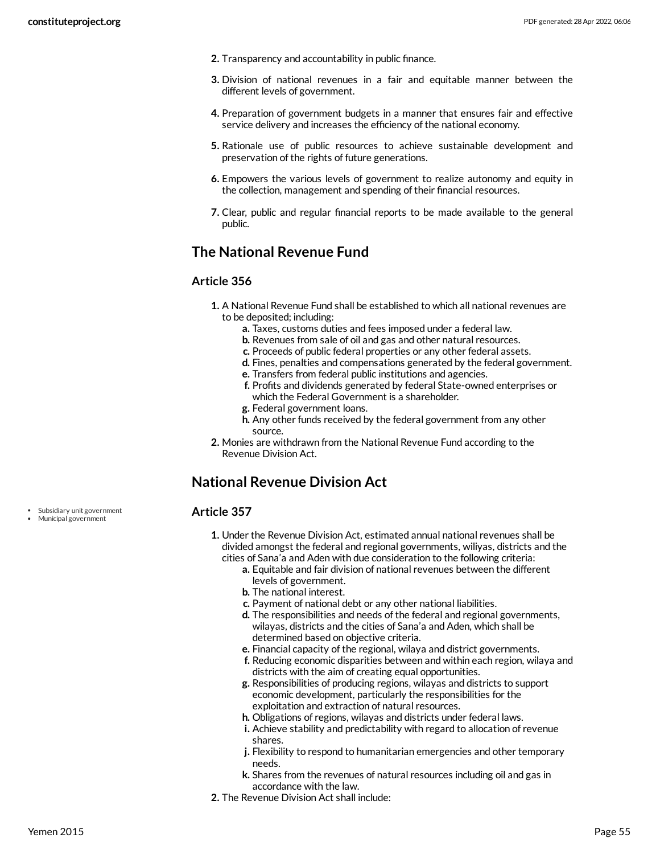- **2.** Transparency and accountability in public finance.
- **3.** Division of national revenues in a fair and equitable manner between the different levels of government.
- **4.** Preparation of government budgets in a manner that ensures fair and effective service delivery and increases the efficiency of the national economy.
- **5.** Rationale use of public resources to achieve sustainable development and preservation of the rights of future generations.
- **6.** Empowers the various levels of government to realize autonomy and equity in the collection, management and spending of their financial resources.
- **7.** Clear, public and regular financial reports to be made available to the general public.

# **The National Revenue Fund**

# **Article 356**

- **1.** A National Revenue Fund shall be established to which all national revenues are to be deposited; including:
	- **a.** Taxes, customs duties and fees imposed under a federal law.
	- **b.** Revenues from sale of oil and gas and other natural resources.
	- **c.** Proceeds of public federal properties or any other federal assets.
	- **d.** Fines, penalties and compensations generated by the federal government.
	- **e.** Transfers from federal public institutions and agencies.
	- **f.** Profits and dividends generated by federal State-owned enterprises or which the Federal Government is a shareholder.
	- **g.** Federal government loans.
	- **h.** Any other funds received by the federal government from any other source.
- **2.** Monies are withdrawn from the National Revenue Fund according to the Revenue Division Act.

# **National Revenue Division Act**

# <span id="page-54-0"></span>**Article 357**

- **1.** Under the Revenue Division Act, estimated annual national revenues shall be divided amongst the federal and regional governments, wiliyas, districts and the cities of Sana'a and Aden with due consideration to the following criteria:
	- **a.** Equitable and fair division of national revenues between the different levels of government.
	- **b.** The national interest.
	- **c.** Payment of national debt or any other national liabilities.
	- **d.** The responsibilities and needs of the federal and regional governments, wilayas, districts and the cities of Sana'a and Aden, which shall be determined based on objective criteria.
	- **e.** Financial capacity of the regional, wilaya and district governments.
	- **f.** Reducing economic disparities between and within each region, wilaya and districts with the aim of creating equal opportunities.
	- **g.** Responsibilities of producing regions, wilayas and districts to support economic development, particularly the responsibilities for the exploitation and extraction of natural resources.
	- **h.** Obligations of regions, wilayas and districts under federal laws.
	- **i.** Achieve stability and predictability with regard to allocation of revenue shares.
	- **j.** Flexibility to respond to humanitarian emergencies and other temporary needs.
	- **k.** Shares from the revenues of natural resources including oil and gas in accordance with the law.
- **2.** The Revenue Division Act shall include:

Subsidiary unit government Municipal government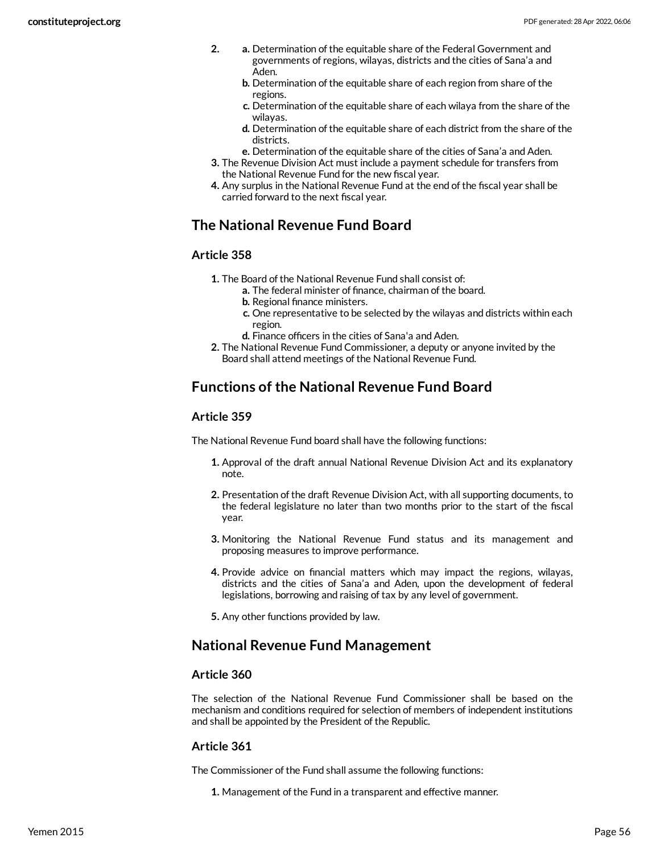- **2. a.** Determination of the equitable share of the Federal Government and governments of regions, wilayas, districts and the cities of Sana'a and Aden.
	- **b.** Determination of the equitable share of each region from share of the regions.
	- **c.** Determination of the equitable share of each wilaya from the share of the wilayas.
	- **d.** Determination of the equitable share of each district from the share of the districts.
	- **e.** Determination of the equitable share of the cities of Sana'a and Aden.
- **3.** The Revenue Division Act must include a payment schedule for transfers from the National Revenue Fund for the new fiscal year.
- **4.** Any surplus in the National Revenue Fund at the end of the fiscal year shall be carried forward to the next fiscal year.

# **The National Revenue Fund Board**

# **Article 358**

- **1.** The Board of the National Revenue Fund shall consist of:
	- **a.** The federal minister of finance, chairman of the board. **b.** Regional finance ministers.
	- **c.** One representative to be selected by the wilayas and districts within each region.
	- **d.** Finance officers in the cities of Sana'a and Aden.
- **2.** The National Revenue Fund Commissioner, a deputy or anyone invited by the Board shall attend meetings of the National Revenue Fund.

# **Functions of the National Revenue Fund Board**

# **Article 359**

The National Revenue Fund board shall have the following functions:

- **1.** Approval of the draft annual National Revenue Division Act and its explanatory note.
- **2.** Presentation of the draft Revenue Division Act, with all supporting documents, to the federal legislature no later than two months prior to the start of the fiscal year.
- **3.** Monitoring the National Revenue Fund status and its management and proposing measures to improve performance.
- **4.** Provide advice on financial matters which may impact the regions, wilayas, districts and the cities of Sana'a and Aden, upon the development of federal legislations, borrowing and raising of tax by any level of government.
- **5.** Any other functions provided by law.

# **National Revenue Fund Management**

# **Article 360**

The selection of the National Revenue Fund Commissioner shall be based on the mechanism and conditions required for selection of members of independent institutions and shall be appointed by the President of the Republic.

# **Article 361**

The Commissioner of the Fund shall assume the following functions:

**1.** Management of the Fund in a transparent and effective manner.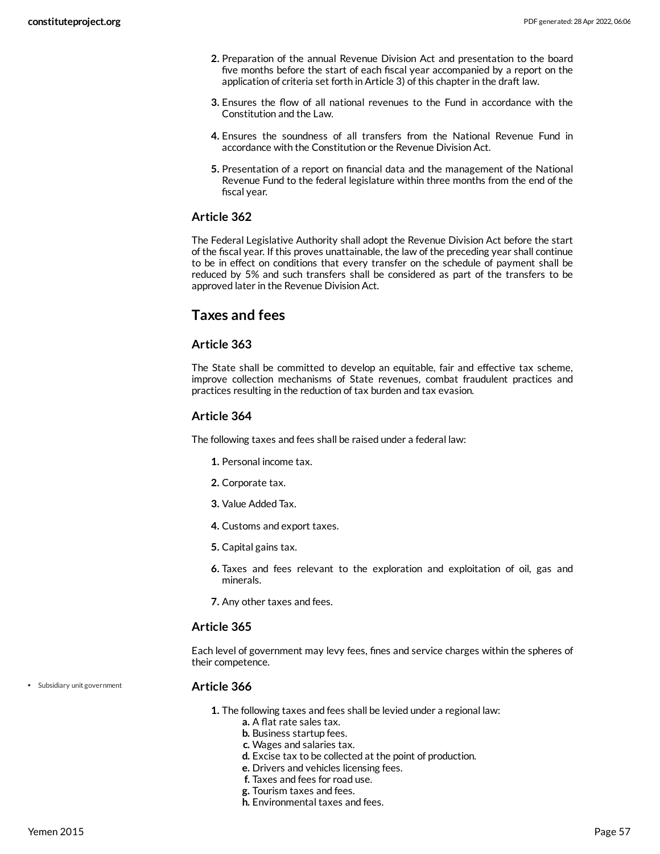- **2.** Preparation of the annual Revenue Division Act and presentation to the board five months before the start of each fiscal year accompanied by a report on the application of criteria set forth in Article 3) of this chapter in the draft law.
- **3.** Ensures the flow of all national revenues to the Fund in accordance with the Constitution and the Law.
- **4.** Ensures the soundness of all transfers from the National Revenue Fund in accordance with the Constitution or the Revenue Division Act.
- **5.** Presentation of a report on financial data and the management of the National Revenue Fund to the federal legislature within three months from the end of the fiscal year.

The Federal Legislative Authority shall adopt the Revenue Division Act before the start of the fiscal year. If this proves unattainable, the law of the preceding year shall continue to be in effect on conditions that every transfer on the schedule of payment shall be reduced by 5% and such transfers shall be considered as part of the transfers to be approved later in the Revenue Division Act.

# **Taxes and fees**

# **Article 363**

The State shall be committed to develop an equitable, fair and effective tax scheme, improve collection mechanisms of State revenues, combat fraudulent practices and practices resulting in the reduction of tax burden and tax evasion.

# **Article 364**

The following taxes and fees shall be raised under a federal law:

- **1.** Personal income tax.
- **2.** Corporate tax.
- **3.** Value Added Tax.
- **4.** Customs and export taxes.
- **5.** Capital gains tax.
- **6.** Taxes and fees relevant to the exploration and exploitation of oil, gas and minerals.
- **7.** Any other taxes and fees.

### **Article 365**

Each level of government may levy fees, fines and service charges within the spheres of their competence.

Subsidiary unit government

#### **Article 366**

- **1.** The following taxes and fees shall be levied under a regional law:
	- **a.** A flat rate sales tax.
	- **b.** Business startup fees.
	- **c.** Wages and salaries tax.
	- **d.** Excise tax to be collected at the point of production.
	- **e.** Drivers and vehicles licensing fees.
	- **f.** Taxes and fees for road use.
	- **g.** Tourism taxes and fees.
	- **h.** Environmental taxes and fees.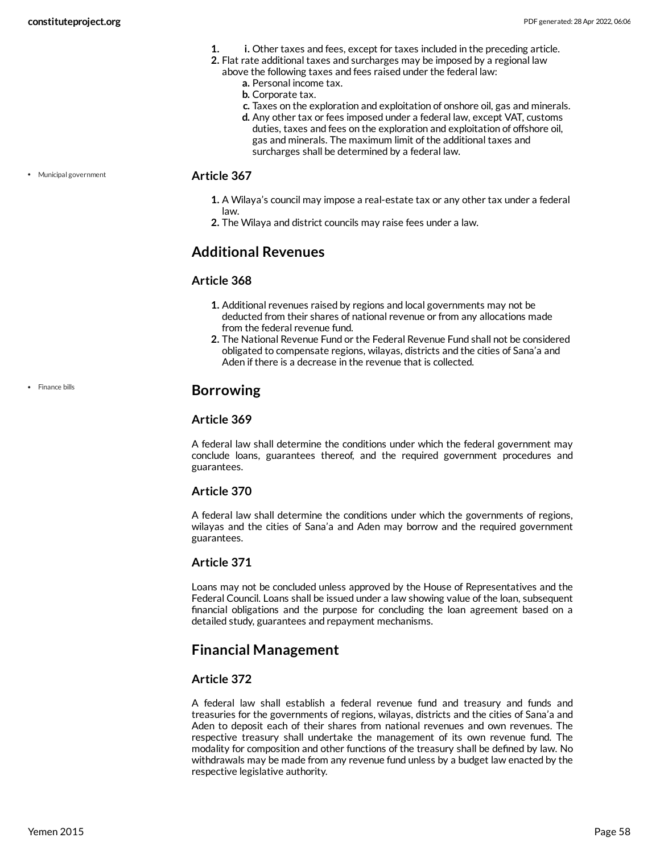- **1. i.** Other taxes and fees, except for taxes included in the preceding article.
- **2.** Flat rate additional taxes and surcharges may be imposed by a regional law
	- above the following taxes and fees raised under the federal law: **a.** Personal income tax.
		- **b.** Corporate tax.
		- **c.** Taxes on the exploration and exploitation of onshore oil, gas and minerals.
		- **d.** Any other tax or fees imposed under a federal law, except VAT, customs duties, taxes and fees on the exploration and exploitation of offshore oil, gas and minerals. The maximum limit of the additional taxes and surcharges shall be determined by a federal law.

Municipal government

### <span id="page-57-1"></span>**Article 367**

- **1.** A Wilaya's council may impose a real-estate tax or any other tax under a federal law.
- **2.** The Wilaya and district councils may raise fees under a law.

# **Additional Revenues**

### **Article 368**

- **1.** Additional revenues raised by regions and local governments may not be deducted from their shares of national revenue or from any allocations made from the federal revenue fund.
- **2.** The National Revenue Fund or the Federal Revenue Fund shall not be considered obligated to compensate regions, wilayas, districts and the cities of Sana'a and Aden if there is a decrease in the revenue that is collected.

• Finance bills

# <span id="page-57-0"></span>**Borrowing**

# **Article 369**

A federal law shall determine the conditions under which the federal government may conclude loans, guarantees thereof, and the required government procedures and guarantees.

# **Article 370**

A federal law shall determine the conditions under which the governments of regions, wilayas and the cities of Sana'a and Aden may borrow and the required government guarantees.

# **Article 371**

Loans may not be concluded unless approved by the House of Representatives and the Federal Council. Loans shall be issued under a law showing value of the loan, subsequent financial obligations and the purpose for concluding the loan agreement based on a detailed study, guarantees and repayment mechanisms.

# **Financial Management**

# **Article 372**

A federal law shall establish a federal revenue fund and treasury and funds and treasuries for the governments of regions, wilayas, districts and the cities of Sana'a and Aden to deposit each of their shares from national revenues and own revenues. The respective treasury shall undertake the management of its own revenue fund. The modality for composition and other functions of the treasury shall be defined by law. No withdrawals may be made from any revenue fund unless by a budget law enacted by the respective legislative authority.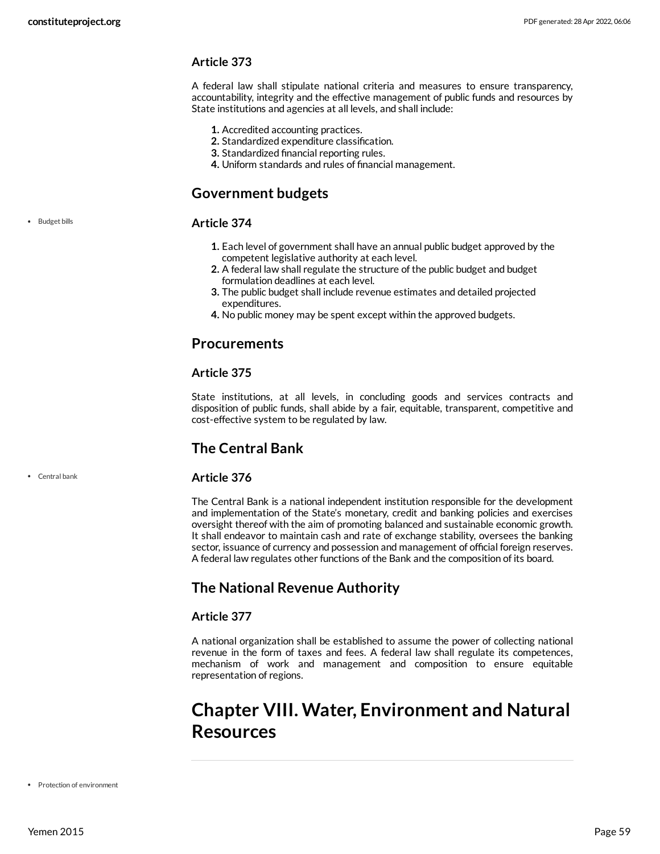A federal law shall stipulate national criteria and measures to ensure transparency, accountability, integrity and the effective management of public funds and resources by State institutions and agencies at all levels, and shall include:

- **1.** Accredited accounting practices.
- **2.** Standardized expenditure classification.
- **3.** Standardized financial reporting rules.
- **4.** Uniform standards and rules of financial management.

# **Government budgets**

### <span id="page-58-0"></span>**Article 374**

- **1.** Each level of government shall have an annual public budget approved by the competent legislative authority at each level.
- **2.** A federal law shall regulate the structure of the public budget and budget formulation deadlines at each level.
- **3.** The public budget shall include revenue estimates and detailed projected expenditures.
- **4.** No public money may be spent except within the approved budgets.

# **Procurements**

# **Article 375**

State institutions, at all levels, in concluding goods and services contracts and disposition of public funds, shall abide by a fair, equitable, transparent, competitive and cost-effective system to be regulated by law.

# **The Central Bank**

# <span id="page-58-1"></span>**Article 376**

The Central Bank is a national independent institution responsible for the development and implementation of the State's monetary, credit and banking policies and exercises oversight thereof with the aim of promoting balanced and sustainable economic growth. It shall endeavor to maintain cash and rate of exchange stability, oversees the banking sector, issuance of currency and possession and management of official foreign reserves. A federal law regulates other functions of the Bank and the composition of its board.

# **The National Revenue Authority**

# **Article 377**

A national organization shall be established to assume the power of collecting national revenue in the form of taxes and fees. A federal law shall regulate its competences, mechanism of work and management and composition to ensure equitable representation of regions.

# **Chapter VIII. Water, Environment and Natural Resources**

• Central bank

• Budget bills

• Protection of environment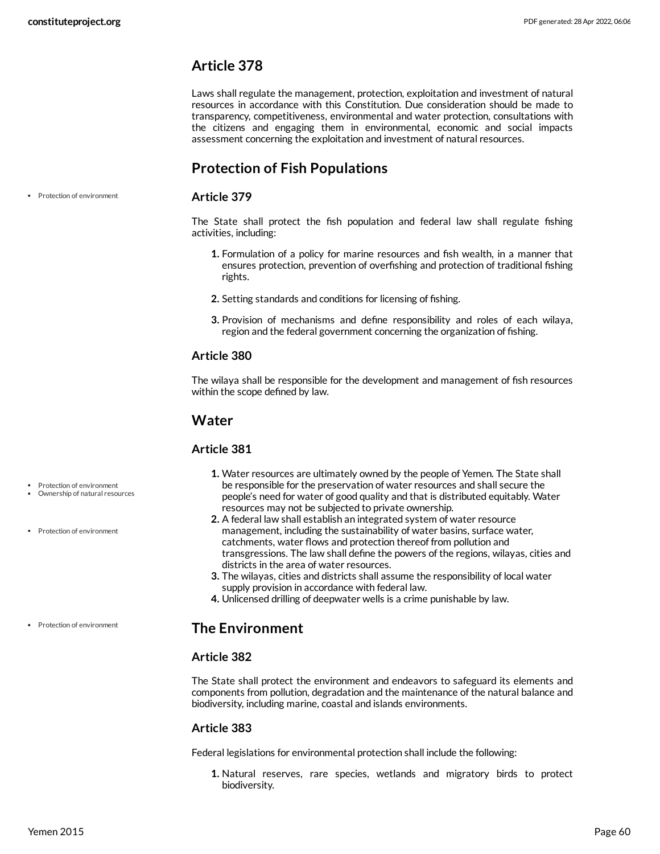Laws shall regulate the management, protection, exploitation and investment of natural resources in accordance with this Constitution. Due consideration should be made to transparency, competitiveness, environmental and water protection, consultations with the citizens and engaging them in environmental, economic and social impacts assessment concerning the exploitation and investment of natural resources.

# **Protection of Fish Populations**

Protection of environment

#### **Article 379**

The State shall protect the fish population and federal law shall regulate fishing activities, including:

- **1.** Formulation of a policy for marine resources and fish wealth, in a manner that ensures protection, prevention of overfishing and protection of traditional fishing rights.
- **2.** Setting standards and conditions for licensing of fishing.
- **3.** Provision of mechanisms and define responsibility and roles of each wilaya, region and the federal government concerning the organization of fishing.

### **Article 380**

The wilaya shall be responsible for the development and management of fish resources within the scope defined by law.

# **Water**

#### <span id="page-59-0"></span>**Article 381**

- Protection of environment
- Ownership of natural resources
- Protection of environment
- Protection of environment

### people's need for water of good quality and that is distributed equitably. Water resources may not be subjected to private ownership. **2.** A federal law shall establish an integrated system of water resource

**1.** Water resources are ultimately owned by the people of Yemen. The State shall be responsible for the preservation of water resources and shall secure the

- management, including the sustainability of water basins, surface water, catchments, water flows and protection thereof from pollution and transgressions. The law shall define the powers of the regions, wilayas, cities and districts in the area of water resources.
- **3.** The wilayas, cities and districts shall assume the responsibility of local water supply provision in accordance with federal law.
- **4.** Unlicensed drilling of deepwater wells is a crime punishable by law.

# **The Environment**

### **Article 382**

The State shall protect the environment and endeavors to safeguard its elements and components from pollution, degradation and the maintenance of the natural balance and biodiversity, including marine, coastal and islands environments.

# **Article 383**

Federal legislations for environmental protection shall include the following:

**1.** Natural reserves, rare species, wetlands and migratory birds to protect biodiversity.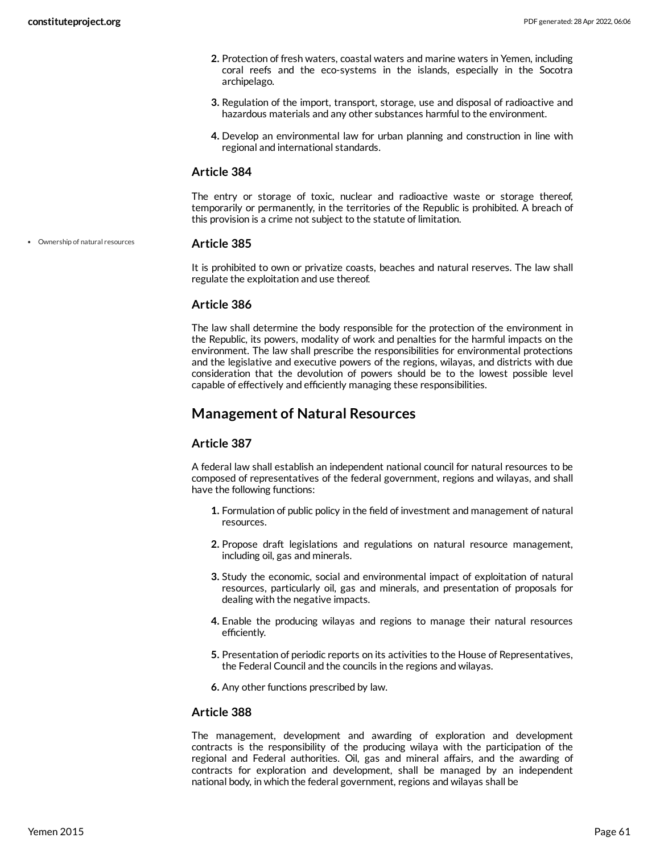- **2.** Protection of fresh waters, coastal waters and marine waters in Yemen, including coral reefs and the eco-systems in the islands, especially in the Socotra archipelago.
- **3.** Regulation of the import, transport, storage, use and disposal of radioactive and hazardous materials and any other substances harmful to the environment.
- **4.** Develop an environmental law for urban planning and construction in line with regional and international standards.

The entry or storage of toxic, nuclear and radioactive waste or storage thereof, temporarily or permanently, in the territories of the Republic is prohibited. A breach of this provision is a crime not subject to the statute of limitation.

Ownership of natural resources

#### <span id="page-60-0"></span>**Article 385**

It is prohibited to own or privatize coasts, beaches and natural reserves. The law shall regulate the exploitation and use thereof.

# **Article 386**

The law shall determine the body responsible for the protection of the environment in the Republic, its powers, modality of work and penalties for the harmful impacts on the environment. The law shall prescribe the responsibilities for environmental protections and the legislative and executive powers of the regions, wilayas, and districts with due consideration that the devolution of powers should be to the lowest possible level capable of effectively and efficiently managing these responsibilities.

# **Management of Natural Resources**

# **Article 387**

A federal law shall establish an independent national council for natural resources to be composed of representatives of the federal government, regions and wilayas, and shall have the following functions:

- **1.** Formulation of public policy in the field of investment and management of natural resources.
- **2.** Propose draft legislations and regulations on natural resource management, including oil, gas and minerals.
- **3.** Study the economic, social and environmental impact of exploitation of natural resources, particularly oil, gas and minerals, and presentation of proposals for dealing with the negative impacts.
- **4.** Enable the producing wilayas and regions to manage their natural resources efficiently.
- **5.** Presentation of periodic reports on its activities to the House of Representatives, the Federal Council and the councils in the regions and wilayas.

**6.** Any other functions prescribed by law.

### **Article 388**

The management, development and awarding of exploration and development contracts is the responsibility of the producing wilaya with the participation of the regional and Federal authorities. Oil, gas and mineral affairs, and the awarding of contracts for exploration and development, shall be managed by an independent national body, in which the federal government, regions and wilayas shall be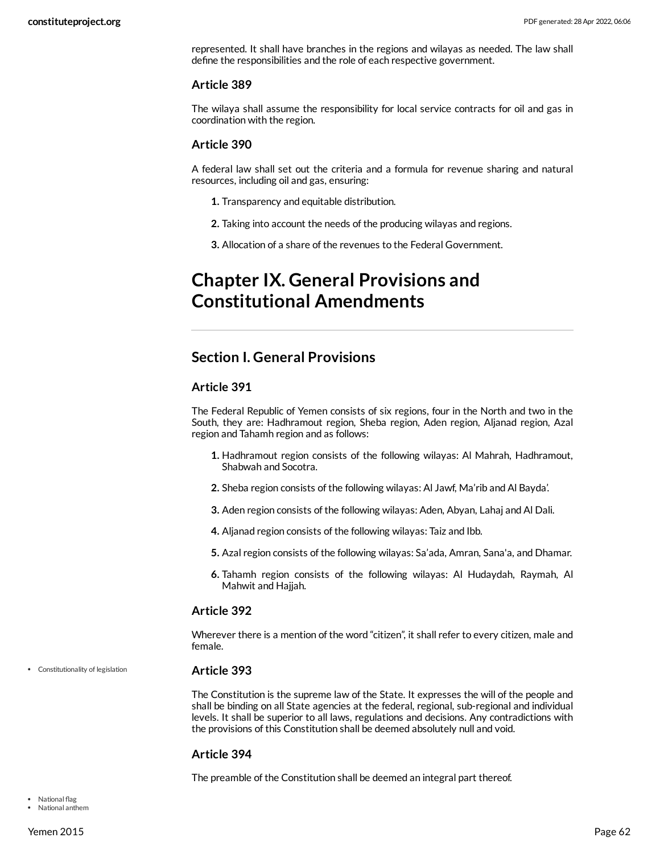represented. It shall have branches in the regions and wilayas as needed. The law shall define the responsibilities and the role of each respective government.

#### **Article 389**

The wilaya shall assume the responsibility for local service contracts for oil and gas in coordination with the region.

### **Article 390**

A federal law shall set out the criteria and a formula for revenue sharing and natural resources, including oil and gas, ensuring:

- **1.** Transparency and equitable distribution.
- **2.** Taking into account the needs of the producing wilayas and regions.
- **3.** Allocation of a share of the revenues to the Federal Government.

# **Chapter IX. General Provisions and Constitutional Amendments**

# **Section I. General Provisions**

### **Article 391**

The Federal Republic of Yemen consists of six regions, four in the North and two in the South, they are: Hadhramout region, Sheba region, Aden region, Aljanad region, Azal region and Tahamh region and as follows:

- **1.** Hadhramout region consists of the following wilayas: Al Mahrah, Hadhramout, Shabwah and Socotra.
- **2.** Sheba region consists of the following wilayas: Al Jawf, Ma'rib and Al Bayda'.
- **3.** Aden region consists of the following wilayas: Aden, Abyan, Lahaj and Al Dali.
- **4.** Aljanad region consists of the following wilayas: Taiz and Ibb.
- **5.** Azal region consists of the following wilayas: Sa'ada, Amran, Sana'a, and Dhamar.
- **6.** Tahamh region consists of the following wilayas: Al Hudaydah, Raymah, Al Mahwit and Hajjah.

### **Article 392**

Wherever there is a mention of the word "citizen", it shall refer to every citizen, male and female.

Constitutionality of legislation

### <span id="page-61-0"></span>**Article 393**

The Constitution is the supreme law of the State. It expresses the will of the people and shall be binding on all State agencies at the federal, regional, sub-regional and individual levels. It shall be superior to all laws, regulations and decisions. Any contradictions with the provisions of this Constitution shall be deemed absolutely null and void.

### **Article 394**

<span id="page-61-1"></span>The preamble of the Constitution shall be deemed an integral part thereof.

• National flag National anthem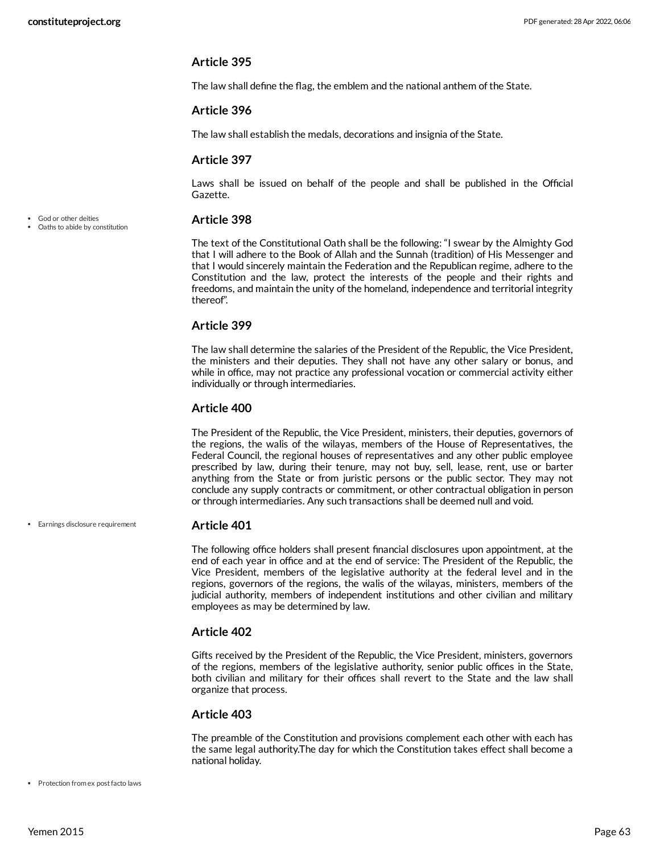The law shall define the flag, the emblem and the national anthem of the State.

### **Article 396**

The law shall establish the medals, decorations and insignia of the State.

### **Article 397**

Laws shall be issued on behalf of the people and shall be published in the Official Gazette.

### <span id="page-62-1"></span>**Article 398**

The text of the Constitutional Oath shall be the following: "I swear by the Almighty God that I will adhere to the Book of Allah and the Sunnah (tradition) of His Messenger and that I would sincerely maintain the Federation and the Republican regime, adhere to the Constitution and the law, protect the interests of the people and their rights and freedoms, and maintain the unity of the homeland, independence and territorial integrity thereof".

### **Article 399**

The law shall determine the salaries of the President of the Republic, the Vice President, the ministers and their deputies. They shall not have any other salary or bonus, and while in office, may not practice any professional vocation or commercial activity either individually or through intermediaries.

### **Article 400**

The President of the Republic, the Vice President, ministers, their deputies, governors of the regions, the walis of the wilayas, members of the House of Representatives, the Federal Council, the regional houses of representatives and any other public employee prescribed by law, during their tenure, may not buy, sell, lease, rent, use or barter anything from the State or from juristic persons or the public sector. They may not conclude any supply contracts or commitment, or other contractual obligation in person or through intermediaries. Any such transactions shall be deemed null and void.

### **Article 401**

<span id="page-62-0"></span>The following office holders shall present financial disclosures upon appointment, at the end of each year in office and at the end of service: The President of the Republic, the Vice President, members of the legislative authority at the federal level and in the regions, governors of the regions, the walis of the wilayas, ministers, members of the judicial authority, members of independent institutions and other civilian and military employees as may be determined by law.

### **Article 402**

Gifts received by the President of the Republic, the Vice President, ministers, governors of the regions, members of the legislative authority, senior public offices in the State, both civilian and military for their offices shall revert to the State and the law shall organize that process.

### **Article 403**

The preamble of the Constitution and provisions complement each other with each has the same legal authority.The day for which the Constitution takes effect shall become a national holiday.

• Protection from ex post facto laws

Earnings disclosure requirement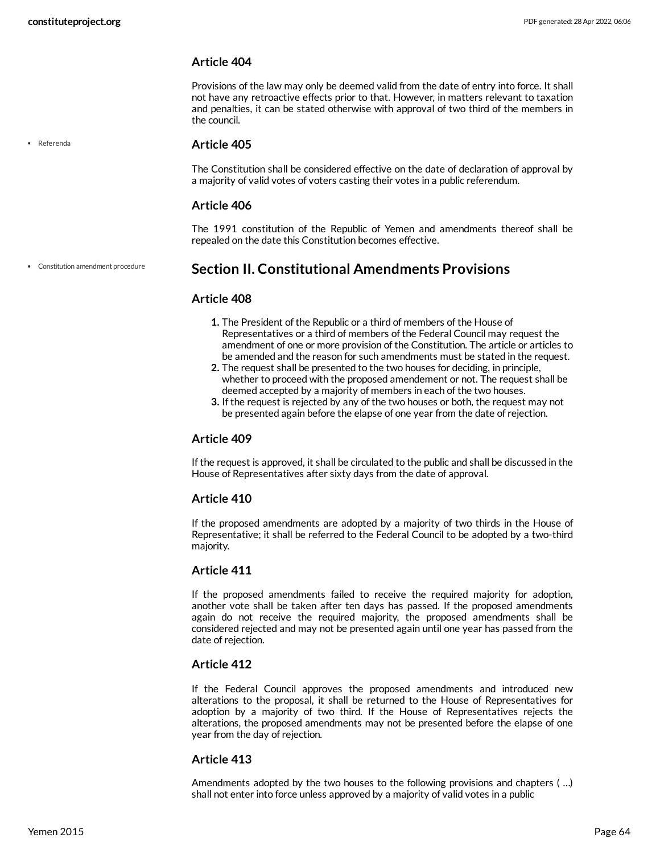Referenda

# **Article 404**

Provisions of the law may only be deemed valid from the date of entry into force. It shall not have any retroactive effects prior to that. However, in matters relevant to taxation and penalties, it can be stated otherwise with approval of two third of the members in the council.

### **Article 405**

The Constitution shall be considered effective on the date of declaration of approval by a majority of valid votes of voters casting their votes in a public referendum.

### **Article 406**

The 1991 constitution of the Republic of Yemen and amendments thereof shall be repealed on the date this Constitution becomes effective.

Constitution amendment procedure

# <span id="page-63-0"></span>**Section II. Constitutional Amendments Provisions**

### **Article 408**

- **1.** The President of the Republic or a third of members of the House of Representatives or a third of members of the Federal Council may request the amendment of one or more provision of the Constitution. The article or articles to be amended and the reason for such amendments must be stated in the request.
- **2.** The request shall be presented to the two houses for deciding, in principle, whether to proceed with the proposed amendement or not. The request shall be deemed accepted by a majority of members in each of the two houses.
- **3.** If the request is rejected by any of the two houses or both, the request may not be presented again before the elapse of one year from the date of rejection.

#### **Article 409**

If the request is approved, it shall be circulated to the public and shall be discussed in the House of Representatives after sixty days from the date of approval.

#### **Article 410**

If the proposed amendments are adopted by a majority of two thirds in the House of Representative; it shall be referred to the Federal Council to be adopted by a two-third majority.

### **Article 411**

If the proposed amendments failed to receive the required majority for adoption, another vote shall be taken after ten days has passed. If the proposed amendments again do not receive the required majority, the proposed amendments shall be considered rejected and may not be presented again until one year has passed from the date of rejection.

### **Article 412**

If the Federal Council approves the proposed amendments and introduced new alterations to the proposal, it shall be returned to the House of Representatives for adoption by a majority of two third. If the House of Representatives rejects the alterations, the proposed amendments may not be presented before the elapse of one year from the day of rejection.

#### **Article 413**

Amendments adopted by the two houses to the following provisions and chapters ( …) shall not enter into force unless approved by a majority of valid votes in a public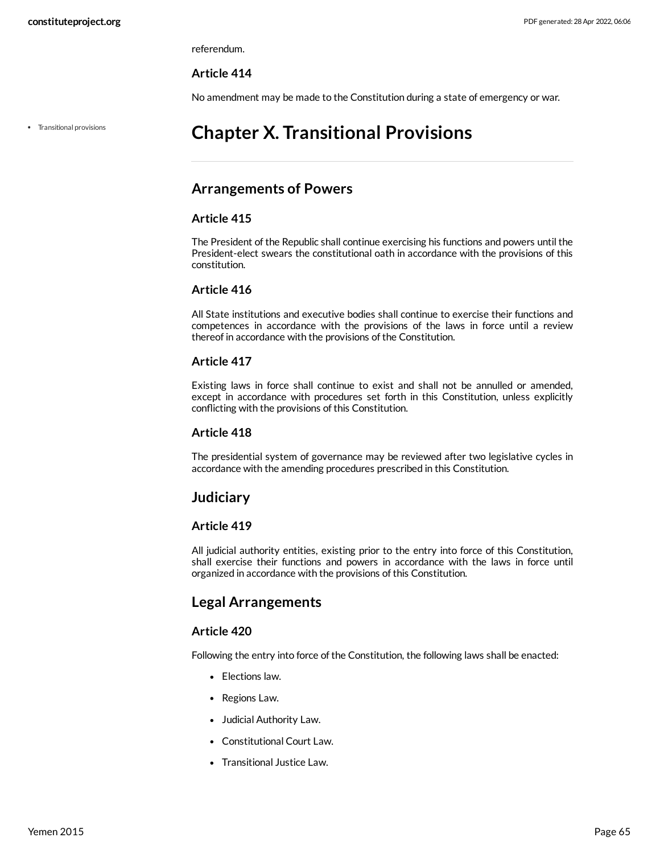referendum.

### **Article 414**

No amendment may be made to the Constitution during a state of emergency or war.

Transitional provisions

# **Chapter X. Transitional Provisions**

# **Arrangements of Powers**

### **Article 415**

The President of the Republic shall continue exercising his functions and powers until the President-elect swears the constitutional oath in accordance with the provisions of this constitution.

### **Article 416**

All State institutions and executive bodies shall continue to exercise their functions and competences in accordance with the provisions of the laws in force until a review thereof in accordance with the provisions of the Constitution.

# **Article 417**

Existing laws in force shall continue to exist and shall not be annulled or amended, except in accordance with procedures set forth in this Constitution, unless explicitly conflicting with the provisions of this Constitution.

### **Article 418**

The presidential system of governance may be reviewed after two legislative cycles in accordance with the amending procedures prescribed in this Constitution.

# **Judiciary**

# **Article 419**

All judicial authority entities, existing prior to the entry into force of this Constitution, shall exercise their functions and powers in accordance with the laws in force until organized in accordance with the provisions of this Constitution.

# **Legal Arrangements**

### **Article 420**

Following the entry into force of the Constitution, the following laws shall be enacted:

- Elections law.
- Regions Law.
- Judicial Authority Law.
- Constitutional Court Law.
- Transitional Justice Law.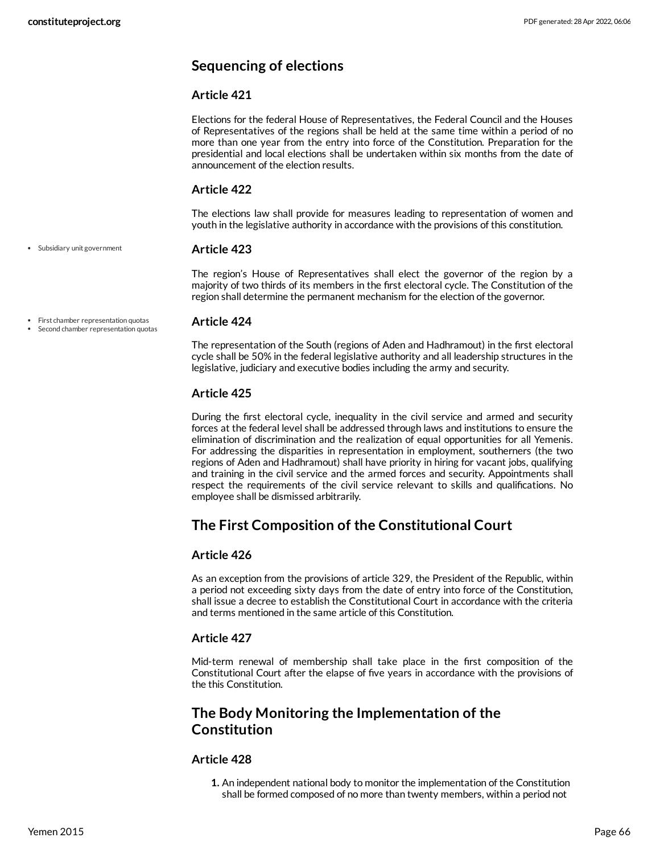# **Sequencing of elections**

# **Article 421**

Elections for the federal House of Representatives, the Federal Council and the Houses of Representatives of the regions shall be held at the same time within a period of no more than one year from the entry into force of the Constitution. Preparation for the presidential and local elections shall be undertaken within six months from the date of announcement of the election results.

# **Article 422**

The elections law shall provide for measures leading to representation of women and youth in the legislative authority in accordance with the provisions of this constitution.

### **Article 423**

The region's House of Representatives shall elect the governor of the region by a majority of two thirds of its members in the first electoral cycle. The Constitution of the region shall determine the permanent mechanism for the election of the governor.

First chamber representation quotas Second chamber representation quotas

Subsidiary unit government

### <span id="page-65-0"></span>**Article 424**

The representation of the South (regions of Aden and Hadhramout) in the first electoral cycle shall be 50% in the federal legislative authority and all leadership structures in the legislative, judiciary and executive bodies including the army and security.

# **Article 425**

During the first electoral cycle, inequality in the civil service and armed and security forces at the federal level shall be addressed through laws and institutions to ensure the elimination of discrimination and the realization of equal opportunities for all Yemenis. For addressing the disparities in representation in employment, southerners (the two regions of Aden and Hadhramout) shall have priority in hiring for vacant jobs, qualifying and training in the civil service and the armed forces and security. Appointments shall respect the requirements of the civil service relevant to skills and qualifications. No employee shall be dismissed arbitrarily.

# **The First Composition of the Constitutional Court**

# **Article 426**

As an exception from the provisions of article 329, the President of the Republic, within a period not exceeding sixty days from the date of entry into force of the Constitution, shall issue a decree to establish the Constitutional Court in accordance with the criteria and terms mentioned in the same article of this Constitution.

# **Article 427**

Mid-term renewal of membership shall take place in the first composition of the Constitutional Court after the elapse of five years in accordance with the provisions of the this Constitution.

# **The Body Monitoring the Implementation of the Constitution**

# **Article 428**

**1.** An independent national body to monitor the implementation of the Constitution shall be formed composed of no more than twenty members, within a period not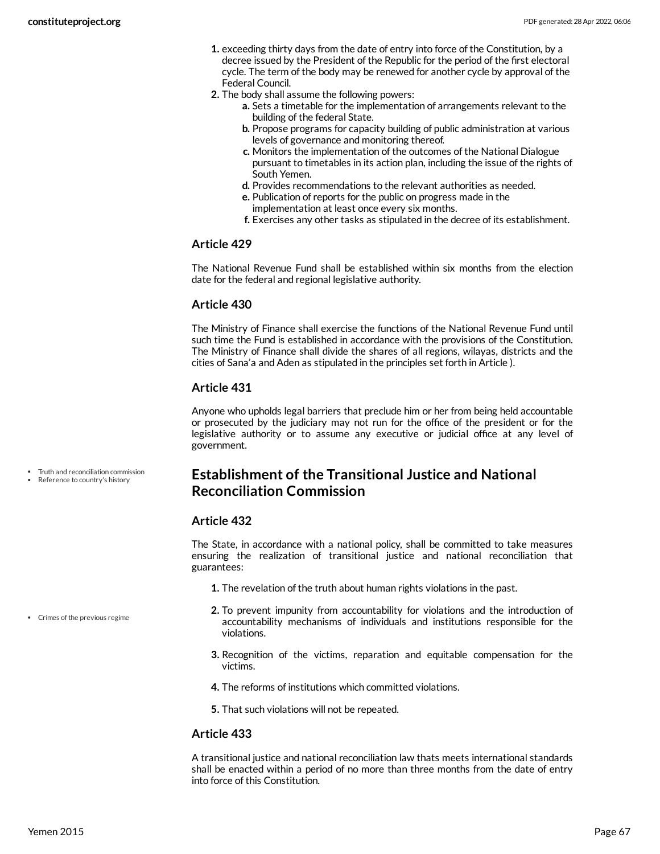- **1.** exceeding thirty days from the date of entry into force of the Constitution, by a decree issued by the President of the Republic for the period of the first electoral cycle. The term of the body may be renewed for another cycle by approval of the Federal Council.
- **2.** The body shall assume the following powers:
	- **a.** Sets a timetable for the implementation of arrangements relevant to the building of the federal State.
	- **b.** Propose programs for capacity building of public administration at various levels of governance and monitoring thereof.
	- **c.** Monitors the implementation of the outcomes of the National Dialogue pursuant to timetables in its action plan, including the issue of the rights of South Yemen.
	- **d.** Provides recommendations to the relevant authorities as needed.
	- **e.** Publication of reports for the public on progress made in the implementation at least once every six months.
	- **f.** Exercises any other tasks as stipulated in the decree of its establishment.

The National Revenue Fund shall be established within six months from the election date for the federal and regional legislative authority.

### **Article 430**

The Ministry of Finance shall exercise the functions of the National Revenue Fund until such time the Fund is established in accordance with the provisions of the Constitution. The Ministry of Finance shall divide the shares of all regions, wilayas, districts and the cities of Sana'a and Aden as stipulated in the principles set forth in Article ).

# **Article 431**

Anyone who upholds legal barriers that preclude him or her from being held accountable or prosecuted by the judiciary may not run for the office of the president or for the legislative authority or to assume any executive or judicial office at any level of government.

- Truth and reconciliation commission
- Reference to country's history

# **Establishment of the Transitional Justice and National Reconciliation Commission**

### **Article 432**

<span id="page-66-0"></span>The State, in accordance with a national policy, shall be committed to take measures ensuring the realization of transitional justice and national reconciliation that guarantees:

- **1.** The revelation of the truth about human rights violations in the past.
- **2.** To prevent impunity from accountability for violations and the introduction of accountability mechanisms of individuals and institutions responsible for the violations.
- **3.** Recognition of the victims, reparation and equitable compensation for the victims.
- **4.** The reforms of institutions which committed violations.
- **5.** That such violations will not be repeated.

### **Article 433**

A transitional justice and national reconciliation law thats meets international standards shall be enacted within a period of no more than three months from the date of entry into force of this Constitution.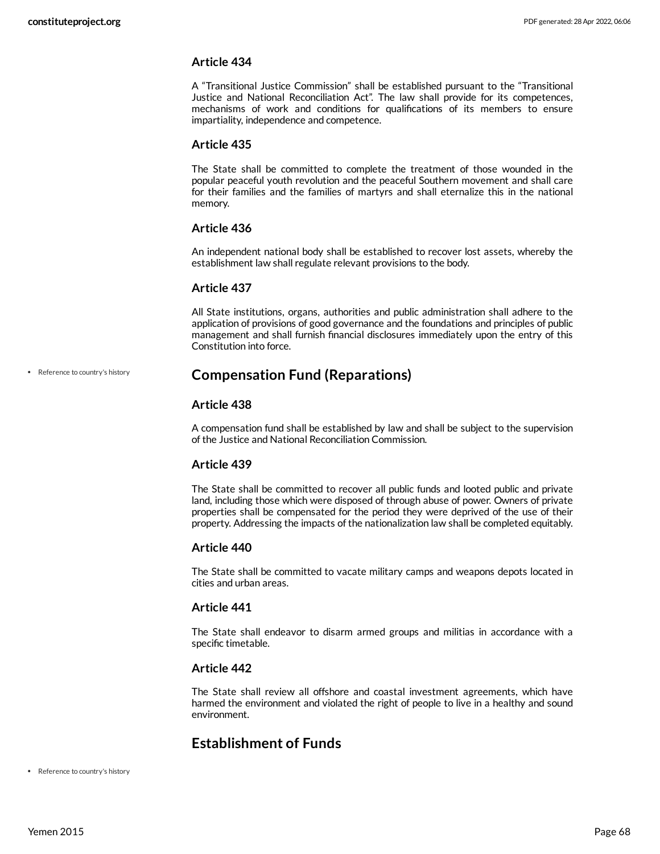A "Transitional Justice Commission" shall be established pursuant to the "Transitional Justice and National Reconciliation Act". The law shall provide for its competences, mechanisms of work and conditions for qualifications of its members to ensure impartiality, independence and competence.

#### **Article 435**

The State shall be committed to complete the treatment of those wounded in the popular peaceful youth revolution and the peaceful Southern movement and shall care for their families and the families of martyrs and shall eternalize this in the national memory.

### **Article 436**

An independent national body shall be established to recover lost assets, whereby the establishment law shall regulate relevant provisions to the body.

### **Article 437**

All State institutions, organs, authorities and public administration shall adhere to the application of provisions of good governance and the foundations and principles of public management and shall furnish financial disclosures immediately upon the entry of this Constitution into force.

#### Reference to country's history

# **Compensation Fund (Reparations)**

### **Article 438**

A compensation fund shall be established by law and shall be subject to the supervision of the Justice and National Reconciliation Commission.

### **Article 439**

The State shall be committed to recover all public funds and looted public and private land, including those which were disposed of through abuse of power. Owners of private properties shall be compensated for the period they were deprived of the use of their property. Addressing the impacts of the nationalization law shall be completed equitably.

### **Article 440**

The State shall be committed to vacate military camps and weapons depots located in cities and urban areas.

### **Article 441**

The State shall endeavor to disarm armed groups and militias in accordance with a specific timetable.

### **Article 442**

The State shall review all offshore and coastal investment agreements, which have harmed the environment and violated the right of people to live in a healthy and sound environment.

# **Establishment of Funds**

• Reference to country's history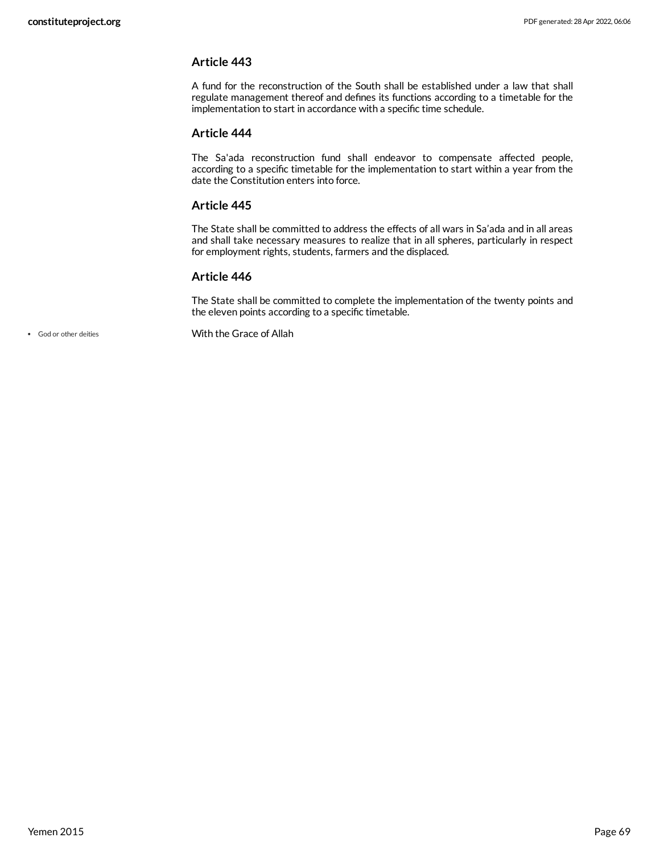A fund for the reconstruction of the South shall be established under a law that shall regulate management thereof and defines its functions according to a timetable for the implementation to start in accordance with a specific time schedule.

### **Article 444**

The Sa'ada reconstruction fund shall endeavor to compensate affected people, according to a specific timetable for the implementation to start within a year from the date the Constitution enters into force.

### **Article 445**

The State shall be committed to address the effects of all wars in Sa'ada and in all areas and shall take necessary measures to realize that in all spheres, particularly in respect for employment rights, students, farmers and the displaced.

### **Article 446**

<span id="page-68-0"></span>The State shall be committed to complete the implementation of the twenty points and the eleven points according to a specific timetable.

God or other deities With the Grace of Allah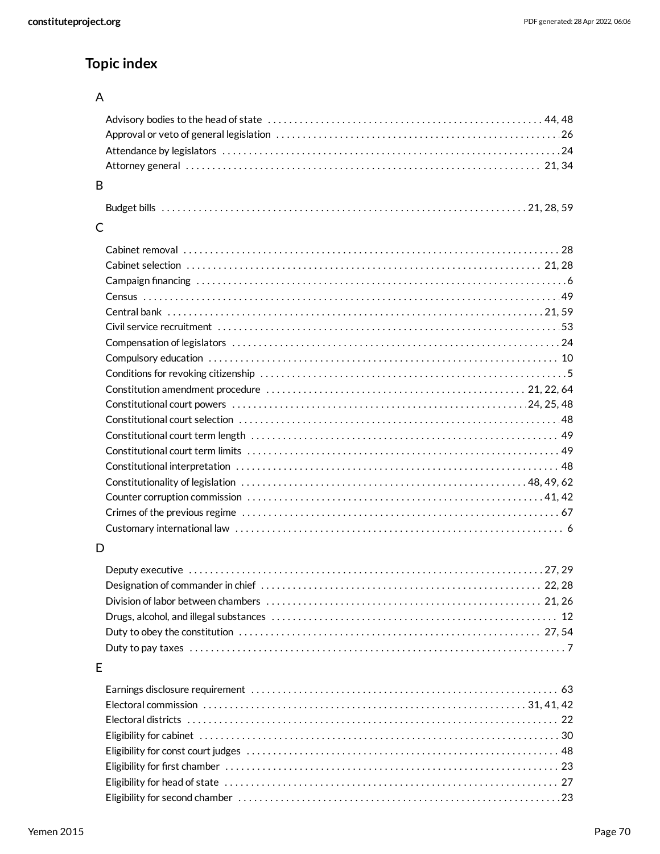# **Topic index**

# A

| B |  |
|---|--|
|   |  |
| C |  |
|   |  |
|   |  |
|   |  |
|   |  |
|   |  |
|   |  |
|   |  |
|   |  |
|   |  |
|   |  |
|   |  |
|   |  |
|   |  |
|   |  |
|   |  |
|   |  |
|   |  |
|   |  |
|   |  |
| D |  |
|   |  |
|   |  |
|   |  |
|   |  |
|   |  |
|   |  |
| E |  |
|   |  |
|   |  |
|   |  |
|   |  |
|   |  |
|   |  |

[27](#page-26-1) Eligibility for head of state . . . . . . . . . . . . . . . . . . . . . . . . . . . . . . . . . . . . . . . . . . . . . . . . . . . . . . . . . . . . . . . [23](#page-22-0) Eligibility for second chamber . . . . . . . . . . . . . . . . . . . . . . . . . . . . . . . . . . . . . . . . . . . . . . . . . . . . . . . . . . . . .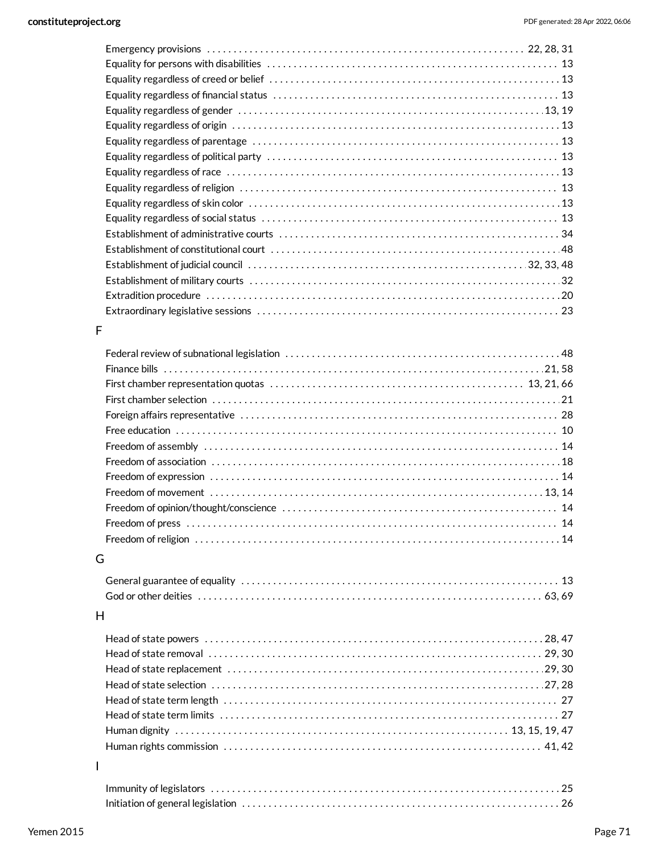# F

# G

# H

I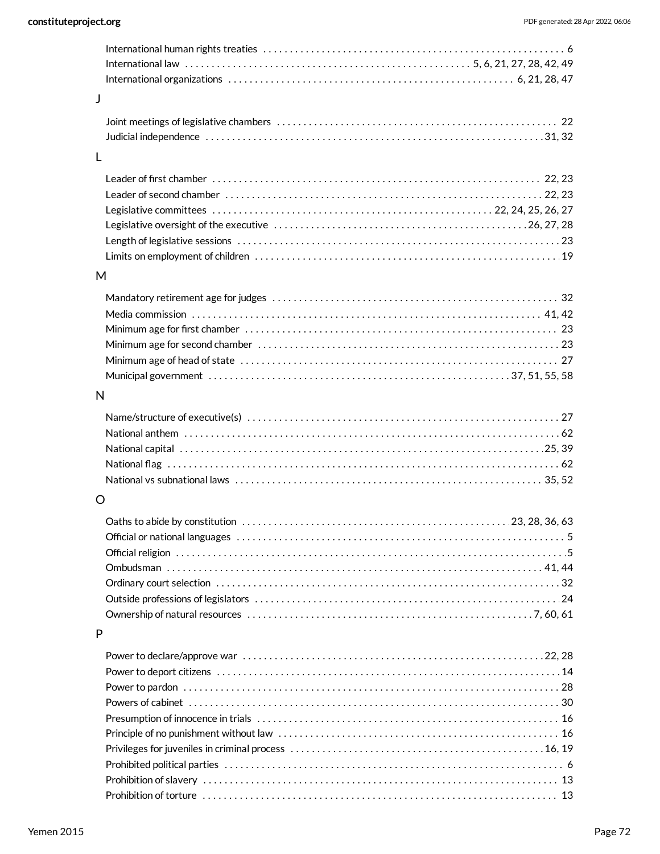| J |                                                                                                                         |
|---|-------------------------------------------------------------------------------------------------------------------------|
|   |                                                                                                                         |
| L |                                                                                                                         |
|   |                                                                                                                         |
|   |                                                                                                                         |
|   |                                                                                                                         |
|   |                                                                                                                         |
|   |                                                                                                                         |
| M |                                                                                                                         |
|   |                                                                                                                         |
|   |                                                                                                                         |
|   |                                                                                                                         |
|   |                                                                                                                         |
|   |                                                                                                                         |
|   | Municipal government $\dots\dots\dots\dots\dots\dots\dots\dots\dots\dots\dots\dots\dots\dots\dots\dots\dots37,51,55,58$ |
| N |                                                                                                                         |
|   |                                                                                                                         |
|   |                                                                                                                         |
|   |                                                                                                                         |
|   |                                                                                                                         |
|   |                                                                                                                         |
| O |                                                                                                                         |
|   |                                                                                                                         |
|   |                                                                                                                         |
|   |                                                                                                                         |
|   |                                                                                                                         |
|   |                                                                                                                         |
|   |                                                                                                                         |
| P |                                                                                                                         |
|   |                                                                                                                         |
|   |                                                                                                                         |
|   |                                                                                                                         |
|   |                                                                                                                         |
|   |                                                                                                                         |
|   |                                                                                                                         |
|   |                                                                                                                         |
|   |                                                                                                                         |
|   |                                                                                                                         |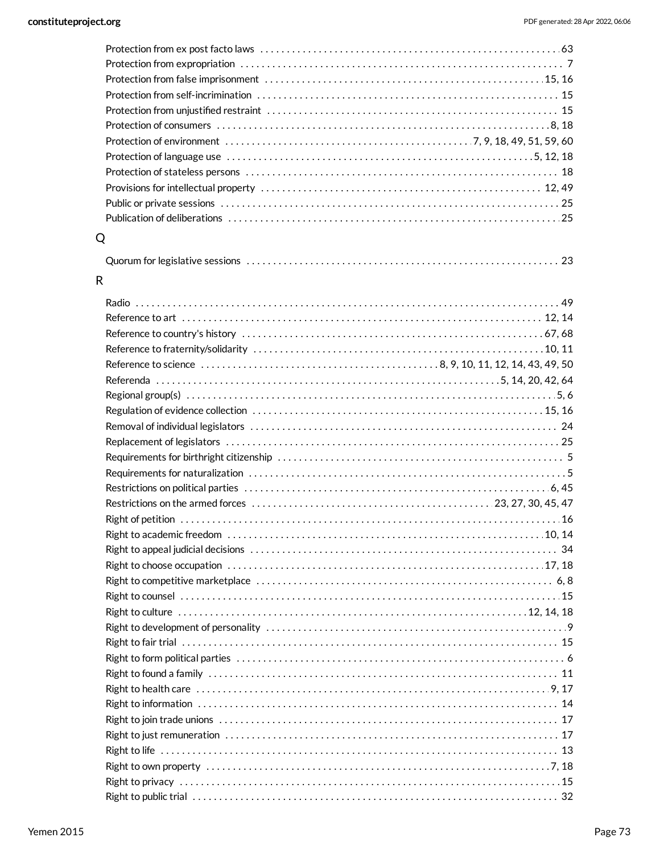| Q |  |
|---|--|

[23](#page-22-0) Quorum for legislative sessions . . . . . . . . . . . . . . . . . . . . . . . . . . . . . . . . . . . . . . . . . . . . . . . . . . . . . . . . . . .

## R